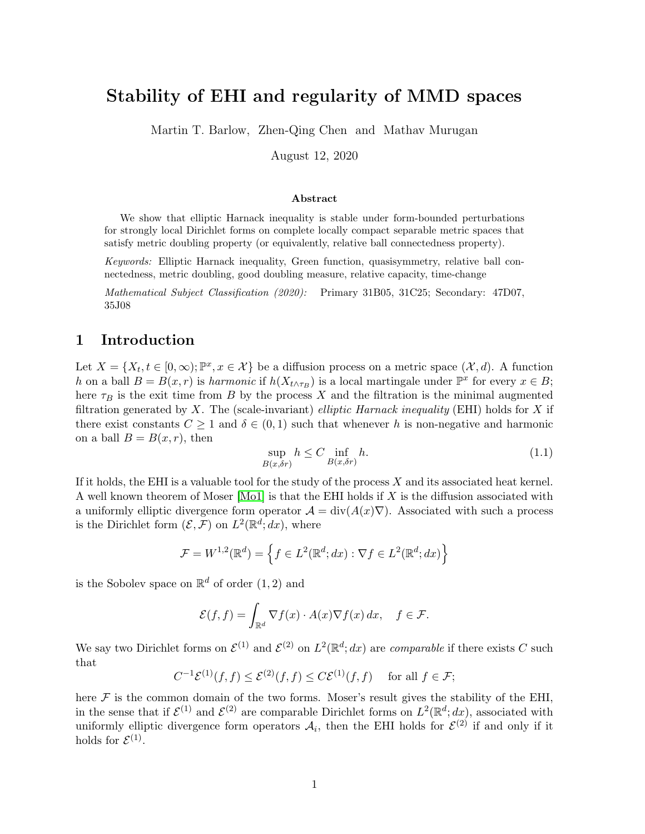# <span id="page-0-0"></span>Stability of EHI and regularity of MMD spaces

Martin T. Barlow, Zhen-Qing Chen and Mathav Murugan

August 12, 2020

### Abstract

We show that elliptic Harnack inequality is stable under form-bounded perturbations for strongly local Dirichlet forms on complete locally compact separable metric spaces that satisfy metric doubling property (or equivalently, relative ball connectedness property).

Keywords: Elliptic Harnack inequality, Green function, quasisymmetry, relative ball connectedness, metric doubling, good doubling measure, relative capacity, time-change

Mathematical Subject Classification (2020): Primary 31B05, 31C25; Secondary: 47D07, 35J08

### 1 Introduction

Let  $X = \{X_t, t \in [0, \infty); \mathbb{P}^x, x \in \mathcal{X}\}\$ be a diffusion process on a metric space  $(\mathcal{X}, d)$ . A function h on a ball  $B = B(x,r)$  is harmonic if  $h(X_{t \wedge \tau_B})$  is a local martingale under  $\mathbb{P}^x$  for every  $x \in B$ ; here  $\tau_B$  is the exit time from B by the process X and the filtration is the minimal augmented filtration generated by  $X$ . The (scale-invariant) elliptic Harnack inequality (EHI) holds for  $X$  if there exist constants  $C \geq 1$  and  $\delta \in (0,1)$  such that whenever h is non-negative and harmonic on a ball  $B = B(x, r)$ , then

$$
\sup_{B(x,\delta r)} h \le C \inf_{B(x,\delta r)} h. \tag{1.1}
$$

If it holds, the EHI is a valuable tool for the study of the process  $X$  and its associated heat kernel. A well known theorem of Moser  $[Mo1]$  is that the EHI holds if X is the diffusion associated with a uniformly elliptic divergence form operator  $\mathcal{A} = \text{div}(A(x)\nabla)$ . Associated with such a process is the Dirichlet form  $(\mathcal{E}, \mathcal{F})$  on  $L^2(\mathbb{R}^d; dx)$ , where

$$
\mathcal{F} = W^{1,2}(\mathbb{R}^d) = \left\{ f \in L^2(\mathbb{R}^d; dx) : \nabla f \in L^2(\mathbb{R}^d; dx) \right\}
$$

is the Sobolev space on  $\mathbb{R}^d$  of order  $(1, 2)$  and

$$
\mathcal{E}(f,f) = \int_{\mathbb{R}^d} \nabla f(x) \cdot A(x) \nabla f(x) \, dx, \quad f \in \mathcal{F}.
$$

We say two Dirichlet forms on  $\mathcal{E}^{(1)}$  and  $\mathcal{E}^{(2)}$  on  $L^2(\mathbb{R}^d; dx)$  are *comparable* if there exists C such that

$$
C^{-1}\mathcal{E}^{(1)}(f,f) \le \mathcal{E}^{(2)}(f,f) \le C\mathcal{E}^{(1)}(f,f) \quad \text{ for all } f \in \mathcal{F};
$$

here  $\mathcal F$  is the common domain of the two forms. Moser's result gives the stability of the EHI, in the sense that if  $\mathcal{E}^{(1)}$  and  $\mathcal{E}^{(2)}$  are comparable Dirichlet forms on  $L^2(\mathbb{R}^d; dx)$ , associated with uniformly elliptic divergence form operators  $A_i$ , then the EHI holds for  $\mathcal{E}^{(2)}$  if and only if it holds for  $\mathcal{E}^{(1)}$ .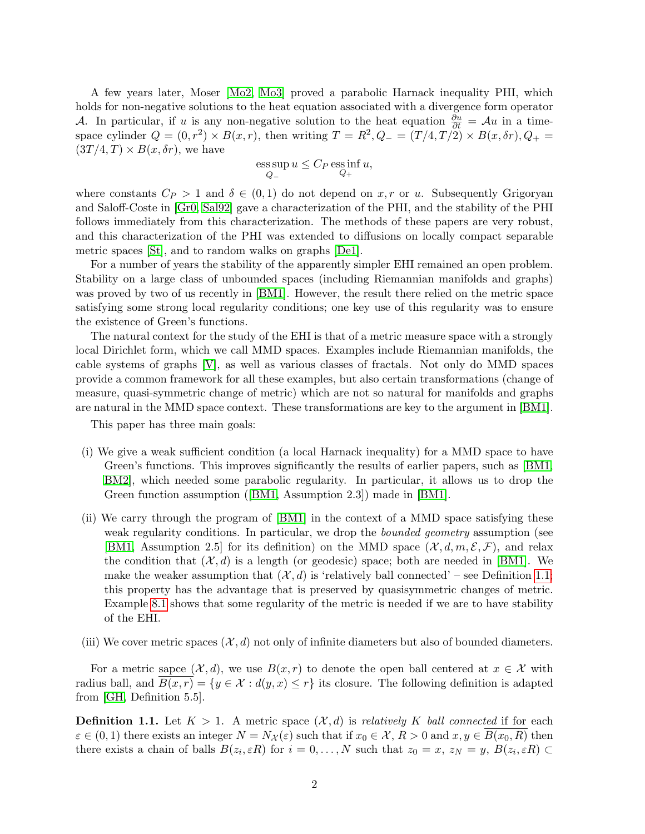A few years later, Moser [\[Mo2,](#page-53-1) [Mo3\]](#page-53-2) proved a parabolic Harnack inequality PHI, which holds for non-negative solutions to the heat equation associated with a divergence form operator A. In particular, if u is any non-negative solution to the heat equation  $\frac{\partial u}{\partial t} = Au$  in a timespace cylinder  $Q = (0, r^2) \times B(x, r)$ , then writing  $T = R^2$ ,  $Q = (T/4, T/2) \times B(x, \delta r)$ ,  $Q_+ =$  $(3T/4, T) \times B(x, \delta r)$ , we have

$$
\operatorname*{ess\,sup}_{Q_{-}} u \leq C_{P} \operatorname*{ess\,inf}_{Q_{+}} u,
$$

where constants  $C_P > 1$  and  $\delta \in (0,1)$  do not depend on x, r or u. Subsequently Grigoryan and Saloff-Coste in [\[Gr0,](#page-52-0) [Sal92\]](#page-53-3) gave a characterization of the PHI, and the stability of the PHI follows immediately from this characterization. The methods of these papers are very robust, and this characterization of the PHI was extended to diffusions on locally compact separable metric spaces [\[St\]](#page-53-4), and to random walks on graphs [\[De1\]](#page-52-1).

For a number of years the stability of the apparently simpler EHI remained an open problem. Stability on a large class of unbounded spaces (including Riemannian manifolds and graphs) was proved by two of us recently in [\[BM1\]](#page-52-2). However, the result there relied on the metric space satisfying some strong local regularity conditions; one key use of this regularity was to ensure the existence of Green's functions.

The natural context for the study of the EHI is that of a metric measure space with a strongly local Dirichlet form, which we call MMD spaces. Examples include Riemannian manifolds, the cable systems of graphs [\[V\]](#page-53-5), as well as various classes of fractals. Not only do MMD spaces provide a common framework for all these examples, but also certain transformations (change of measure, quasi-symmetric change of metric) which are not so natural for manifolds and graphs are natural in the MMD space context. These transformations are key to the argument in [\[BM1\]](#page-52-2).

This paper has three main goals:

- (i) We give a weak sufficient condition (a local Harnack inequality) for a MMD space to have Green's functions. This improves significantly the results of earlier papers, such as [\[BM1,](#page-52-2) [BM2\]](#page-52-3), which needed some parabolic regularity. In particular, it allows us to drop the Green function assumption ([\[BM1,](#page-52-2) Assumption 2.3]) made in [\[BM1\]](#page-52-2).
- (ii) We carry through the program of [\[BM1\]](#page-52-2) in the context of a MMD space satisfying these weak regularity conditions. In particular, we drop the *bounded geometry* assumption (see [\[BM1,](#page-52-2) Assumption 2.5] for its definition) on the MMD space  $(\mathcal{X}, d, m, \mathcal{E}, \mathcal{F})$ , and relax the condition that  $(\mathcal{X}, d)$  is a length (or geodesic) space; both are needed in [\[BM1\]](#page-52-2). We make the weaker assumption that  $(\mathcal{X}, d)$  is 'relatively ball connected' – see Definition [1.1;](#page-1-0) this property has the advantage that is preserved by quasisymmetric changes of metric. Example [8.1](#page-49-0) shows that some regularity of the metric is needed if we are to have stability of the EHI.
- (iii) We cover metric spaces  $(\mathcal{X}, d)$  not only of infinite diameters but also of bounded diameters.

For a metric sapce  $(\mathcal{X}, d)$ , we use  $B(x, r)$  to denote the open ball centered at  $x \in \mathcal{X}$  with radius ball, and  $B(x, r) = \{y \in \mathcal{X} : d(y, x) \leq r\}$  its closure. The following definition is adapted from [\[GH,](#page-52-4) Definition 5.5].

<span id="page-1-0"></span>**Definition 1.1.** Let  $K > 1$ . A metric space  $(\mathcal{X}, d)$  is relatively K ball connected if for each  $\varepsilon \in (0,1)$  there exists an integer  $N = N_{\mathcal{X}}(\varepsilon)$  such that if  $x_0 \in \mathcal{X}, R > 0$  and  $x, y \in B(x_0, R)$  then there exists a chain of balls  $B(z_i, \varepsilon R)$  for  $i = 0, \ldots, N$  such that  $z_0 = x, z_N = y, B(z_i, \varepsilon R) \subset$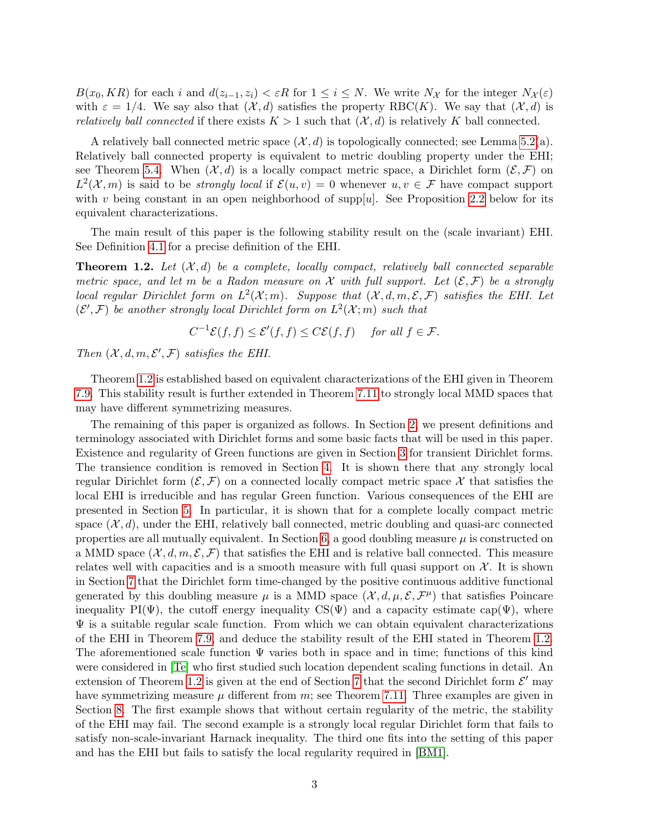$B(x_0, KR)$  for each i and  $d(z_{i-1}, z_i) < \varepsilon R$  for  $1 \leq i \leq N$ . We write  $N_{\mathcal{X}}$  for the integer  $N_{\mathcal{X}}(\varepsilon)$ with  $\varepsilon = 1/4$ . We say also that  $(\mathcal{X}, d)$  satisfies the property RBC(K). We say that  $(\mathcal{X}, d)$  is *relatively ball connected* if there exists  $K > 1$  such that  $(\mathcal{X}, d)$  is relatively K ball connected.

A relatively ball connected metric space  $(\mathcal{X}, d)$  is topologically connected; see Lemma [5.2\(](#page-21-0)a). Relatively ball connected property is equivalent to metric doubling property under the EHI; see Theorem [5.4.](#page-22-0) When  $(\mathcal{X}, d)$  is a locally compact metric space, a Dirichlet form  $(\mathcal{E}, \mathcal{F})$  on  $L^2(\mathcal{X}, m)$  is said to be *strongly local* if  $\mathcal{E}(u, v) = 0$  whenever  $u, v \in \mathcal{F}$  have compact support with v being constant in an open neighborhood of supp[u]. See Proposition [2.2](#page-6-0) below for its equivalent characterizations.

The main result of this paper is the following stability result on the (scale invariant) EHI. See Definition [4.1](#page-15-0) for a precise definition of the EHI.

<span id="page-2-0"></span>**Theorem 1.2.** Let  $(X, d)$  be a complete, locally compact, relatively ball connected separable metric space, and let m be a Radon measure on X with full support. Let  $(\mathcal{E}, \mathcal{F})$  be a strongly local regular Dirichlet form on  $L^2(\mathcal{X};m)$ . Suppose that  $(\mathcal{X}, d, m, \mathcal{E}, \mathcal{F})$  satisfies the EHI. Let  $(\mathcal{E}', \mathcal{F})$  be another strongly local Dirichlet form on  $L^2(\mathcal{X}; m)$  such that

$$
C^{-1}\mathcal{E}(f,f) \le \mathcal{E}'(f,f) \le C\mathcal{E}(f,f) \quad \text{ for all } f \in \mathcal{F}.
$$

Then  $(X, d, m, \mathcal{E}', \mathcal{F})$  satisfies the EHI.

Theorem [1.2](#page-2-0) is established based on equivalent characterizations of the EHI given in Theorem [7.9.](#page-47-0) This stability result is further extended in Theorem [7.11](#page-48-0) to strongly local MMD spaces that may have different symmetrizing measures.

The remaining of this paper is organized as follows. In Section [2,](#page-3-0) we present definitions and terminology associated with Dirichlet forms and some basic facts that will be used in this paper. Existence and regularity of Green functions are given in Section [3](#page-7-0) for transient Dirichlet forms. The transience condition is removed in Section [4.](#page-15-1) It is shown there that any strongly local regular Dirichlet form  $(\mathcal{E}, \mathcal{F})$  on a connected locally compact metric space X that satisfies the local EHI is irreducible and has regular Green function. Various consequences of the EHI are presented in Section [5.](#page-20-0) In particular, it is shown that for a complete locally compact metric space  $(\mathcal{X}, d)$ , under the EHI, relatively ball connected, metric doubling and quasi-arc connected properties are all mutually equivalent. In Section [6,](#page-31-0) a good doubling measure  $\mu$  is constructed on a MMD space  $(\mathcal{X}, d, m, \mathcal{E}, \mathcal{F})$  that satisfies the EHI and is relative ball connected. This measure relates well with capacities and is a smooth measure with full quasi support on  $X$ . It is shown in Section [7](#page-44-0) that the Dirichlet form time-changed by the positive continuous additive functional generated by this doubling measure  $\mu$  is a MMD space  $(\mathcal{X}, d, \mu, \mathcal{E}, \mathcal{F}^{\mu})$  that satisfies Poincare inequality PI( $\Psi$ ), the cutoff energy inequality CS( $\Psi$ ) and a capacity estimate cap( $\Psi$ ), where  $\Psi$  is a suitable regular scale function. From which we can obtain equivalent characterizations of the EHI in Theorem [7.9,](#page-47-0) and deduce the stability result of the EHI stated in Theorem [1.2.](#page-2-0) The aforementioned scale function  $\Psi$  varies both in space and in time; functions of this kind were considered in [\[Te\]](#page-53-6) who first studied such location dependent scaling functions in detail. An extension of Theorem [1.2](#page-2-0) is given at the end of Section [7](#page-44-0) that the second Dirichlet form  $\mathcal{E}'$  may have symmetrizing measure  $\mu$  different from m; see Theorem [7.11.](#page-48-0) Three examples are given in Section [8.](#page-49-1) The first example shows that without certain regularity of the metric, the stability of the EHI may fail. The second example is a strongly local regular Dirichlet form that fails to satisfy non-scale-invariant Harnack inequality. The third one fits into the setting of this paper and has the EHI but fails to satisfy the local regularity required in [\[BM1\]](#page-52-2).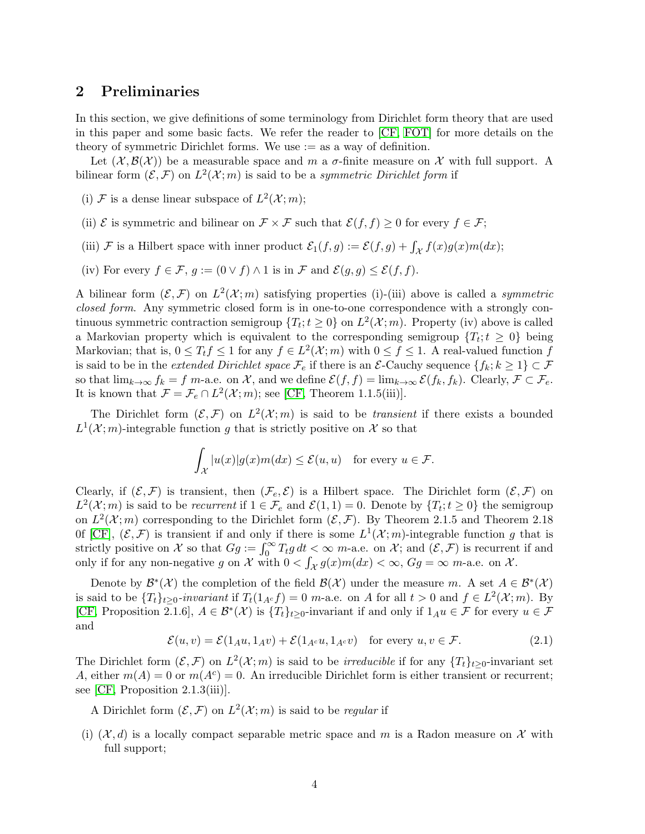### <span id="page-3-0"></span>2 Preliminaries

In this section, we give definitions of some terminology from Dirichlet form theory that are used in this paper and some basic facts. We refer the reader to [\[CF,](#page-52-5) [FOT\]](#page-52-6) for more details on the theory of symmetric Dirichlet forms. We use  $:=$  as a way of definition.

Let  $(\mathcal{X}, \mathcal{B}(\mathcal{X}))$  be a measurable space and m a  $\sigma$ -finite measure on X with full support. A bilinear form  $(\mathcal{E}, \mathcal{F})$  on  $L^2(\mathcal{X}; m)$  is said to be a symmetric Dirichlet form if

- (i) F is a dense linear subspace of  $L^2(\mathcal{X};m)$ ;
- (ii)  $\mathcal E$  is symmetric and bilinear on  $\mathcal F \times \mathcal F$  such that  $\mathcal E(f, f) \geq 0$  for every  $f \in \mathcal F$ ;
- (iii) F is a Hilbert space with inner product  $\mathcal{E}_1(f,g) := \mathcal{E}(f,g) + \int_{\mathcal{X}} f(x)g(x)m(dx);$
- (iv) For every  $f \in \mathcal{F}$ ,  $g := (0 \vee f) \wedge 1$  is in  $\mathcal{F}$  and  $\mathcal{E}(g, g) \leq \mathcal{E}(f, f)$ .

A bilinear form  $(\mathcal{E}, \mathcal{F})$  on  $L^2(\mathcal{X}; m)$  satisfying properties (i)-(iii) above is called a symmetric closed form. Any symmetric closed form is in one-to-one correspondence with a strongly continuous symmetric contraction semigroup  $\{T_t; t \geq 0\}$  on  $L^2(\mathcal{X}; m)$ . Property (iv) above is called a Markovian property which is equivalent to the corresponding semigroup  $\{T_t; t \geq 0\}$  being Markovian; that is,  $0 \le T_t f \le 1$  for any  $f \in L^2(\mathcal{X}; m)$  with  $0 \le f \le 1$ . A real-valued function f is said to be in the *extended Dirichlet space*  $\mathcal{F}_e$  if there is an  $\mathcal{E}\text{-Cauchy sequence }\{f_k; k \geq 1\} \subset \mathcal{F}$ so that  $\lim_{k\to\infty} f_k = f$  m-a.e. on X, and we define  $\mathcal{E}(f, f) = \lim_{k\to\infty} \mathcal{E}(f_k, f_k)$ . Clearly,  $\mathcal{F} \subset \mathcal{F}_e$ . It is known that  $\mathcal{F} = \mathcal{F}_e \cap L^2(\mathcal{X}; m)$ ; see [\[CF,](#page-52-5) Theorem 1.1.5(iii)].

The Dirichlet form  $(\mathcal{E}, \mathcal{F})$  on  $L^2(\mathcal{X}; m)$  is said to be *transient* if there exists a bounded  $L^1(\mathcal{X};m)$ -integrable function g that is strictly positive on X so that

$$
\int_{\mathcal{X}} |u(x)| g(x) m(dx) \leq \mathcal{E}(u, u) \quad \text{for every } u \in \mathcal{F}.
$$

Clearly, if  $(\mathcal{E}, \mathcal{F})$  is transient, then  $(\mathcal{F}_e, \mathcal{E})$  is a Hilbert space. The Dirichlet form  $(\mathcal{E}, \mathcal{F})$  on  $L^2(\mathcal{X};m)$  is said to be *recurrent* if  $1 \in \mathcal{F}_e$  and  $\mathcal{E}(1,1) = 0$ . Denote by  $\{T_t; t \geq 0\}$  the semigroup on  $L^2(\mathcal{X};m)$  corresponding to the Dirichlet form  $(\mathcal{E},\mathcal{F})$ . By Theorem 2.1.5 and Theorem 2.18 Of [\[CF\]](#page-52-5),  $(\mathcal{E}, \mathcal{F})$  is transient if and only if there is some  $L^1(\mathcal{X}; m)$ -integrable function g that is strictly positive on X so that  $Gg := \int_0^\infty T_t g dt < \infty$  m-a.e. on X; and  $(\mathcal{E}, \mathcal{F})$  is recurrent if and only if for any non-negative g on X with  $0 < \int_{\mathcal{X}} g(x) m(dx) < \infty$ ,  $Gg = \infty$  m-a.e. on X.

Denote by  $\mathcal{B}^*(\mathcal{X})$  the completion of the field  $\mathcal{B}(\mathcal{X})$  under the measure m. A set  $A \in \mathcal{B}^*(\mathcal{X})$ is said to be  $\{T_t\}_{t\geq 0}$ -invariant if  $T_t(1_{A^c}f) = 0$  m-a.e. on A for all  $t > 0$  and  $f \in L^2(\mathcal{X}; m)$ . By [\[CF,](#page-52-5) Proposition 2.1.6],  $A \in \mathcal{B}^*(\mathcal{X})$  is  $\{T_t\}_{t\geq 0}$ -invariant if and only if  $1_{A}u \in \mathcal{F}$  for every  $u \in \mathcal{F}$ and

<span id="page-3-1"></span>
$$
\mathcal{E}(u,v) = \mathcal{E}(1_A u, 1_A v) + \mathcal{E}(1_{A^c} u, 1_{A^c} v) \quad \text{for every } u, v \in \mathcal{F}.
$$
 (2.1)

The Dirichlet form  $(\mathcal{E}, \mathcal{F})$  on  $L^2(\mathcal{X}; m)$  is said to be *irreducible* if for any  $\{T_t\}_{t\geq 0}$ -invariant set A, either  $m(A) = 0$  or  $m(A<sup>c</sup>) = 0$ . An irreducible Dirichlet form is either transient or recurrent; see [\[CF,](#page-52-5) Proposition 2.1.3(iii)].

A Dirichlet form  $(\mathcal{E}, \mathcal{F})$  on  $L^2(\mathcal{X}; m)$  is said to be *regular* if

(i)  $(\mathcal{X}, d)$  is a locally compact separable metric space and m is a Radon measure on X with full support;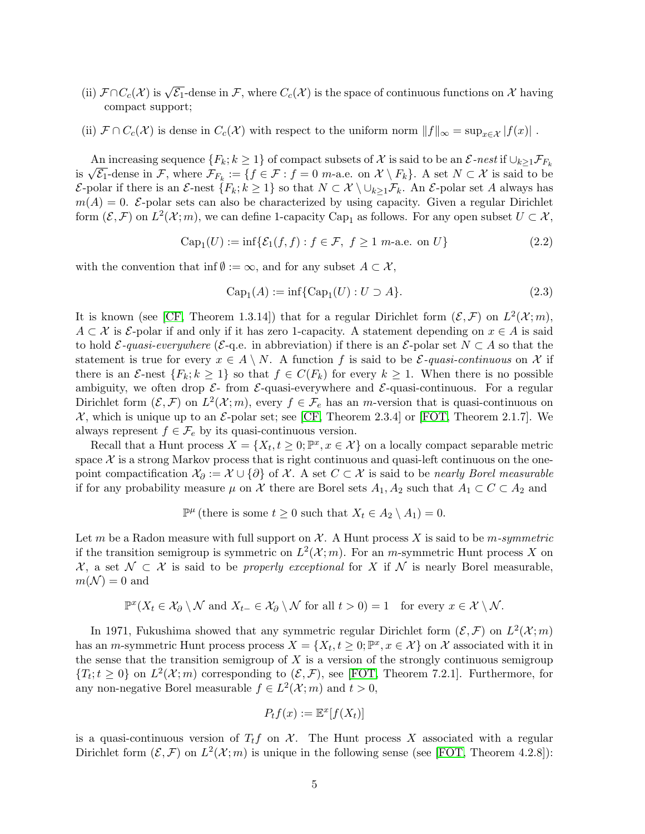- (ii)  $\mathcal{F} \cap C_c(\mathcal{X})$  is  $\sqrt{\mathcal{E}_1}$ -dense in  $\mathcal{F}$ , where  $C_c(\mathcal{X})$  is the space of continuous functions on  $\mathcal{X}$  having compact support;
- (ii)  $\mathcal{F} \cap C_c(\mathcal{X})$  is dense in  $C_c(\mathcal{X})$  with respect to the uniform norm  $||f||_{\infty} = \sup_{x \in \mathcal{X}} |f(x)|$ .

An increasing sequence  $\{F_k; k \geq 1\}$  of compact subsets of X is said to be an  $\mathcal{E}\text{-nest}$  if  $\cup_{k>1} \mathcal{F}_{F_k}$ An increasing sequence  $\{F_k; \kappa \geq 1\}$  or compact subsets of  $\lambda$  is said to be an  $\mathcal{L}$ -nest n  $\cup_{k\geq 1}$ ,  $F_k$  is  $\sqrt{\mathcal{E}_1}$ -dense in  $\mathcal{F}$ , where  $\mathcal{F}_{F_k} := \{f \in \mathcal{F} : f = 0 \text{ } m$ -a.e. on  $\mathcal{X} \setminus F_k\}$ . A E-polar if there is an E-nest  $\{F_k; k \geq 1\}$  so that  $N \subset \mathcal{X} \setminus \cup_{k \geq 1} \mathcal{F}_k$ . An E-polar set A always has  $m(A) = 0$ . E-polar sets can also be characterized by using capacity. Given a regular Dirichlet form  $(\mathcal{E}, \mathcal{F})$  on  $L^2(\mathcal{X}; m)$ , we can define 1-capacity Cap<sub>1</sub> as follows. For any open subset  $U \subset \mathcal{X}$ ,

$$
\operatorname{Cap}_1(U) := \inf \{ \mathcal{E}_1(f, f) : f \in \mathcal{F}, \ f \ge 1 \ \text{m-a.e. on } U \}
$$
\n
$$
(2.2)
$$

with the convention that inf  $\emptyset := \infty$ , and for any subset  $A \subset \mathcal{X}$ ,

$$
Cap1(A) := inf{Cap1(U) : U \supset A}.
$$
\n(2.3)

It is known (see [\[CF,](#page-52-5) Theorem 1.3.14]) that for a regular Dirichlet form  $(\mathcal{E}, \mathcal{F})$  on  $L^2(\mathcal{X}; m)$ ,  $A \subset \mathcal{X}$  is  $\mathcal{E}$ -polar if and only if it has zero 1-capacity. A statement depending on  $x \in A$  is said to hold  $\mathcal{E}\text{-}quasi-everywhere$  ( $\mathcal{E}\text{-}q$ .e. in abbreviation) if there is an  $\mathcal{E}\text{-}polar set$   $N \subset A$  so that the statement is true for every  $x \in A \setminus N$ . A function f is said to be  $\mathcal{E}$ -quasi-continuous on X if there is an  $\mathcal{E}$ -nest  $\{F_k; k \geq 1\}$  so that  $f \in C(F_k)$  for every  $k \geq 1$ . When there is no possible ambiguity, we often drop  $\mathcal{E}$ - from  $\mathcal{E}$ -quasi-everywhere and  $\mathcal{E}$ -quasi-continuous. For a regular Dirichlet form  $(\mathcal{E}, \mathcal{F})$  on  $L^2(\mathcal{X}; m)$ , every  $f \in \mathcal{F}_e$  has an *m*-version that is quasi-continuous on  $\mathcal{X}$ , which is unique up to an  $\mathcal{E}\text{-polar set}$ ; see [\[CF,](#page-52-5) Theorem 2.3.4] or [\[FOT,](#page-52-6) Theorem 2.1.7]. We always represent  $f \in \mathcal{F}_e$  by its quasi-continuous version.

Recall that a Hunt process  $X = \{X_t, t \geq 0, \mathbb{P}^x, x \in \mathcal{X}\}$  on a locally compact separable metric space  $\mathcal X$  is a strong Markov process that is right continuous and quasi-left continuous on the onepoint compactification  $\mathcal{X}_{\partial} := \mathcal{X} \cup \{\partial\}$  of X. A set  $C \subset \mathcal{X}$  is said to be nearly Borel measurable if for any probability measure  $\mu$  on X there are Borel sets  $A_1, A_2$  such that  $A_1 \subset C \subset A_2$  and

 $\mathbb{P}^{\mu}$  (there is some  $t \geq 0$  such that  $X_t \in A_2 \setminus A_1$ ) = 0.

Let m be a Radon measure with full support on  $\mathcal{X}$ . A Hunt process X is said to be m-symmetric if the transition semigroup is symmetric on  $L^2(\mathcal{X};m)$ . For an *m*-symmetric Hunt process X on  $\mathcal{X}$ , a set  $\mathcal{N} \subset \mathcal{X}$  is said to be properly exceptional for X if N is nearly Borel measurable,  $m(\mathcal{N}) = 0$  and

$$
\mathbb{P}^x(X_t \in \mathcal{X}_\partial \setminus \mathcal{N} \text{ and } X_{t-} \in \mathcal{X}_\partial \setminus \mathcal{N} \text{ for all } t > 0) = 1 \text{ for every } x \in \mathcal{X} \setminus \mathcal{N}.
$$

In 1971, Fukushima showed that any symmetric regular Dirichlet form  $(\mathcal{E}, \mathcal{F})$  on  $L^2(\mathcal{X}; m)$ has an *m*-symmetric Hunt process process  $X = \{X_t, t \geq 0, \mathbb{P}^x, x \in \mathcal{X}\}$  on  $\mathcal{X}$  associated with it in the sense that the transition semigroup of  $X$  is a version of the strongly continuous semigroup  ${T_t; t \geq 0}$  on  $L^2(\mathcal{X}; m)$  corresponding to  $(\mathcal{E}, \mathcal{F})$ , see [\[FOT,](#page-52-6) Theorem 7.2.1]. Furthermore, for any non-negative Borel measurable  $f \in L^2(\mathcal{X}; m)$  and  $t > 0$ ,

$$
P_t f(x) := \mathbb{E}^x[f(X_t)]
$$

is a quasi-continuous version of  $T_t f$  on  $\mathcal X$ . The Hunt process X associated with a regular Dirichlet form  $(\mathcal{E}, \mathcal{F})$  on  $L^2(\mathcal{X}; m)$  is unique in the following sense (see [\[FOT,](#page-52-6) Theorem 4.2.8]):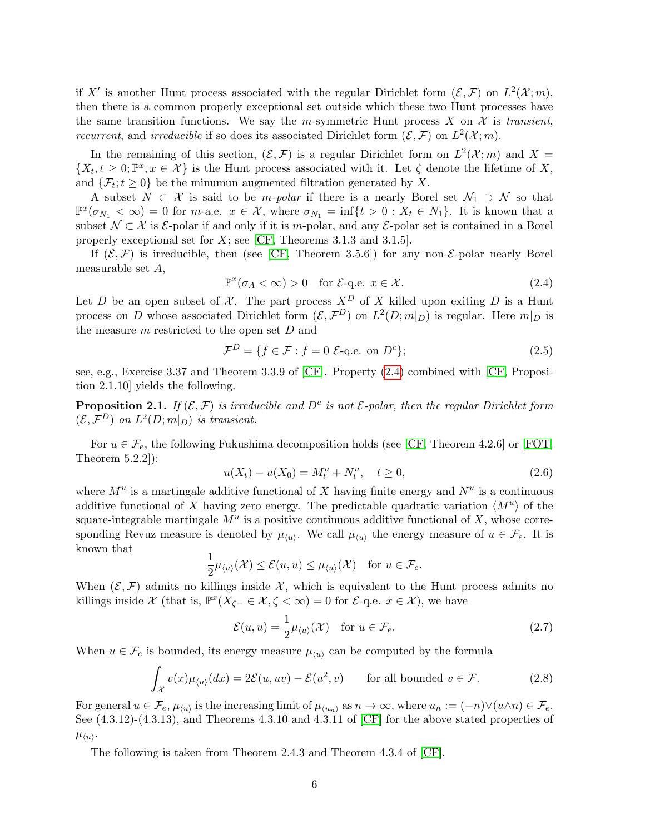if X' is another Hunt process associated with the regular Dirichlet form  $(\mathcal{E}, \mathcal{F})$  on  $L^2(\mathcal{X}; m)$ , then there is a common properly exceptional set outside which these two Hunt processes have the same transition functions. We say the m-symmetric Hunt process X on X is transient, recurrent, and *irreducible* if so does its associated Dirichlet form  $(\mathcal{E}, \mathcal{F})$  on  $L^2(\mathcal{X}; m)$ .

In the remaining of this section,  $(\mathcal{E}, \mathcal{F})$  is a regular Dirichlet form on  $L^2(\mathcal{X}; m)$  and  $X =$  $\{X_t, t \geq 0; \mathbb{P}^x, x \in \mathcal{X}\}\$ is the Hunt process associated with it. Let  $\zeta$  denote the lifetime of X, and  $\{\mathcal{F}_t; t \geq 0\}$  be the minumun augmented filtration generated by X.

A subset  $N \subset \mathcal{X}$  is said to be *m-polar* if there is a nearly Borel set  $\mathcal{N}_1 \supset \mathcal{N}$  so that  $\mathbb{P}^{x}(\sigma_{N_1} < \infty) = 0$  for *m*-a.e.  $x \in \mathcal{X}$ , where  $\sigma_{N_1} = \inf\{t > 0 : X_t \in N_1\}$ . It is known that a subset  $\mathcal{N} \subset \mathcal{X}$  is  $\mathcal{E}$ -polar if and only if it is m-polar, and any  $\mathcal{E}$ -polar set is contained in a Borel properly exceptional set for  $X$ ; see [\[CF,](#page-52-5) Theorems 3.1.3 and 3.1.5].

If  $(\mathcal{E}, \mathcal{F})$  is irreducible, then (see [\[CF,](#page-52-5) Theorem 3.5.6]) for any non- $\mathcal{E}$ -polar nearly Borel measurable set A,

<span id="page-5-0"></span>
$$
\mathbb{P}^x(\sigma_A < \infty) > 0 \quad \text{for } \mathcal{E}\text{-q.e. } x \in \mathcal{X}.\tag{2.4}
$$

Let D be an open subset of X. The part process  $X^D$  of X killed upon exiting D is a Hunt process on D whose associated Dirichlet form  $(\mathcal{E}, \mathcal{F}^D)$  on  $L^2(D; m|_D)$  is regular. Here  $m|_D$  is the measure  $m$  restricted to the open set  $D$  and

<span id="page-5-2"></span>
$$
\mathcal{F}^D = \{ f \in \mathcal{F} : f = 0 \ \mathcal{E}\text{-q.e. on } D^c \};\tag{2.5}
$$

see, e.g., Exercise 3.37 and Theorem 3.3.9 of [\[CF\]](#page-52-5). Property [\(2.4\)](#page-5-0) combined with [\[CF,](#page-52-5) Proposition 2.1.10] yields the following.

<span id="page-5-3"></span>**Proposition 2.1.** If  $(\mathcal{E}, \mathcal{F})$  is irreducible and  $D^c$  is not  $\mathcal{E}$ -polar, then the regular Dirichlet form  $(\mathcal{E}, \mathcal{F}^D)$  on  $L^2(D; m|_D)$  is transient.

For  $u \in \mathcal{F}_e$ , the following Fukushima decomposition holds (see [\[CF,](#page-52-5) Theorem 4.2.6] or [\[FOT,](#page-52-6) Theorem 5.2.2]):

$$
u(X_t) - u(X_0) = M_t^u + N_t^u, \quad t \ge 0,
$$
\n(2.6)

where  $M^u$  is a martingale additive functional of X having finite energy and  $N^u$  is a continuous additive functional of X having zero energy. The predictable quadratic variation  $\langle M^u \rangle$  of the square-integrable martingale  $M^u$  is a positive continuous additive functional of X, whose corresponding Revuz measure is denoted by  $\mu_{\langle u \rangle}$ . We call  $\mu_{\langle u \rangle}$  the energy measure of  $u \in \mathcal{F}_e$ . It is known that

$$
\frac{1}{2}\mu_{\langle u \rangle}(\mathcal{X}) \leq \mathcal{E}(u, u) \leq \mu_{\langle u \rangle}(\mathcal{X}) \quad \text{for } u \in \mathcal{F}_e.
$$

When  $(\mathcal{E}, \mathcal{F})$  admits no killings inside X, which is equivalent to the Hunt process admits no killings inside  $\mathcal X$  (that is,  $\mathbb{P}^x(X_{\zeta-} \in \mathcal X, \zeta < \infty) = 0$  for  $\mathcal E$ -q.e.  $x \in \mathcal X$ ), we have

<span id="page-5-1"></span>
$$
\mathcal{E}(u, u) = \frac{1}{2} \mu_{\langle u \rangle}(\mathcal{X}) \quad \text{for } u \in \mathcal{F}_e.
$$
 (2.7)

When  $u \in \mathcal{F}_e$  is bounded, its energy measure  $\mu_{\langle u \rangle}$  can be computed by the formula

<span id="page-5-4"></span>
$$
\int_{\mathcal{X}} v(x) \mu_{\langle u \rangle}(dx) = 2\mathcal{E}(u, uv) - \mathcal{E}(u^2, v) \quad \text{for all bounded } v \in \mathcal{F}.
$$
 (2.8)

For general  $u \in \mathcal{F}_e$ ,  $\mu_{\langle u \rangle}$  is the increasing limit of  $\mu_{\langle u_n \rangle}$  as  $n \to \infty$ , where  $u_n := (-n) \vee (u \wedge n) \in \mathcal{F}_e$ . See  $(4.3.12)-(4.3.13)$ , and Theorems  $4.3.10$  and  $4.3.11$  of  $\vert$ CF $\vert$  for the above stated properties of  $\mu_{\langle u \rangle}$ .

The following is taken from Theorem 2.4.3 and Theorem 4.3.4 of [\[CF\]](#page-52-5).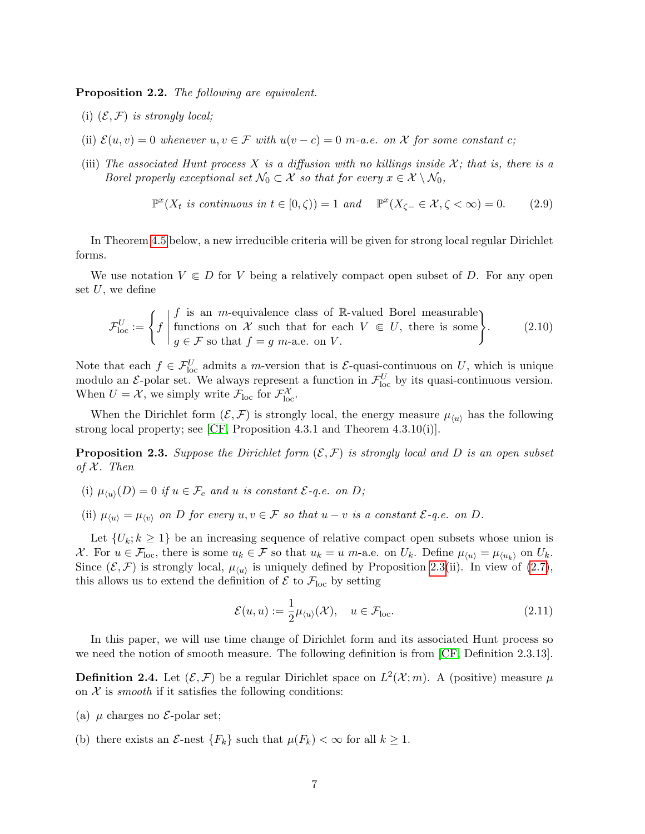<span id="page-6-0"></span>Proposition 2.2. The following are equivalent.

- (i)  $(\mathcal{E}, \mathcal{F})$  is strongly local;
- (ii)  $\mathcal{E}(u, v) = 0$  whenever  $u, v \in \mathcal{F}$  with  $u(v c) = 0$  m-a.e. on X for some constant c;
- (iii) The associated Hunt process X is a diffusion with no killings inside  $\mathcal{X}$ ; that is, there is a Borel properly exceptional set  $\mathcal{N}_0 \subset \mathcal{X}$  so that for every  $x \in \mathcal{X} \setminus \mathcal{N}_0$ ,

$$
\mathbb{P}^x(X_t \text{ is continuous in } t \in [0, \zeta)) = 1 \text{ and } \mathbb{P}^x(X_{\zeta-} \in \mathcal{X}, \zeta < \infty) = 0. \tag{2.9}
$$

In Theorem [4.5](#page-18-0) below, a new irreducible criteria will be given for strong local regular Dirichlet forms.

We use notation  $V \subseteq D$  for V being a relatively compact open subset of D. For any open set  $U$ , we define

$$
\mathcal{F}_{\text{loc}}^U := \left\{ f \mid \begin{matrix} f \text{ is an } m\text{-equivalence class of } \mathbb{R}\text{-valued Borel measurable} \\ \text{functions on } \mathcal{X} \text{ such that for each } V \in U, \text{ there is some} \\ g \in \mathcal{F} \text{ so that } f = g \text{ } m\text{-a.e. on } V. \end{matrix} \right\}.
$$
 (2.10)

Note that each  $f \in \mathcal{F}_{loc}^U$  admits a *m*-version that is  $\mathcal{E}$ -quasi-continuous on U, which is unique modulo an  $\mathcal{E}$ -polar set. We always represent a function in  $\mathcal{F}_{loc}^U$  by its quasi-continuous version. When  $U = \mathcal{X}$ , we simply write  $\mathcal{F}_{loc}$  for  $\mathcal{F}_{loc}^{\mathcal{X}}$ .

When the Dirichlet form  $(\mathcal{E}, \mathcal{F})$  is strongly local, the energy measure  $\mu_{\langle u \rangle}$  has the following strong local property; see [\[CF,](#page-52-5) Proposition 4.3.1 and Theorem 4.3.10(i)].

<span id="page-6-1"></span>**Proposition 2.3.** Suppose the Dirichlet form  $(\mathcal{E}, \mathcal{F})$  is strongly local and D is an open subset of  $X$ . Then

- (i)  $\mu_{\langle u \rangle}(D) = 0$  if  $u \in \mathcal{F}_e$  and u is constant  $\mathcal{E}\text{-}q.e.$  on  $D$ ;
- (ii)  $\mu_{\langle u \rangle} = \mu_{\langle v \rangle}$  on D for every  $u, v \in \mathcal{F}$  so that  $u v$  is a constant  $\mathcal{E}$ -q.e. on D.

Let  $\{U_k; k \geq 1\}$  be an increasing sequence of relative compact open subsets whose union is X. For  $u \in \mathcal{F}_{loc}$ , there is some  $u_k \in \mathcal{F}$  so that  $u_k = u$  m-a.e. on  $U_k$ . Define  $\mu_{\langle u \rangle} = \mu_{\langle u_k \rangle}$  on  $U_k$ . Since  $(\mathcal{E}, \mathcal{F})$  is strongly local,  $\mu_{\langle u \rangle}$  is uniquely defined by Proposition [2.3\(](#page-6-1)ii). In view of [\(2.7\)](#page-5-1), this allows us to extend the definition of  $\mathcal{E}$  to  $\mathcal{F}_{loc}$  by setting

$$
\mathcal{E}(u, u) := \frac{1}{2} \mu_{\langle u \rangle}(\mathcal{X}), \quad u \in \mathcal{F}_{loc}.
$$
\n(2.11)

In this paper, we will use time change of Dirichlet form and its associated Hunt process so we need the notion of smooth measure. The following definition is from [\[CF,](#page-52-5) Definition 2.3.13].

<span id="page-6-2"></span>**Definition 2.4.** Let  $(\mathcal{E}, \mathcal{F})$  be a regular Dirichlet space on  $L^2(\mathcal{X}; m)$ . A (positive) measure  $\mu$ on  $X$  is *smooth* if it satisfies the following conditions:

- (a)  $\mu$  charges no  $\mathcal{E}$ -polar set;
- (b) there exists an  $\mathcal{E}$ -nest  $\{F_k\}$  such that  $\mu(F_k) < \infty$  for all  $k \geq 1$ .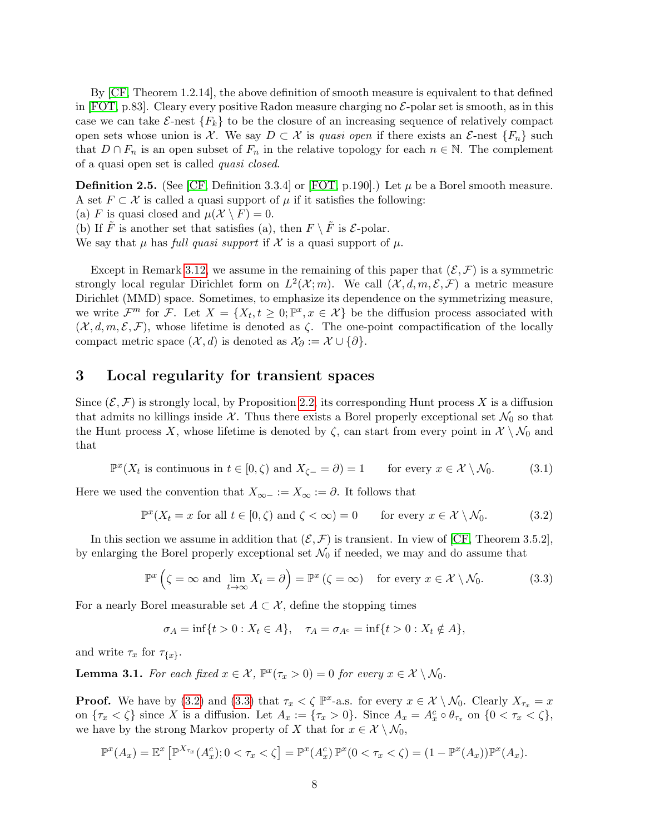By [\[CF,](#page-52-5) Theorem 1.2.14], the above definition of smooth measure is equivalent to that defined in [\[FOT,](#page-52-6) p.83]. Cleary every positive Radon measure charging no  $\mathcal{E}$ -polar set is smooth, as in this case we can take  $\mathcal{E}-$ nest  $\{F_k\}$  to be the closure of an increasing sequence of relatively compact open sets whose union is X. We say  $D \subset \mathcal{X}$  is quasi open if there exists an  $\mathcal{E}$ -nest  $\{F_n\}$  such that  $D \cap F_n$  is an open subset of  $F_n$  in the relative topology for each  $n \in \mathbb{N}$ . The complement of a quasi open set is called quasi closed.

<span id="page-7-5"></span>**Definition 2.5.** (See [\[CF,](#page-52-5) Definition 3.3.4] or [\[FOT,](#page-52-6) p.190].) Let  $\mu$  be a Borel smooth measure. A set  $F \subset \mathcal{X}$  is called a quasi support of  $\mu$  if it satisfies the following:

(a) F is quasi closed and  $\mu(\mathcal{X} \setminus F) = 0$ .

(b) If  $\tilde{F}$  is another set that satisfies (a), then  $F \setminus \tilde{F}$  is  $\mathcal{E}$ -polar.

We say that  $\mu$  has full quasi support if X is a quasi support of  $\mu$ .

Except in Remark [3.12,](#page-14-0) we assume in the remaining of this paper that  $(\mathcal{E}, \mathcal{F})$  is a symmetric strongly local regular Dirichlet form on  $L^2(\mathcal{X};m)$ . We call  $(\mathcal{X}, d, m, \mathcal{E}, \mathcal{F})$  a metric measure Dirichlet (MMD) space. Sometimes, to emphasize its dependence on the symmetrizing measure, we write  $\mathcal{F}^m$  for  $\mathcal{F}$ . Let  $X = \{X_t, t \geq 0; \mathbb{P}^x, x \in \mathcal{X}\}\$ be the diffusion process associated with  $(\mathcal{X}, d, m, \mathcal{E}, \mathcal{F})$ , whose lifetime is denoted as  $\zeta$ . The one-point compactification of the locally compact metric space  $(\mathcal{X}, d)$  is denoted as  $\mathcal{X}_{\partial} := \mathcal{X} \cup \{\partial\}.$ 

# <span id="page-7-0"></span>3 Local regularity for transient spaces

Since  $(\mathcal{E}, \mathcal{F})$  is strongly local, by Proposition [2.2,](#page-6-0) its corresponding Hunt process X is a diffusion that admits no killings inside X. Thus there exists a Borel properly exceptional set  $\mathcal{N}_0$  so that the Hunt process X, whose lifetime is denoted by  $\zeta$ , can start from every point in  $\mathcal{X}\setminus\mathcal{N}_0$  and that

<span id="page-7-4"></span> $\mathbb{P}^{x}(X_t \text{ is continuous in } t \in [0,\zeta) \text{ and } X_{\zeta-} = \partial) = 1$  for every  $x \in \mathcal{X} \setminus \mathcal{N}_0$ . (3.1)

Here we used the convention that  $X_{\infty-} := X_{\infty} := \partial$ . It follows that

<span id="page-7-1"></span>
$$
\mathbb{P}^x(X_t = x \text{ for all } t \in [0, \zeta) \text{ and } \zeta < \infty) = 0 \qquad \text{for every } x \in \mathcal{X} \setminus \mathcal{N}_0. \tag{3.2}
$$

In this section we assume in addition that  $(\mathcal{E}, \mathcal{F})$  is transient. In view of [\[CF,](#page-52-5) Theorem 3.5.2], by enlarging the Borel properly exceptional set  $\mathcal{N}_0$  if needed, we may and do assume that

<span id="page-7-2"></span>
$$
\mathbb{P}^x\left(\zeta = \infty \text{ and } \lim_{t \to \infty} X_t = \partial\right) = \mathbb{P}^x\left(\zeta = \infty\right) \quad \text{for every } x \in \mathcal{X} \setminus \mathcal{N}_0. \tag{3.3}
$$

For a nearly Borel measurable set  $A \subset \mathcal{X}$ , define the stopping times

$$
\sigma_A = \inf\{t > 0 : X_t \in A\}, \quad \tau_A = \sigma_{A^c} = \inf\{t > 0 : X_t \notin A\},\
$$

and write  $\tau_x$  for  $\tau_{\{x\}}$ .

<span id="page-7-3"></span>**Lemma 3.1.** For each fixed  $x \in \mathcal{X}$ ,  $\mathbb{P}^x(\tau_x > 0) = 0$  for every  $x \in \mathcal{X} \setminus \mathcal{N}_0$ .

**Proof.** We have by [\(3.2\)](#page-7-1) and [\(3.3\)](#page-7-2) that  $\tau_x < \zeta$   $\mathbb{P}^x$ -a.s. for every  $x \in \mathcal{X} \setminus \mathcal{N}_0$ . Clearly  $X_{\tau_x} = x$ on  $\{\tau_x < \zeta\}$  since X is a diffusion. Let  $A_x := \{\tau_x > 0\}$ . Since  $A_x = A_x^c \circ \theta_{\tau_x}$  on  $\{0 < \tau_x < \zeta\}$ , we have by the strong Markov property of X that for  $x \in \mathcal{X} \setminus \mathcal{N}_0$ ,

$$
\mathbb{P}^x(A_x) = \mathbb{E}^x \left[ \mathbb{P}^{X_{\tau_x}}(A_x^c); 0 < \tau_x < \zeta \right] = \mathbb{P}^x(A_x^c) \mathbb{P}^x(0 < \tau_x < \zeta) = (1 - \mathbb{P}^x(A_x)) \mathbb{P}^x(A_x).
$$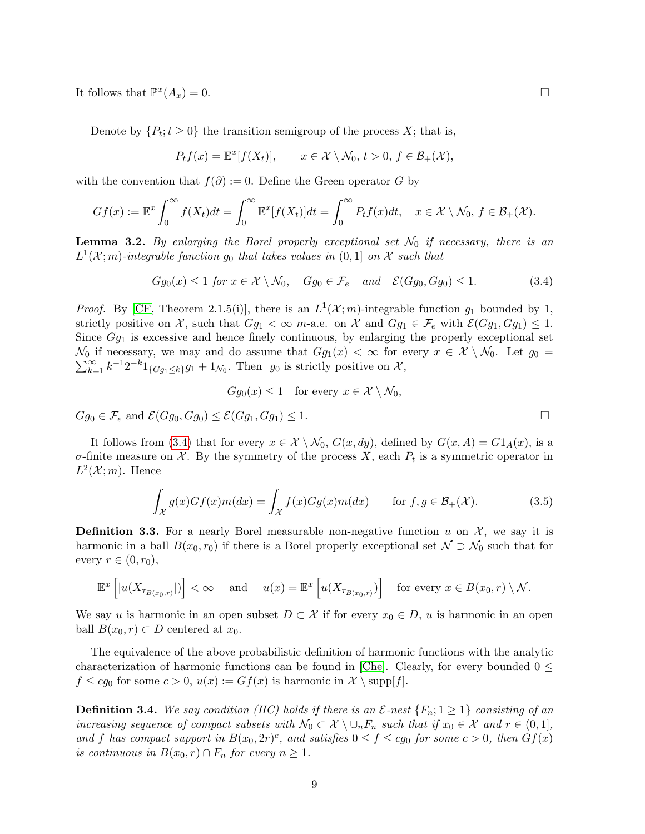It follows that  $\mathbb{P}^x$  $(A_x) = 0.$ 

Denote by  $\{P_t; t \geq 0\}$  the transition semigroup of the process X; that is,

$$
P_t f(x) = \mathbb{E}^x[f(X_t)], \qquad x \in \mathcal{X} \setminus \mathcal{N}_0, t > 0, f \in \mathcal{B}_+(\mathcal{X}),
$$

with the convention that  $f(\partial) := 0$ . Define the Green operator G by

$$
Gf(x) := \mathbb{E}^x \int_0^\infty f(X_t) dt = \int_0^\infty \mathbb{E}^x [f(X_t)] dt = \int_0^\infty P_t f(x) dt, \quad x \in \mathcal{X} \setminus \mathcal{N}_0, f \in \mathcal{B}_+(\mathcal{X}).
$$

<span id="page-8-2"></span>**Lemma 3.2.** By enlarging the Borel properly exceptional set  $\mathcal{N}_0$  if necessary, there is an  $L^1(\mathcal{X};m)$ -integrable function  $g_0$  that takes values in  $(0,1]$  on  $\mathcal X$  such that

<span id="page-8-0"></span>
$$
Gg_0(x) \le 1 \text{ for } x \in \mathcal{X} \setminus \mathcal{N}_0, \quad Gg_0 \in \mathcal{F}_e \quad \text{and} \quad \mathcal{E}(Gg_0, Gg_0) \le 1. \tag{3.4}
$$

*Proof.* By [\[CF,](#page-52-5) Theorem 2.1.5(i)], there is an  $L^1(\mathcal{X}; m)$ -integrable function  $g_1$  bounded by 1, strictly positive on X, such that  $Gg_1 < \infty$  m-a.e. on X and  $Gg_1 \in \mathcal{F}_e$  with  $\mathcal{E}(Gg_1, Gg_1) \leq 1$ . Since  $Gg_1$  is excessive and hence finely continuous, by enlarging the properly exceptional set  $\mathcal{N}_0$  if necessary, we may and do assume that  $Gg_1(x) < \infty$  for every  $x \in \mathcal{X} \setminus \mathcal{N}_0$ . Let  $g_0 =$  $\sum_{k=1}^{\infty} k^{-1}2^{-k}1_{\{Gg_1\leq k\}}g_1+1_{\mathcal{N}_0}$ . Then  $g_0$  is strictly positive on X,

$$
Gg_0(x) \le 1 \quad \text{for every } x \in \mathcal{X} \setminus \mathcal{N}_0,
$$

 $Gg_0 \in \mathcal{F}_e$  and  $\mathcal{E}(Gg_0, Gg_0) \leq \mathcal{E}(Gg_1, Gg_1) \leq 1.$ 

It follows from [\(3.4\)](#page-8-0) that for every  $x \in \mathcal{X} \setminus \mathcal{N}_0$ ,  $G(x, dy)$ , defined by  $G(x, A) = G1_A(x)$ , is a  $\sigma$ -finite measure on X. By the symmetry of the process X, each  $P_t$  is a symmetric operator in  $L^2(\mathcal{X};m)$ . Hence

<span id="page-8-1"></span>
$$
\int_{\mathcal{X}} g(x)Gf(x)m(dx) = \int_{\mathcal{X}} f(x)Gg(x)m(dx) \quad \text{for } f, g \in \mathcal{B}_{+}(\mathcal{X}).
$$
\n(3.5)

**Definition 3.3.** For a nearly Borel measurable non-negative function u on  $\mathcal{X}$ , we say it is harmonic in a ball  $B(x_0, r_0)$  if there is a Borel properly exceptional set  $\mathcal{N} \supset \mathcal{N}_0$  such that for every  $r \in (0, r_0)$ ,

$$
\mathbb{E}^x\left[|u(X_{\tau_{B(x_0,r)}}|)\right] < \infty \quad \text{ and } \quad u(x) = \mathbb{E}^x\left[u(X_{\tau_{B(x_0,r)}})\right] \quad \text{for every } x \in B(x_0,r) \setminus \mathcal{N}.
$$

We say u is harmonic in an open subset  $D \subset \mathcal{X}$  if for every  $x_0 \in D$ , u is harmonic in an open ball  $B(x_0, r) \subset D$  centered at  $x_0$ .

The equivalence of the above probabilistic definition of harmonic functions with the analytic characterization of harmonic functions can be found in [\[Che\]](#page-52-7). Clearly, for every bounded  $0 \leq$  $f \leq cg_0$  for some  $c > 0$ ,  $u(x) := Gf(x)$  is harmonic in  $\mathcal{X} \setminus \text{supp}[f].$ 

**Definition 3.4.** We say condition (HC) holds if there is an  $\mathcal{E}$ -nest  $\{F_n; 1 \geq 1\}$  consisting of an increasing sequence of compact subsets with  $\mathcal{N}_0 \subset \mathcal{X} \setminus \cup_n F_n$  such that if  $x_0 \in \mathcal{X}$  and  $r \in (0,1],$ and f has compact support in  $B(x_0, 2r)^c$ , and satisfies  $0 \le f \le cg_0$  for some  $c > 0$ , then  $Gf(x)$ is continuous in  $B(x_0, r) \cap F_n$  for every  $n \geq 1$ .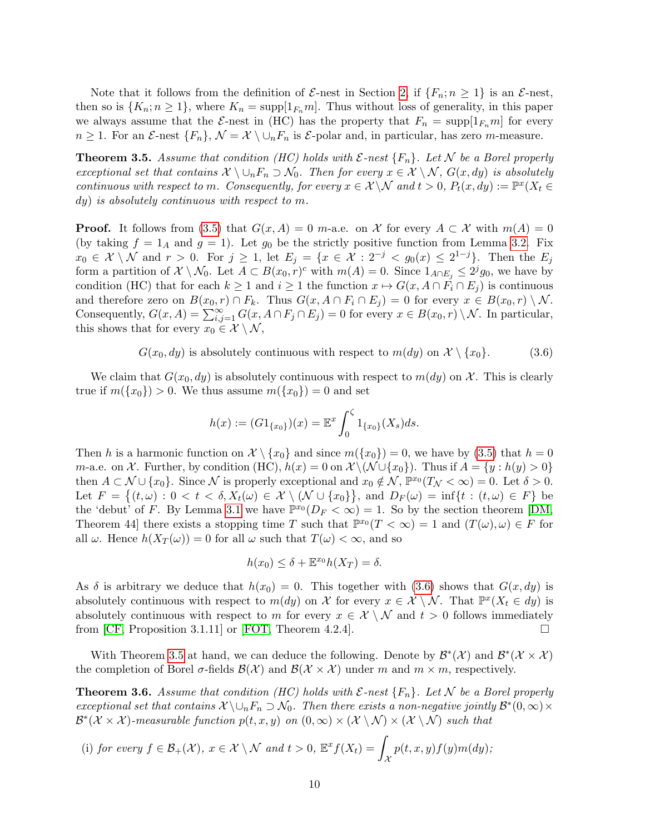Note that it follows from the definition of  $\mathcal{E}$ -nest in Section [2,](#page-3-0) if  $\{F_n: n \geq 1\}$  is an  $\mathcal{E}$ -nest, then so is  $\{K_n; n \geq 1\}$ , where  $K_n = \text{supp}[1_{F_n}m]$ . Thus without loss of generality, in this paper we always assume that the  $\mathcal{E}$ -nest in (HC) has the property that  $F_n = \text{supp}[1_{F_n}m]$  for every  $n \geq 1$ . For an  $\mathcal{E}$ -nest  $\{F_n\}, \mathcal{N} = \mathcal{X} \setminus \cup_n F_n$  is  $\mathcal{E}$ -polar and, in particular, has zero m-measure.

<span id="page-9-1"></span>**Theorem 3.5.** Assume that condition (HC) holds with  $\mathcal{E}$ -nest  $\{F_n\}$ . Let N be a Borel properly exceptional set that contains  $\mathcal{X} \setminus \cup_n F_n \supset \mathcal{N}_0$ . Then for every  $x \in \mathcal{X} \setminus \mathcal{N}$ ,  $G(x, dy)$  is absolutely continuous with respect to m. Consequently, for every  $x \in \mathcal{X} \backslash \mathcal{N}$  and  $t > 0$ ,  $P_t(x, dy) := \mathbb{P}^x(X_t \in$ dy) is absolutely continuous with respect to m.

**Proof.** It follows from [\(3.5\)](#page-8-1) that  $G(x, A) = 0$  m-a.e. on X for every  $A \subset \mathcal{X}$  with  $m(A) = 0$ (by taking  $f = 1_A$  and  $g = 1$ ). Let  $g_0$  be the strictly positive function from Lemma [3.2.](#page-8-2) Fix  $x_0 \in \mathcal{X} \setminus \mathcal{N}$  and  $r > 0$ . For  $j \geq 1$ , let  $E_j = \{x \in \mathcal{X} : 2^{-j} < g_0(x) \leq 2^{1-j}\}$ . Then the  $E_j$ form a partition of  $\mathcal{X} \setminus \mathcal{N}_0$ . Let  $A \subset B(x_0, r)^c$  with  $m(A) = 0$ . Since  $1_{A \cap E_j} \leq 2^j g_0$ , we have by condition (HC) that for each  $k \geq 1$  and  $i \geq 1$  the function  $x \mapsto G(x, A \cap F_i \cap E_j)$  is continuous and therefore zero on  $B(x_0, r) \cap F_k$ . Thus  $G(x, A \cap F_i \cap E_j) = 0$  for every  $x \in B(x_0, r) \setminus \mathcal{N}$ . Consequently,  $G(x, A) = \sum_{i,j=1}^{\infty} G(x, A \cap F_j \cap E_j) = 0$  for every  $x \in B(x_0, r) \setminus \mathcal{N}$ . In particular, this shows that for every  $x_0 \in \mathcal{X} \setminus \mathcal{N}$ ,

<span id="page-9-0"></span> $G(x_0, dy)$  is absolutely continuous with respect to  $m(dy)$  on  $\mathcal{X} \setminus \{x_0\}.$  (3.6)

We claim that  $G(x_0, dy)$  is absolutely continuous with respect to  $m(dy)$  on X. This is clearly true if  $m({x_0}) > 0$ . We thus assume  $m({x_0}) = 0$  and set

$$
h(x) := (G1_{\{x_0\}})(x) = \mathbb{E}^x \int_0^{\zeta} 1_{\{x_0\}}(X_s) ds.
$$

Then h is a harmonic function on  $\mathcal{X} \setminus \{x_0\}$  and since  $m(\{x_0\}) = 0$ , we have by [\(3.5\)](#page-8-1) that  $h = 0$ m-a.e. on X. Further, by condition (HC),  $h(x) = 0$  on  $\mathcal{X} \setminus (\mathcal{N} \cup \{x_0\})$ . Thus if  $A = \{y : h(y) > 0\}$ then  $A \subset \mathcal{N} \cup \{x_0\}$ . Since  $\mathcal{N}$  is properly exceptional and  $x_0 \notin \mathcal{N}$ ,  $\mathbb{P}^{x_0}(T_{\mathcal{N}} < \infty) = 0$ . Let  $\delta > 0$ . Let  $F = \{(t, \omega) : 0 < t < \delta, X_t(\omega) \in \mathcal{X} \setminus (\mathcal{N} \cup \{x_0\}\}\)$ , and  $D_F(\omega) = \inf\{t : (t, \omega) \in F\}$  be the 'debut' of F. By Lemma [3.1](#page-7-3) we have  $\mathbb{P}^{x_0}(D_F < \infty) = 1$ . So by the section theorem [\[DM,](#page-52-8) Theorem 44 there exists a stopping time T such that  $\mathbb{P}^{x_0}(T < \infty) = 1$  and  $(T(\omega), \omega) \in F$  for all  $\omega$ . Hence  $h(X_T(\omega)) = 0$  for all  $\omega$  such that  $T(\omega) < \infty$ , and so

$$
h(x_0) \le \delta + \mathbb{E}^{x_0} h(X_T) = \delta.
$$

As  $\delta$  is arbitrary we deduce that  $h(x_0) = 0$ . This together with [\(3.6\)](#page-9-0) shows that  $G(x, dy)$  is absolutely continuous with respect to  $m(dy)$  on X for every  $x \in \mathcal{X} \setminus \mathcal{N}$ . That  $\mathbb{P}^x(X_t \in dy)$  is absolutely continuous with respect to m for every  $x \in \mathcal{X} \setminus \mathcal{N}$  and  $t > 0$  follows immediately from [\[CF,](#page-52-5) Proposition 3.1.11] or [\[FOT,](#page-52-6) Theorem 4.2.4].

With Theorem [3.5](#page-9-1) at hand, we can deduce the following. Denote by  $\mathcal{B}^*(\mathcal{X})$  and  $\mathcal{B}^*(\mathcal{X} \times \mathcal{X})$ the completion of Borel  $\sigma$ -fields  $\mathcal{B}(\mathcal{X})$  and  $\mathcal{B}(\mathcal{X} \times \mathcal{X})$  under m and  $m \times m$ , respectively.

<span id="page-9-2"></span>**Theorem 3.6.** Assume that condition (HC) holds with  $\mathcal{E}$ -nest  $\{F_n\}$ . Let N be a Borel properly exceptional set that contains  $\mathcal{X}\setminus\cup_n F_n\supset \mathcal{N}_0$ . Then there exists a non-negative jointly  $\mathcal{B}^*(0,\infty)\times$  $\mathcal{B}^*(\mathcal{X} \times \mathcal{X})$ -measurable function  $p(t,x,y)$  on  $(0,\infty) \times (\mathcal{X} \setminus \mathcal{N}) \times (\mathcal{X} \setminus \mathcal{N})$  such that

(i) for every 
$$
f \in \mathcal{B}_+(\mathcal{X})
$$
,  $x \in \mathcal{X} \setminus \mathcal{N}$  and  $t > 0$ ,  $\mathbb{E}^x f(X_t) = \int_{\mathcal{X}} p(t, x, y) f(y) m(dy)$ ;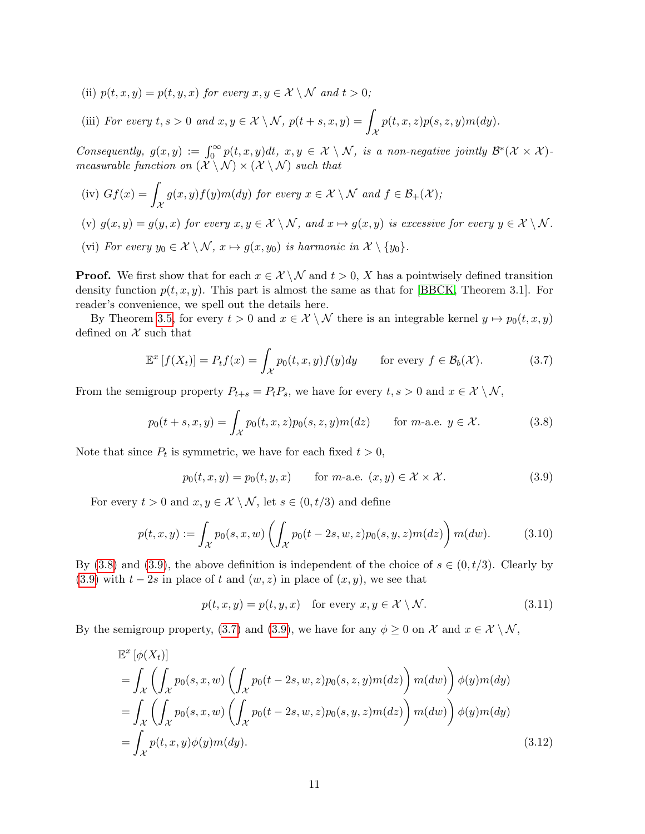- (ii)  $p(t, x, y) = p(t, y, x)$  for every  $x, y \in \mathcal{X} \setminus \mathcal{N}$  and  $t > 0$ ;
- (iii) For every  $t, s > 0$  and  $x, y \in \mathcal{X} \setminus \mathcal{N}$ ,  $p(t + s, x, y) = \emptyset$  $\mathcal X$  $p(t, x, z)p(s, z, y)m(dy).$

Consequently,  $g(x, y) := \int_0^\infty p(t, x, y) dt$ ,  $x, y \in \mathcal{X} \setminus \mathcal{N}$ , is a non-negative jointly  $\mathcal{B}^*(\mathcal{X} \times \mathcal{X})$ measurable function on  $(\mathcal{X}\setminus\mathcal{N})\times(\mathcal{X}\setminus\mathcal{N})$  such that

- (iv)  $Gf(x) =$  $\mathcal{X}_{0}^{(n)}$  $g(x,y)f(y)m(dy)$  for every  $x \in \mathcal{X} \setminus \mathcal{N}$  and  $f \in \mathcal{B}_+(\mathcal{X})$ ;
- (v)  $g(x, y) = g(y, x)$  for every  $x, y \in \mathcal{X} \setminus \mathcal{N}$ , and  $x \mapsto g(x, y)$  is excessive for every  $y \in \mathcal{X} \setminus \mathcal{N}$ . (vi) For every  $y_0 \in \mathcal{X} \setminus \mathcal{N}, x \mapsto g(x, y_0)$  is harmonic in  $\mathcal{X} \setminus \{y_0\}.$

**Proof.** We first show that for each  $x \in \mathcal{X} \setminus \mathcal{N}$  and  $t > 0$ , X has a pointwisely defined transition density function  $p(t, x, y)$ . This part is almost the same as that for [\[BBCK,](#page-52-9) Theorem 3.1]. For reader's convenience, we spell out the details here.

By Theorem [3.5,](#page-9-1) for every  $t > 0$  and  $x \in \mathcal{X} \setminus \mathcal{N}$  there is an integrable kernel  $y \mapsto p_0(t, x, y)$ defined on  $\mathcal X$  such that

<span id="page-10-2"></span>
$$
\mathbb{E}^x \left[ f(X_t) \right] = P_t f(x) = \int_{\mathcal{X}} p_0(t, x, y) f(y) dy \quad \text{for every } f \in \mathcal{B}_b(\mathcal{X}). \tag{3.7}
$$

From the semigroup property  $P_{t+s} = P_t P_s$ , we have for every  $t, s > 0$  and  $x \in \mathcal{X} \setminus \mathcal{N}$ ,

<span id="page-10-0"></span>
$$
p_0(t+s,x,y) = \int_{\mathcal{X}} p_0(t,x,z) p_0(s,z,y) m(dz) \quad \text{for } m\text{-a.e. } y \in \mathcal{X}.
$$
 (3.8)

Note that since  $P_t$  is symmetric, we have for each fixed  $t > 0$ ,

<span id="page-10-1"></span>
$$
p_0(t, x, y) = p_0(t, y, x) \quad \text{for } m\text{-a.e. } (x, y) \in \mathcal{X} \times \mathcal{X}. \tag{3.9}
$$

For every  $t > 0$  and  $x, y \in \mathcal{X} \setminus \mathcal{N}$ , let  $s \in (0, t/3)$  and define

<span id="page-10-3"></span>
$$
p(t, x, y) := \int_{\mathcal{X}} p_0(s, x, w) \left( \int_{\mathcal{X}} p_0(t - 2s, w, z) p_0(s, y, z) m(dz) \right) m(dw). \tag{3.10}
$$

By [\(3.8\)](#page-10-0) and [\(3.9\)](#page-10-1), the above definition is independent of the choice of  $s \in (0, t/3)$ . Clearly by [\(3.9\)](#page-10-1) with  $t - 2s$  in place of t and  $(w, z)$  in place of  $(x, y)$ , we see that

<span id="page-10-5"></span><span id="page-10-4"></span>
$$
p(t, x, y) = p(t, y, x) \quad \text{for every } x, y \in \mathcal{X} \setminus \mathcal{N}.
$$
 (3.11)

By the semigroup property, [\(3.7\)](#page-10-2) and [\(3.9\)](#page-10-1), we have for any  $\phi \geq 0$  on X and  $x \in \mathcal{X} \setminus \mathcal{N}$ ,

$$
\mathbb{E}^{x} [\phi(X_t)]
$$
\n
$$
= \int_{\mathcal{X}} \left( \int_{\mathcal{X}} p_0(s, x, w) \left( \int_{\mathcal{X}} p_0(t - 2s, w, z) p_0(s, z, y) m(dz) \right) m(dw) \right) \phi(y) m(dy)
$$
\n
$$
= \int_{\mathcal{X}} \left( \int_{\mathcal{X}} p_0(s, x, w) \left( \int_{\mathcal{X}} p_0(t - 2s, w, z) p_0(s, y, z) m(dz) \right) m(dw) \right) \phi(y) m(dy)
$$
\n
$$
= \int_{\mathcal{X}} p(t, x, y) \phi(y) m(dy).
$$
\n(3.12)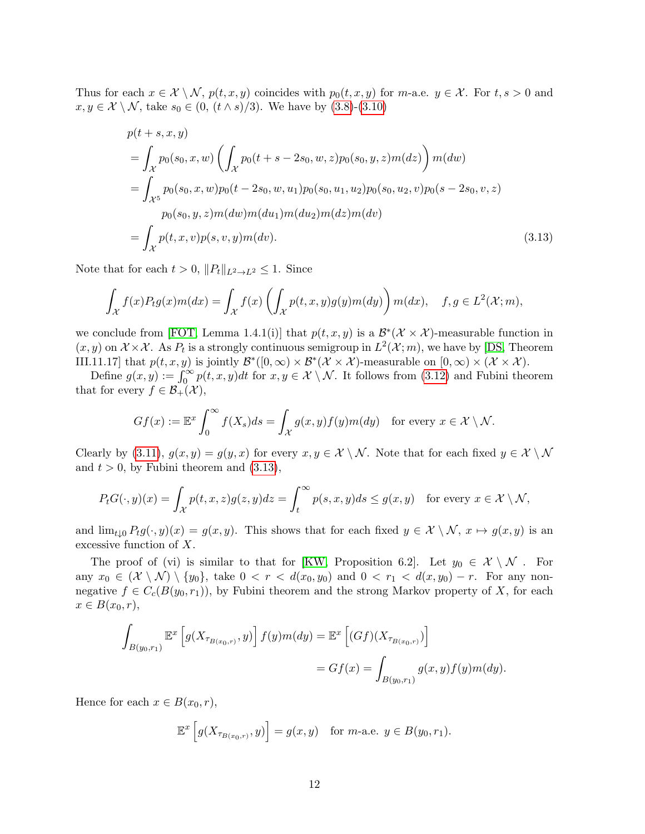Thus for each  $x \in \mathcal{X} \setminus \mathcal{N}$ ,  $p(t, x, y)$  coincides with  $p_0(t, x, y)$  for m-a.e.  $y \in \mathcal{X}$ . For  $t, s > 0$  and  $x, y \in \mathcal{X} \setminus \mathcal{N}$ , take  $s_0 \in (0, (t \wedge s)/3)$ . We have by  $(3.8)$ - $(3.10)$ 

<span id="page-11-0"></span>
$$
p(t+s, x, y)
$$
  
=  $\int_{\mathcal{X}} p_0(s_0, x, w) \left( \int_{\mathcal{X}} p_0(t+s-2s_0, w, z) p_0(s_0, y, z) m(dz) \right) m(dw)$   
=  $\int_{\mathcal{X}^5} p_0(s_0, x, w) p_0(t-2s_0, w, u_1) p_0(s_0, u_1, u_2) p_0(s_0, u_2, v) p_0(s-2s_0, v, z)$   

$$
p_0(s_0, y, z) m(dw) m(du_1) m(du_2) m(dz) m(dv)
$$
  
=  $\int_{\mathcal{X}} p(t, x, v) p(s, v, y) m(dv).$  (3.13)

Note that for each  $t > 0$ ,  $||P_t||_{L^2 \to L^2} \leq 1$ . Since

$$
\int_{\mathcal{X}} f(x) P_t g(x) m(dx) = \int_{\mathcal{X}} f(x) \left( \int_{\mathcal{X}} p(t, x, y) g(y) m(dy) \right) m(dx), \quad f, g \in L^2(\mathcal{X}; m),
$$

we conclude from [\[FOT,](#page-52-6) Lemma 1.4.1(i)] that  $p(t, x, y)$  is a  $\mathcal{B}^*(X \times X)$ -measurable function in  $(x, y)$  on  $\mathcal{X} \times \mathcal{X}$ . As  $P_t$  is a strongly continuous semigroup in  $L^2(\mathcal{X}; m)$ , we have by [\[DS,](#page-52-10) Theorem III.11.17 that  $p(t, x, y)$  is jointly  $\mathcal{B}^*([0, \infty) \times \mathcal{B}^*(\mathcal{X} \times \mathcal{X})$ -measurable on  $[0, \infty) \times (\mathcal{X} \times \mathcal{X})$ .

Define  $g(x, y) := \int_0^\infty p(t, x, y) dt$  for  $x, y \in \mathcal{X} \setminus \mathcal{N}$ . It follows from [\(3.12\)](#page-10-4) and Fubini theorem that for every  $f \in \mathcal{B}_+(\mathcal{X}),$ 

$$
Gf(x) := \mathbb{E}^x \int_0^\infty f(X_s)ds = \int_{\mathcal{X}} g(x, y)f(y)m(dy) \text{ for every } x \in \mathcal{X} \setminus \mathcal{N}.
$$

Clearly by [\(3.11\)](#page-10-5),  $g(x, y) = g(y, x)$  for every  $x, y \in \mathcal{X} \setminus \mathcal{N}$ . Note that for each fixed  $y \in \mathcal{X} \setminus \mathcal{N}$ and  $t > 0$ , by Fubini theorem and  $(3.13)$ ,

$$
P_t G(\cdot, y)(x) = \int_{\mathcal{X}} p(t, x, z) g(z, y) dz = \int_t^{\infty} p(s, x, y) ds \le g(x, y) \quad \text{for every } x \in \mathcal{X} \setminus \mathcal{N},
$$

and  $\lim_{t\downarrow 0} P_t g(\cdot, y)(x) = g(x, y)$ . This shows that for each fixed  $y \in \mathcal{X} \setminus \mathcal{N}, x \mapsto g(x, y)$  is an excessive function of X.

The proof of (vi) is similar to that for [\[KW,](#page-53-7) Proposition 6.2]. Let  $y_0 \in \mathcal{X} \setminus \mathcal{N}$ . For any  $x_0 \in (\mathcal{X} \setminus \mathcal{N}) \setminus \{y_0\}$ , take  $0 < r < d(x_0, y_0)$  and  $0 < r_1 < d(x, y_0) - r$ . For any nonnegative  $f \in C_c(B(y_0, r_1))$ , by Fubini theorem and the strong Markov property of X, for each  $x \in B(x_0, r)$ ,

$$
\int_{B(y_0,r_1)} \mathbb{E}^x \left[ g(X_{\tau_{B(x_0,r)}}, y) \right] f(y) m(dy) = \mathbb{E}^x \left[ (Gf)(X_{\tau_{B(x_0,r)}}) \right]
$$
  
=  $Gf(x) = \int_{B(y_0,r_1)} g(x, y) f(y) m(dy).$ 

Hence for each  $x \in B(x_0, r)$ ,

$$
\mathbb{E}^x\left[g(X_{\tau_{B(x_0,r)}},y)\right] = g(x,y) \text{ for } m\text{-a.e. } y \in B(y_0,r_1).
$$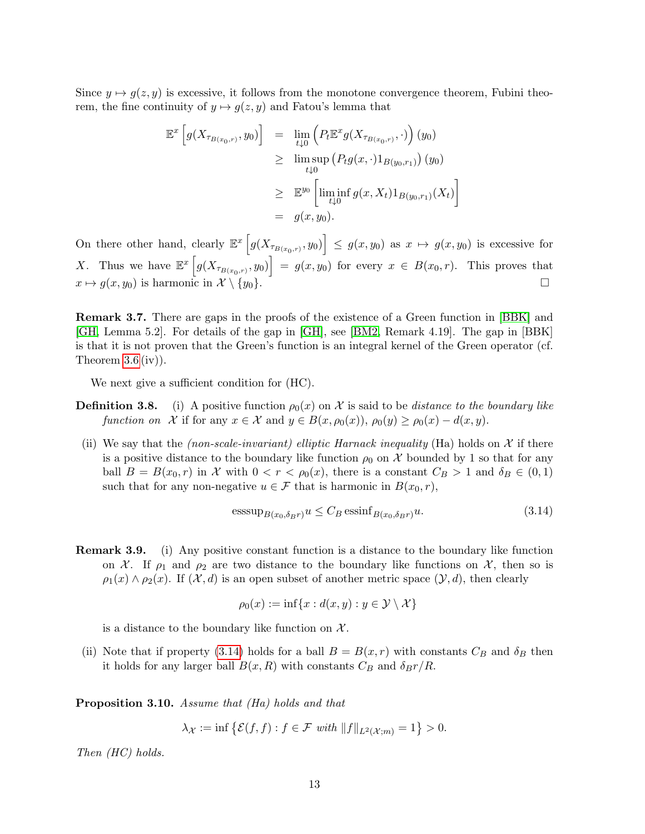Since  $y \mapsto g(z, y)$  is excessive, it follows from the monotone convergence theorem, Fubini theorem, the fine continuity of  $y \mapsto g(z, y)$  and Fatou's lemma that

$$
\mathbb{E}^{x} \left[ g(X_{\tau_{B(x_0,r)}}, y_0) \right] = \lim_{t \downarrow 0} \left( P_t \mathbb{E}^{x} g(X_{\tau_{B(x_0,r)}}, \cdot) \right) (y_0)
$$
  
\n
$$
\geq \lim_{t \downarrow 0} \sup \left( P_t g(x, \cdot) 1_{B(y_0,r_1)} \right) (y_0)
$$
  
\n
$$
\geq \mathbb{E}^{y_0} \left[ \liminf_{t \downarrow 0} g(x, X_t) 1_{B(y_0,r_1)} (X_t) \right]
$$
  
\n
$$
= g(x, y_0).
$$

On there other hand, clearly  $\mathbb{E}^x\left[g(X_{\tau_{B(x_0,r)}},y_0)\right] \leq g(x,y_0)$  as  $x \mapsto g(x,y_0)$  is excessive for X. Thus we have  $\mathbb{E}^x\left[g(X_{\tau_{B(x_0,r)}},y_0)\right] = g(x,y_0)$  for every  $x \in B(x_0,r)$ . This proves that  $x \mapsto g(x, y_0)$  is harmonic in  $\mathcal{X} \setminus \{y_0\}.$ 

Remark 3.7. There are gaps in the proofs of the existence of a Green function in [\[BBK\]](#page-52-11) and [\[GH,](#page-52-4) Lemma 5.2]. For details of the gap in [\[GH\]](#page-52-4), see [\[BM2,](#page-52-3) Remark 4.19]. The gap in [BBK] is that it is not proven that the Green's function is an integral kernel of the Green operator (cf. Theorem  $3.6$  (iv)).

We next give a sufficient condition for (HC).

- **Definition 3.8.** (i) A positive function  $\rho_0(x)$  on X is said to be *distance to the boundary like* function on X if for any  $x \in \mathcal{X}$  and  $y \in B(x, \rho_0(x)), \rho_0(y) \ge \rho_0(x) - d(x, y)$ .
- (ii) We say that the *(non-scale-invariant) elliptic Harnack inequality* (Ha) holds on  $\mathcal X$  if there is a positive distance to the boundary like function  $\rho_0$  on X bounded by 1 so that for any ball  $B = B(x_0, r)$  in X with  $0 < r < \rho_0(x)$ , there is a constant  $C_B > 1$  and  $\delta_B \in (0, 1)$ such that for any non-negative  $u \in \mathcal{F}$  that is harmonic in  $B(x_0, r)$ ,

<span id="page-12-0"></span>
$$
\underset{\text{esssup}}{\text{esssup}}_{B(x_0, \delta_B r)} u \le C_B \underset{\text{essinf}}{\text{essinf}}_{B(x_0, \delta_B r)} u. \tag{3.14}
$$

Remark 3.9. (i) Any positive constant function is a distance to the boundary like function on X. If  $\rho_1$  and  $\rho_2$  are two distance to the boundary like functions on X, then so is  $\rho_1(x) \wedge \rho_2(x)$ . If  $(\mathcal{X}, d)$  is an open subset of another metric space  $(\mathcal{Y}, d)$ , then clearly

$$
\rho_0(x) := \inf\{x : d(x, y) : y \in \mathcal{Y} \setminus \mathcal{X}\}\
$$

is a distance to the boundary like function on  $\mathcal{X}$ .

(ii) Note that if property [\(3.14\)](#page-12-0) holds for a ball  $B = B(x, r)$  with constants  $C_B$  and  $\delta_B$  then it holds for any larger ball  $B(x, R)$  with constants  $C_B$  and  $\delta_B r/R$ .

<span id="page-12-1"></span>Proposition 3.10. Assume that (Ha) holds and that

 $\lambda_{\mathcal{X}} := \inf \left\{ \mathcal{E}(f, f) : f \in \mathcal{F} \text{ with } ||f||_{L^2(\mathcal{X};m)} = 1 \right\} > 0.$ 

Then (HC) holds.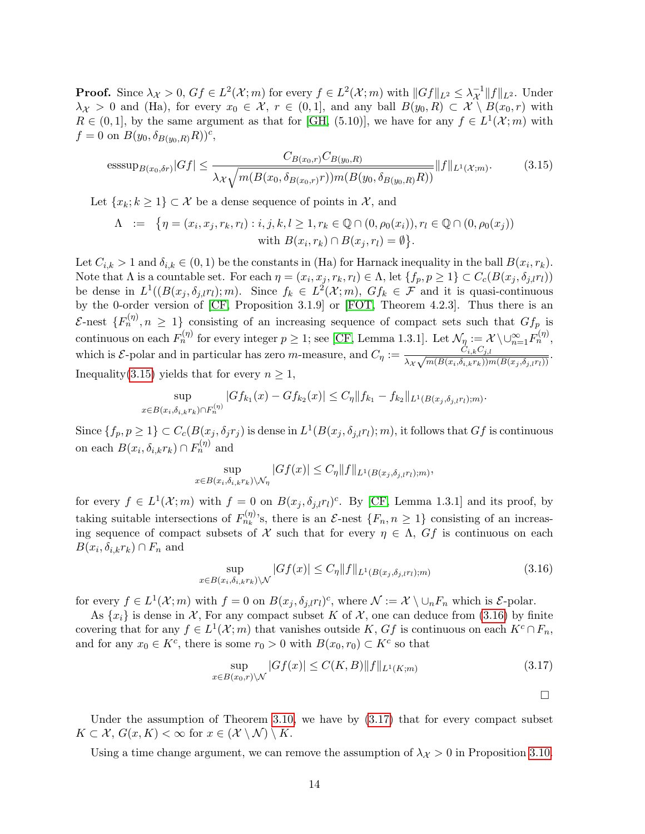**Proof.** Since  $\lambda_{\mathcal{X}} > 0$ ,  $Gf \in L^2(\mathcal{X}; m)$  for every  $f \in L^2(\mathcal{X}; m)$  with  $||Gf||_{L^2} \leq \lambda_{\mathcal{X}}^{-1}||f||_{L^2}$ . Under  $\lambda_X > 0$  and (Ha), for every  $x_0 \in \mathcal{X}$ ,  $r \in (0,1]$ , and any ball  $B(y_0, R) \subset \mathcal{X} \setminus B(x_0, r)$  with  $R \in (0,1]$ , by the same argument as that for [\[GH,](#page-52-4) (5.10)], we have for any  $f \in L^1(\mathcal{X};m)$  with  $f = 0$  on  $B(y_0, \delta_{B(y_0, R)}R))^c$ ,

<span id="page-13-0"></span>
$$
\text{esssup}_{B(x_0, \delta r)} |Gf| \le \frac{C_{B(x_0, r)} C_{B(y_0, R)}}{\lambda_{\mathcal{X}} \sqrt{m(B(x_0, \delta_{B(x_0, r)} r)) m(B(y_0, \delta_{B(y_0, R)} R))}} \|f\|_{L^1(\mathcal{X}; m)}.
$$
(3.15)

Let  $\{x_k; k \geq 1\} \subset \mathcal{X}$  be a dense sequence of points in  $\mathcal{X}$ , and

$$
\Lambda := \{ \eta = (x_i, x_j, r_k, r_l) : i, j, k, l \ge 1, r_k \in \mathbb{Q} \cap (0, \rho_0(x_i)), r_l \in \mathbb{Q} \cap (0, \rho_0(x_j)) \text{with } B(x_i, r_k) \cap B(x_j, r_l) = \emptyset \}.
$$

Let  $C_{i,k} > 1$  and  $\delta_{i,k} \in (0,1)$  be the constants in (Ha) for Harnack inequality in the ball  $B(x_i, r_k)$ . Note that  $\Lambda$  is a countable set. For each  $\eta = (x_i, x_j, r_k, r_l) \in \Lambda$ , let  $\{f_p, p \geq 1\} \subset C_c(B(x_j, \delta_{j,l}r_l))$ be dense in  $L^1((B(x_j, \delta_{j,l}r_l); m)$ . Since  $f_k \in L^2(\mathcal{X}; m)$ ,  $Gf_k \in \mathcal{F}$  and it is quasi-continuous by the 0-order version of [\[CF,](#page-52-5) Proposition 3.1.9] or [\[FOT,](#page-52-6) Theorem 4.2.3]. Thus there is an E-nest  $\{F_n^{(\eta)}, n \geq 1\}$  consisting of an increasing sequence of compact sets such that  $Gf_p$  is continuous on each  $F_n^{(\eta)}$  for every integer  $p \geq 1$ ; see [\[CF,](#page-52-5) Lemma 1.3.1]. Let  $\mathcal{N}_\eta := \mathcal{X} \setminus \cup_{n=1}^{\infty} F_n^{(\eta)}$ , which is  $\mathcal{E}$ -polar and in particular has zero m-measure, and  $C_\eta := \frac{C_{i,k}C_{j,l}}{\sqrt{\eta}(\rho(\sigma,\tilde{\lambda}-\tilde{\lambda}))^{2}}$  $\frac{C_{i,k}C_{j,l}}{\lambda_{\mathcal{X}}\sqrt{m(B(x_i,\delta_{i,k}r_k))m(B(x_j,\delta_{j,l}r_l))}}.$ Inequality[\(3.15\)](#page-13-0) yields that for every  $n \geq 1$ ,

$$
\sup_{x \in B(x_i, \delta_{i,k}r_k) \cap F_n^{(\eta)}} |Gf_{k_1}(x) - Gf_{k_2}(x)| \le C_\eta \|f_{k_1} - f_{k_2}\|_{L^1(B(x_j, \delta_{j,l}r_l);m)}
$$

Since  $\{f_p, p \geq 1\} \subset C_c(B(x_j, \delta_j r_j))$  is dense in  $L^1(B(x_j, \delta_{j,l}r_l); m)$ , it follows that  $Gf$  is continuous on each  $B(x_i, \delta_{i,k}r_k) \cap F_n^{(\eta)}$  and

$$
\sup_{x \in B(x_i, \delta_{i,k}r_k)\setminus \mathcal{N}_\eta} |Gf(x)| \leq C_\eta \|f\|_{L^1(B(x_j, \delta_{j,l}r_l);m)},
$$

for every  $f \in L^1(\mathcal{X};m)$  with  $f=0$  on  $B(x_j,\delta_{j,l}r_l)^c$ . By [\[CF,](#page-52-5) Lemma 1.3.1] and its proof, by taking suitable intersections of  $F_{n_k}^{(\eta)}$ 's, there is an  $\mathcal{E}$ -nest  $\{F_n, n \geq 1\}$  consisting of an increasing sequence of compact subsets of X such that for every  $\eta \in \Lambda$ ,  $Gf$  is continuous on each  $B(x_i, \delta_{i,k}r_k) \cap F_n$  and

<span id="page-13-1"></span>
$$
\sup_{x \in B(x_i, \delta_{i,k}r_k)\setminus\mathcal{N}} |Gf(x)| \le C_\eta \|f\|_{L^1(B(x_j, \delta_{j,l}r_l);m)}
$$
(3.16)

for every  $f \in L^1(\mathcal{X};m)$  with  $f=0$  on  $B(x_j,\delta_{j,l}r_l)^c$ , where  $\mathcal{N} := \mathcal{X} \setminus \cup_n F_n$  which is  $\mathcal{E}\text{-polar}$ .

As  $\{x_i\}$  is dense in X, For any compact subset K of X, one can deduce from [\(3.16\)](#page-13-1) by finite covering that for any  $f \in L^1(\mathcal{X};m)$  that vanishes outside K,  $Gf$  is continuous on each  $K^c \cap F_n$ , and for any  $x_0 \in K^c$ , there is some  $r_0 > 0$  with  $B(x_0, r_0) \subset K^c$  so that

<span id="page-13-2"></span>
$$
\sup_{x \in B(x_0, r) \backslash \mathcal{N}} |Gf(x)| \le C(K, B) \|f\|_{L^1(K; m)}
$$
\n(3.17)

 $\Box$ 

.

Under the assumption of Theorem [3.10,](#page-12-1) we have by  $(3.17)$  that for every compact subset  $K \subset \mathcal{X}, G(x,K) < \infty$  for  $x \in (\mathcal{X} \setminus \mathcal{N}) \setminus K$ .

Using a time change argument, we can remove the assumption of  $\lambda_{\mathcal{X}} > 0$  in Proposition [3.10.](#page-12-1)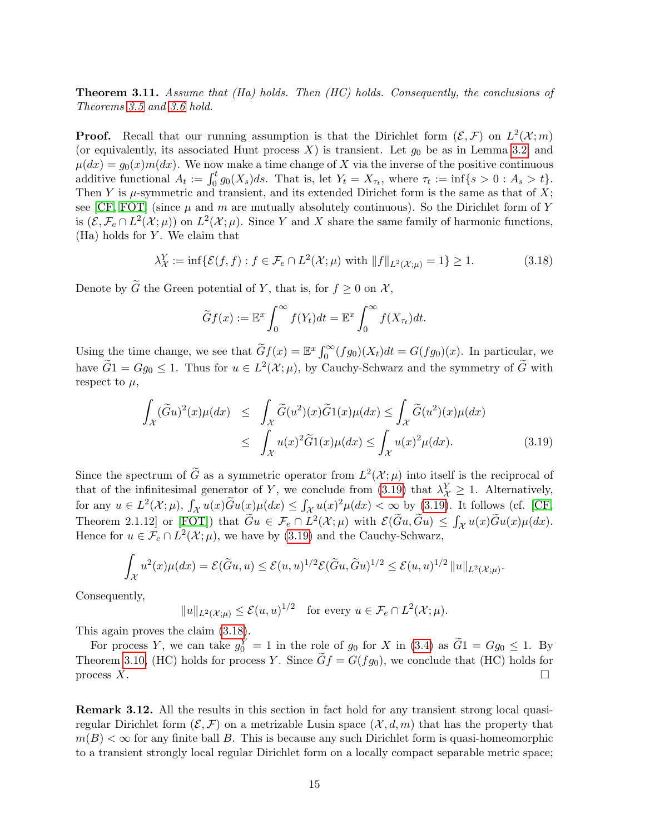<span id="page-14-3"></span>**Theorem 3.11.** Assume that  $(Ha)$  holds. Then  $(HC)$  holds. Consequently, the conclusions of Theorems [3.5](#page-9-1) and [3.6](#page-9-2) hold.

**Proof.** Recall that our running assumption is that the Dirichlet form  $(\mathcal{E}, \mathcal{F})$  on  $L^2(\mathcal{X}; m)$ (or equivalently, its associated Hunt process  $X$ ) is transient. Let  $g_0$  be as in Lemma [3.2,](#page-8-2) and  $\mu(dx) = g_0(x)m(dx)$ . We now make a time change of X via the inverse of the positive continuous additive functional  $A_t := \int_0^t g_0(X_s)ds$ . That is, let  $Y_t = X_{\tau_t}$ , where  $\tau_t := \inf\{s > 0 : A_s > t\}.$ Then Y is  $\mu$ -symmetric and transient, and its extended Dirichet form is the same as that of X; see [\[CF,](#page-52-5) [FOT\]](#page-52-6) (since  $\mu$  and m are mutually absolutely continuous). So the Dirichlet form of Y is  $(\mathcal{E}, \mathcal{F}_e \cap L^2(\mathcal{X};\mu))$  on  $L^2(\mathcal{X};\mu)$ . Since Y and X share the same family of harmonic functions,  $(Ha)$  holds for Y. We claim that

<span id="page-14-2"></span>
$$
\lambda^Y_{\mathcal{X}} := \inf \{ \mathcal{E}(f, f) : f \in \mathcal{F}_e \cap L^2(\mathcal{X}; \mu) \text{ with } ||f||_{L^2(\mathcal{X}; \mu)} = 1 \} \ge 1. \tag{3.18}
$$

Denote by  $\widetilde{G}$  the Green potential of Y, that is, for  $f \geq 0$  on X,

$$
\widetilde{G}f(x) := \mathbb{E}^x \int_0^\infty f(Y_t) dt = \mathbb{E}^x \int_0^\infty f(X_{\tau_t}) dt.
$$

Using the time change, we see that  $\widetilde{G}f(x) = \mathbb{E}^x \int_0^\infty (fg_0)(X_t)dt = G(fg_0)(x)$ . In particular, we have  $\tilde{G}$ 1 =  $Gg_0 \leq 1$ . Thus for  $u \in L^2(\mathcal{X}; \mu)$ , by Cauchy-Schwarz and the symmetry of  $\tilde{G}$  with respect to  $\mu$ ,

<span id="page-14-1"></span>
$$
\int_{\mathcal{X}} (\widetilde{G}u)^{2}(x)\mu(dx) \leq \int_{\mathcal{X}} \widetilde{G}(u^{2})(x)\widetilde{G}1(x)\mu(dx) \leq \int_{\mathcal{X}} \widetilde{G}(u^{2})(x)\mu(dx)
$$
\n
$$
\leq \int_{\mathcal{X}} u(x)^{2}\widetilde{G}1(x)\mu(dx) \leq \int_{\mathcal{X}} u(x)^{2}\mu(dx). \tag{3.19}
$$

Since the spectrum of  $\tilde{G}$  as a symmetric operator from  $L^2(\mathcal{X}; \mu)$  into itself is the reciprocal of that of the infinitesimal generator of Y, we conclude from [\(3.19\)](#page-14-1) that  $\lambda^Y_{\mathcal{X}} \geq 1$ . Alternatively, for any  $u \in L^2(\mathcal{X};\mu)$ ,  $\int_{\mathcal{X}} u(x) \widetilde{G}u(x)\mu(dx) \leq \int_{\mathcal{X}} u(x)^2 \mu(dx) < \infty$  by [\(3.19\)](#page-14-1). It follows (cf. [\[CF,](#page-52-5) Theorem 2.1.12 or [\[FOT\]](#page-52-6)) that  $\widetilde{G}u \in \mathcal{F}_e \cap L^2(\mathcal{X};\mu)$  with  $\mathcal{E}(\widetilde{G}u, \widetilde{G}u) \leq \int_{\mathcal{X}} u(x) \widetilde{G}u(x) \mu(dx)$ . Hence for  $u \in \mathcal{F}_e \cap L^2(\mathcal{X};\mu)$ , we have by [\(3.19\)](#page-14-1) and the Cauchy-Schwarz,

$$
\int_{\mathcal{X}} u^2(x)\mu(dx) = \mathcal{E}(\widetilde{G}u, u) \le \mathcal{E}(u, u)^{1/2} \mathcal{E}(\widetilde{G}u, \widetilde{G}u)^{1/2} \le \mathcal{E}(u, u)^{1/2} ||u||_{L^2(\mathcal{X};\mu)}.
$$

Consequently,

$$
||u||_{L^2(\mathcal{X};\mu)} \leq \mathcal{E}(u,u)^{1/2} \quad \text{for every } u \in \mathcal{F}_e \cap L^2(\mathcal{X};\mu).
$$

This again proves the claim [\(3.18\)](#page-14-2).

For process Y, we can take  $g_0^Y = 1$  in the role of  $g_0$  for X in [\(3.4\)](#page-8-0) as  $\widetilde{G}1 = Gg_0 \le 1$ . By Theorem [3.10,](#page-12-1) (HC) holds for process Y. Since  $Gf = G(fg_0)$ , we conclude that (HC) holds for process  $X$ .

<span id="page-14-0"></span>Remark 3.12. All the results in this section in fact hold for any transient strong local quasiregular Dirichlet form  $(\mathcal{E}, \mathcal{F})$  on a metrizable Lusin space  $(\mathcal{X}, d, m)$  that has the property that  $m(B) < \infty$  for any finite ball B. This is because any such Dirichlet form is quasi-homeomorphic to a transient strongly local regular Dirichlet form on a locally compact separable metric space;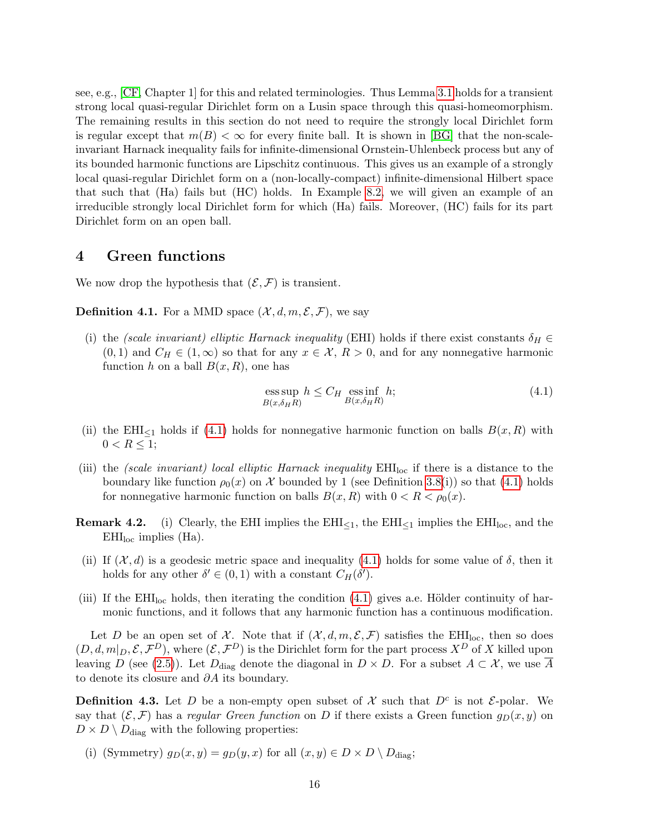see, e.g., [\[CF,](#page-52-5) Chapter 1] for this and related terminologies. Thus Lemma [3.1](#page-7-3) holds for a transient strong local quasi-regular Dirichlet form on a Lusin space through this quasi-homeomorphism. The remaining results in this section do not need to require the strongly local Dirichlet form is regular except that  $m(B) < \infty$  for every finite ball. It is shown in [\[BG\]](#page-52-12) that the non-scaleinvariant Harnack inequality fails for infinite-dimensional Ornstein-Uhlenbeck process but any of its bounded harmonic functions are Lipschitz continuous. This gives us an example of a strongly local quasi-regular Dirichlet form on a (non-locally-compact) infinite-dimensional Hilbert space that such that (Ha) fails but (HC) holds. In Example [8.2,](#page-50-0) we will given an example of an irreducible strongly local Dirichlet form for which (Ha) fails. Moreover, (HC) fails for its part Dirichlet form on an open ball.

### <span id="page-15-1"></span>4 Green functions

We now drop the hypothesis that  $(\mathcal{E}, \mathcal{F})$  is transient.

<span id="page-15-0"></span>**Definition 4.1.** For a MMD space  $(\mathcal{X}, d, m, \mathcal{E}, \mathcal{F})$ , we say

(i) the (scale invariant) elliptic Harnack inequality (EHI) holds if there exist constants  $\delta_H \in$  $(0, 1)$  and  $C_H \in (1, \infty)$  so that for any  $x \in \mathcal{X}, R > 0$ , and for any nonnegative harmonic function h on a ball  $B(x, R)$ , one has

<span id="page-15-2"></span>
$$
\underset{B(x,\delta_H R)}{\text{ess sup}} h \le C_H \underset{B(x,\delta_H R)}{\text{ess inf}} h; \tag{4.1}
$$

- (ii) the EHI<sub> $\leq$ 1</sub> holds if [\(4.1\)](#page-15-2) holds for nonnegative harmonic function on balls  $B(x, R)$  with  $0 < R \leq 1$ ;
- (iii) the *(scale invariant)* local elliptic Harnack inequality  $EHI<sub>loc</sub>$  if there is a distance to the boundary like function  $\rho_0(x)$  on X bounded by 1 (see Definition [3.8\(](#page-0-0)i)) so that [\(4.1\)](#page-15-2) holds for nonnegative harmonic function on balls  $B(x, R)$  with  $0 < R < \rho_0(x)$ .
- **Remark 4.2.** (i) Clearly, the EHI implies the  $EHI_{\leq 1}$ , the  $EHI_{\leq 1}$  implies the  $EHI_{\text{loc}}$ , and the  $EHI<sub>loc</sub>$  implies (Ha).
- (ii) If  $(\mathcal{X}, d)$  is a geodesic metric space and inequality [\(4.1\)](#page-15-2) holds for some value of  $\delta$ , then it holds for any other  $\delta' \in (0,1)$  with a constant  $C_H(\delta')$ .
- (iii) If the  $EHI<sub>loc</sub>$  holds, then iterating the condition [\(4.1\)](#page-15-2) gives a.e. Hölder continuity of harmonic functions, and it follows that any harmonic function has a continuous modification.

Let D be an open set of X. Note that if  $(\mathcal{X}, d, m, \mathcal{E}, \mathcal{F})$  satisfies the EHI<sub>loc</sub>, then so does  $(D, d, m|_D, \mathcal{E}, \mathcal{F}^D)$ , where  $(\mathcal{E}, \mathcal{F}^D)$  is the Dirichlet form for the part process  $X^D$  of X killed upon leaving D (see [\(2.5\)](#page-5-2)). Let  $D_{\text{diag}}$  denote the diagonal in  $D \times D$ . For a subset  $A \subset \mathcal{X}$ , we use  $\overline{A}$ to denote its closure and  $\partial A$  its boundary.

**Definition 4.3.** Let D be a non-empty open subset of X such that  $D<sup>c</sup>$  is not  $\mathcal{E}$ -polar. We say that  $(\mathcal{E}, \mathcal{F})$  has a regular Green function on D if there exists a Green function  $g_D(x, y)$  on  $D \times D \setminus D_{\text{diag}}$  with the following properties:

(i) (Symmetry)  $g_D(x, y) = g_D(y, x)$  for all  $(x, y) \in D \times D \setminus D_{\text{diag}}$ ;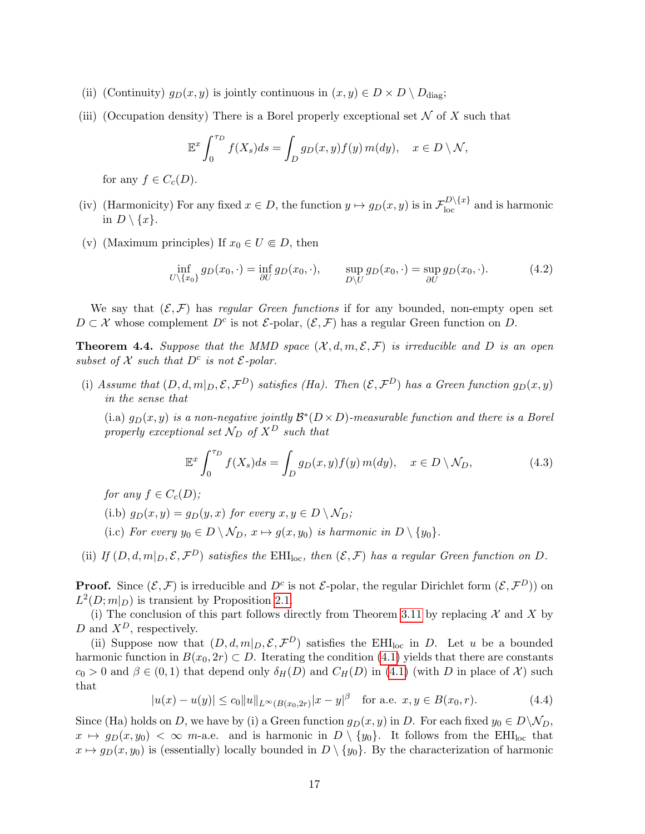- (ii) (Continuity)  $g_D(x, y)$  is jointly continuous in  $(x, y) \in D \times D \setminus D_{\text{diag}}$ ;
- (iii) (Occupation density) There is a Borel properly exceptional set  $\mathcal N$  of X such that

$$
\mathbb{E}^x \int_0^{\tau_D} f(X_s) ds = \int_D g_D(x, y) f(y) m(dy), \quad x \in D \setminus \mathcal{N},
$$

for any  $f \in C_c(D)$ .

- (iv) (Harmonicity) For any fixed  $x \in D$ , the function  $y \mapsto g_D(x, y)$  is in  $\mathcal{F}_{loc}^{D\setminus\{x\}}$  and is harmonic in  $D \setminus \{x\}.$
- (v) (Maximum principles) If  $x_0 \in U \subseteq D$ , then

<span id="page-16-2"></span>
$$
\inf_{U \setminus \{x_0\}} g_D(x_0, \cdot) = \inf_{\partial U} g_D(x_0, \cdot), \qquad \sup_{D \setminus U} g_D(x_0, \cdot) = \sup_{\partial U} g_D(x_0, \cdot). \tag{4.2}
$$

We say that  $(\mathcal{E}, \mathcal{F})$  has regular Green functions if for any bounded, non-empty open set  $D \subset \mathcal{X}$  whose complement  $D^c$  is not  $\mathcal{E}\text{-polar}, (\mathcal{E}, \mathcal{F})$  has a regular Green function on D.

<span id="page-16-1"></span>**Theorem 4.4.** Suppose that the MMD space  $(\mathcal{X}, d, m, \mathcal{E}, \mathcal{F})$  is irreducible and D is an open subset of  $X$  such that  $D^c$  is not  $\mathcal{E}\text{-}polar$ .

(i) Assume that  $(D, d, m|_D, \mathcal{E}, \mathcal{F}^D)$  satisfies (Ha). Then  $(\mathcal{E}, \mathcal{F}^D)$  has a Green function  $g_D(x, y)$ in the sense that

(i.a)  $g_D(x, y)$  is a non-negative jointly  $\mathcal{B}^*(D \times D)$ -measurable function and there is a Borel properly exceptional set  $\mathcal{N}_D$  of  $X^D$  such that

$$
\mathbb{E}^x \int_0^{\tau_D} f(X_s) ds = \int_D g_D(x, y) f(y) m(dy), \quad x \in D \setminus \mathcal{N}_D,
$$
\n(4.3)

for any  $f \in C_c(D)$ ;

- (i.b)  $g_D(x, y) = g_D(y, x)$  for every  $x, y \in D \setminus \mathcal{N}_D$ ;
- (i.c) For every  $y_0 \in D \setminus \mathcal{N}_D$ ,  $x \mapsto g(x, y_0)$  is harmonic in  $D \setminus \{y_0\}.$
- (ii) If  $(D, d, m|_D, \mathcal{E}, \mathcal{F}^D)$  satisfies the EHI<sub>loc</sub>, then  $(\mathcal{E}, \mathcal{F})$  has a regular Green function on D.

**Proof.** Since  $(\mathcal{E}, \mathcal{F})$  is irreducible and  $D^c$  is not  $\mathcal{E}$ -polar, the regular Dirichlet form  $(\mathcal{E}, \mathcal{F}^D)$  on  $L^2(D; m|_D)$  is transient by Proposition [2.1.](#page-5-3)

(i) The conclusion of this part follows directly from Theorem [3.11](#page-14-3) by replacing  $\mathcal X$  and X by D and  $X^D$ , respectively.

(ii) Suppose now that  $(D, d, m|_D, \mathcal{E}, \mathcal{F}^D)$  satisfies the EHI<sub>loc</sub> in D. Let u be a bounded harmonic function in  $B(x_0, 2r) \subset D$ . Iterating the condition [\(4.1\)](#page-15-2) yields that there are constants  $c_0 > 0$  and  $\beta \in (0,1)$  that depend only  $\delta_H(D)$  and  $C_H(D)$  in [\(4.1\)](#page-15-2) (with D in place of X) such that

<span id="page-16-0"></span>
$$
|u(x) - u(y)| \le c_0 \|u\|_{L^\infty(B(x_0, 2r)} |x - y|^\beta \quad \text{for a.e. } x, y \in B(x_0, r). \tag{4.4}
$$

Since (Ha) holds on D, we have by (i) a Green function  $g_D(x, y)$  in D. For each fixed  $y_0 \in D \backslash \mathcal{N}_D$ ,  $x \mapsto g_D(x, y_0) < \infty$  m-a.e. and is harmonic in  $D \setminus \{y_0\}$ . It follows from the EHI<sub>loc</sub> that  $x \mapsto g_D(x, y_0)$  is (essentially) locally bounded in  $D \setminus \{y_0\}$ . By the characterization of harmonic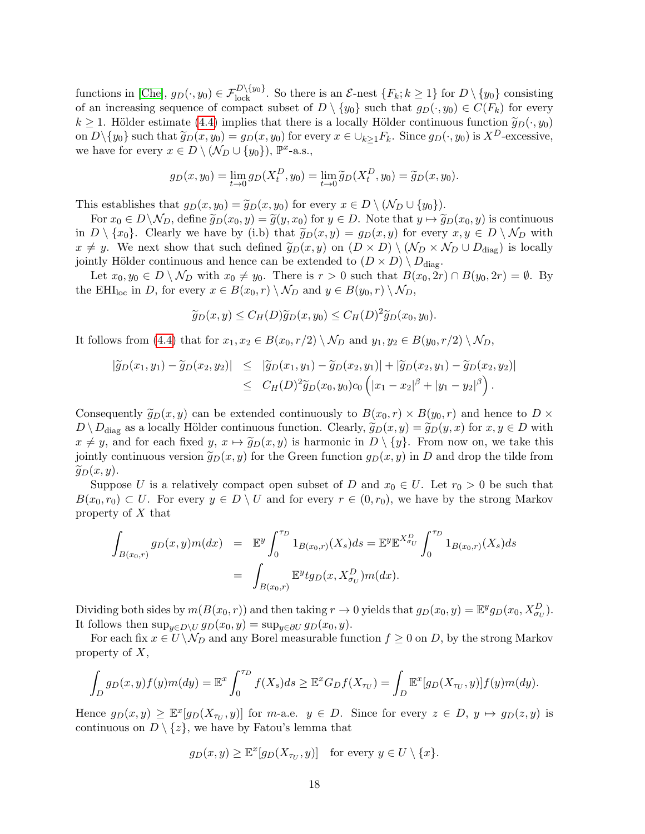functions in [\[Che\]](#page-52-7),  $g_D(\cdot, y_0) \in \mathcal{F}_{\text{lock}}^{D \setminus \{y_0\}}$ . So there is an  $\mathcal{E}$ -nest  $\{F_k; k \ge 1\}$  for  $D \setminus \{y_0\}$  consisting of an increasing sequence of compact subset of  $D \setminus \{y_0\}$  such that  $g_D(\cdot, y_0) \in C(F_k)$  for every  $k \geq 1$ . Hölder estimate [\(4.4\)](#page-16-0) implies that there is a locally Hölder continuous function  $\widetilde{g}_D(\cdot, y_0)$ on  $D \setminus \{y_0\}$  such that  $\widetilde{g}_D(x, y_0) = g_D(x, y_0)$  for every  $x \in \bigcup_{k \geq 1} F_k$ . Since  $g_D(\cdot, y_0)$  is  $X^D$ -excessive, we have for every  $x \in D \setminus (\mathcal{N}_D \cup \{y_0\}), \mathbb{P}^{x}$ -a.s.,

$$
g_D(x, y_0) = \lim_{t \to 0} g_D(X_t^D, y_0) = \lim_{t \to 0} \widetilde{g}_D(X_t^D, y_0) = \widetilde{g}_D(x, y_0).
$$

This establishes that  $g_D(x, y_0) = \widetilde{g}_D(x, y_0)$  for every  $x \in D \setminus (N_D \cup \{y_0\}).$ 

For  $x_0 \in D\setminus \mathcal{N}_D$ , define  $\widetilde{g}_D(x_0, y) = \widetilde{g}(y, x_0)$  for  $y \in D$ . Note that  $y \mapsto \widetilde{g}_D(x_0, y)$  is continuous in  $D \setminus \{x_0\}$ . Clearly we have by (i.b) that  $\widetilde{g}_D(x, y) = g_D(x, y)$  for every  $x, y \in D \setminus \mathcal{N}_D$  with  $x \neq y$ . We next show that such defined  $\widetilde{g}_D(x, y)$  on  $(D \times D) \setminus (N_D \times N_D \cup D_{\text{diag}})$  is locally jointly Hölder continuous and hence can be extended to  $(D \times D) \setminus D_{\text{diag}}$ .

Let  $x_0, y_0 \in D \setminus \mathcal{N}_D$  with  $x_0 \neq y_0$ . There is  $r > 0$  such that  $B(x_0, 2r) \cap B(y_0, 2r) = \emptyset$ . By the EHI<sub>loc</sub> in D, for every  $x \in B(x_0, r) \setminus \mathcal{N}_D$  and  $y \in B(y_0, r) \setminus \mathcal{N}_D$ ,

$$
\widetilde{g}_D(x,y) \le C_H(D)\widetilde{g}_D(x,y_0) \le C_H(D)^2 \widetilde{g}_D(x_0,y_0).
$$

It follows from [\(4.4\)](#page-16-0) that for  $x_1, x_2 \in B(x_0, r/2) \setminus \mathcal{N}_D$  and  $y_1, y_2 \in B(y_0, r/2) \setminus \mathcal{N}_D$ ,

$$
|\widetilde{g}_D(x_1,y_1)-\widetilde{g}_D(x_2,y_2)| \leq |\widetilde{g}_D(x_1,y_1)-\widetilde{g}_D(x_2,y_1)|+|\widetilde{g}_D(x_2,y_1)-\widetilde{g}_D(x_2,y_2)|
$$
  

$$
\leq C_H(D)^2 \widetilde{g}_D(x_0,y_0)c_0\left(|x_1-x_2|^\beta+|y_1-y_2|^\beta\right).
$$

Consequently  $\widetilde{g}_D(x, y)$  can be extended continuously to  $B(x_0, r) \times B(y_0, r)$  and hence to  $D \times$  $D \setminus D_{\text{diag}}$  as a locally Hölder continuous function. Clearly,  $\widetilde{g}_D(x, y) = \widetilde{g}_D(y, x)$  for  $x, y \in D$  with  $x \neq y$ , and for each fixed  $y, x \mapsto \tilde{g}_D(x, y)$  is harmonic in  $D \setminus \{y\}$ . From now on, we take this jointly continuous version  $\tilde{g}_D(x, y)$  for the Green function  $g_D(x, y)$  in D and drop the tilde from  $\widetilde{q}_D(x, y)$ .

Suppose U is a relatively compact open subset of D and  $x_0 \in U$ . Let  $r_0 > 0$  be such that  $B(x_0, r_0) \subset U$ . For every  $y \in D \setminus U$  and for every  $r \in (0, r_0)$ , we have by the strong Markov property of  $X$  that

$$
\int_{B(x_0,r)} g_D(x,y)m(dx) = \mathbb{E}^y \int_0^{\tau_D} 1_{B(x_0,r)}(X_s)ds = \mathbb{E}^y \mathbb{E}^{X_{\sigma_U}^D} \int_0^{\tau_D} 1_{B(x_0,r)}(X_s)ds
$$

$$
= \int_{B(x_0,r)} \mathbb{E}^y t g_D(x,X_{\sigma_U}^D)m(dx).
$$

Dividing both sides by  $m(B(x_0, r))$  and then taking  $r \to 0$  yields that  $g_D(x_0, y) = \mathbb{E}^y g_D(x_0, X_{\sigma_U}^D)$ . It follows then  $\sup_{y\in D\setminus U} g_D(x_0, y) = \sup_{y\in \partial U} g_D(x_0, y)$ .

For each fix  $x \in U \backslash \mathcal{N}_D$  and any Borel measurable function  $f \geq 0$  on D, by the strong Markov property of  $X$ ,

$$
\int_D g_D(x,y)f(y)m(dy) = \mathbb{E}^x \int_0^{\tau_D} f(X_s)ds \geq \mathbb{E}^x G_Df(X_{\tau_U}) = \int_D \mathbb{E}^x [g_D(X_{\tau_U},y)]f(y)m(dy).
$$

Hence  $g_D(x,y) \geq \mathbb{E}^x[g_D(X_{\tau_U},y)]$  for m-a.e.  $y \in D$ . Since for every  $z \in D$ ,  $y \mapsto g_D(z,y)$  is continuous on  $D \setminus \{z\}$ , we have by Fatou's lemma that

$$
g_D(x, y) \ge \mathbb{E}^x[g_D(X_{\tau_U}, y)]
$$
 for every  $y \in U \setminus \{x\}.$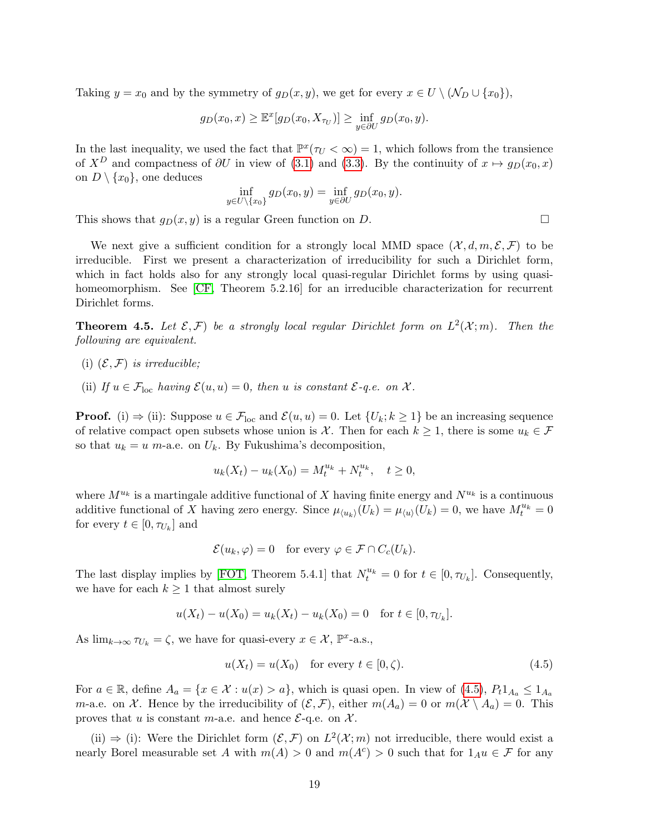Taking  $y = x_0$  and by the symmetry of  $g_D(x, y)$ , we get for every  $x \in U \setminus (N_D \cup \{x_0\}),$ 

$$
g_D(x_0, x) \geq \mathbb{E}^x[g_D(x_0, X_{\tau_U})] \geq \inf_{y \in \partial U} g_D(x_0, y).
$$

In the last inequality, we used the fact that  $\mathbb{P}^x(\tau_U < \infty) = 1$ , which follows from the transience of  $X^D$  and compactness of  $\partial U$  in view of [\(3.1\)](#page-7-4) and [\(3.3\)](#page-7-2). By the continuity of  $x \mapsto g_D(x_0, x)$ on  $D \setminus \{x_0\}$ , one deduces

$$
\inf_{y \in U \setminus \{x_0\}} g_D(x_0, y) = \inf_{y \in \partial U} g_D(x_0, y).
$$

This shows that  $g_D(x, y)$  is a regular Green function on D.

We next give a sufficient condition for a strongly local MMD space  $(\mathcal{X}, d, m, \mathcal{E}, \mathcal{F})$  to be irreducible. First we present a characterization of irreducibility for such a Dirichlet form, which in fact holds also for any strongly local quasi-regular Dirichlet forms by using quasi-homeomorphism. See [\[CF,](#page-52-5) Theorem 5.2.16] for an irreducible characterization for recurrent Dirichlet forms.

<span id="page-18-0"></span>**Theorem 4.5.** Let  $\mathcal{E}, \mathcal{F}$ ) be a strongly local regular Dirichlet form on  $L^2(\mathcal{X};m)$ . Then the following are equivalent.

- (i)  $(\mathcal{E}, \mathcal{F})$  is irreducible;
- (ii) If  $u \in \mathcal{F}_{loc}$  having  $\mathcal{E}(u, u) = 0$ , then u is constant  $\mathcal{E}\text{-}q.e.$  on  $\mathcal{X}$ .

**Proof.** (i)  $\Rightarrow$  (ii): Suppose  $u \in \mathcal{F}_{loc}$  and  $\mathcal{E}(u, u) = 0$ . Let  $\{U_k; k \geq 1\}$  be an increasing sequence of relative compact open subsets whose union is X. Then for each  $k \geq 1$ , there is some  $u_k \in \mathcal{F}$ so that  $u_k = u$  m-a.e. on  $U_k$ . By Fukushima's decomposition,

$$
u_k(X_t) - u_k(X_0) = M_t^{u_k} + N_t^{u_k}, \quad t \ge 0,
$$

where  $M^{u_k}$  is a martingale additive functional of X having finite energy and  $N^{u_k}$  is a continuous additive functional of X having zero energy. Since  $\mu_{\langle u_k \rangle}(U_k) = \mu_{\langle u \rangle}(U_k) = 0$ , we have  $M_t^{u_k} = 0$ for every  $t \in [0, \tau_{U_k}]$  and

$$
\mathcal{E}(u_k, \varphi) = 0 \quad \text{for every } \varphi \in \mathcal{F} \cap C_c(U_k).
$$

The last display implies by [\[FOT,](#page-52-6) Theorem 5.4.1] that  $N_t^{u_k} = 0$  for  $t \in [0, \tau_{U_k}]$ . Consequently, we have for each  $k \geq 1$  that almost surely

$$
u(X_t) - u(X_0) = u_k(X_t) - u_k(X_0) = 0 \text{ for } t \in [0, \tau_{U_k}].
$$

As  $\lim_{k\to\infty} \tau_{U_k} = \zeta$ , we have for quasi-every  $x \in \mathcal{X}$ ,  $\mathbb{P}^x$ -a.s.,

<span id="page-18-1"></span>
$$
u(X_t) = u(X_0) \quad \text{for every } t \in [0, \zeta). \tag{4.5}
$$

For  $a \in \mathbb{R}$ , define  $A_a = \{x \in \mathcal{X} : u(x) > a\}$ , which is quasi open. In view of  $(4.5)$ ,  $P_t 1_{A_a} \leq 1_{A_a}$ *m*-a.e. on X. Hence by the irreducibility of  $(\mathcal{E}, \mathcal{F})$ , either  $m(A_a) = 0$  or  $m(\mathcal{X} \setminus A_a) = 0$ . This proves that u is constant m-a.e. and hence  $\mathcal{E}$ -q.e. on  $\mathcal{X}$ .

(ii)  $\Rightarrow$  (i): Were the Dirichlet form  $(\mathcal{E}, \mathcal{F})$  on  $L^2(\mathcal{X}; m)$  not irreducible, there would exist a nearly Borel measurable set A with  $m(A) > 0$  and  $m(A<sup>c</sup>) > 0$  such that for  $1_{A}u \in \mathcal{F}$  for any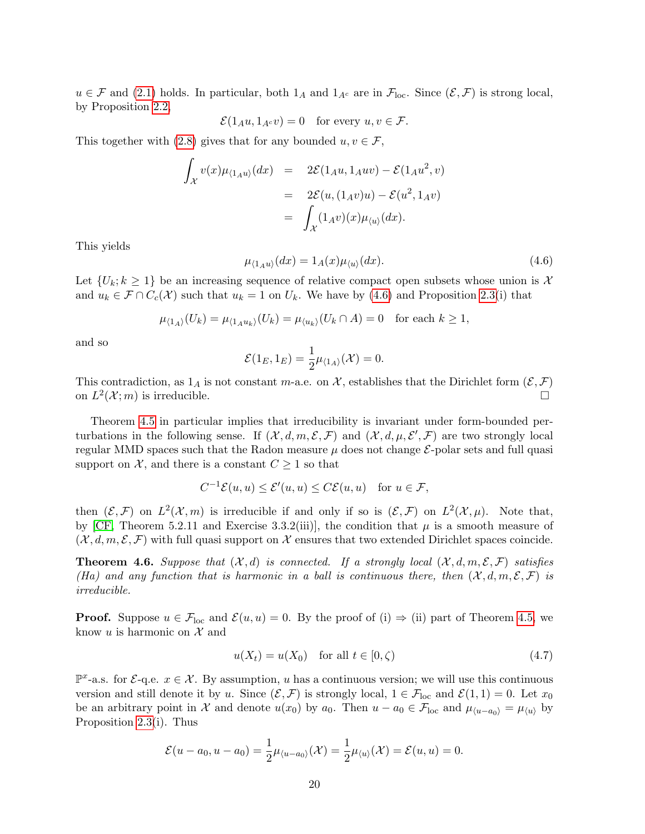$u \in \mathcal{F}$  and [\(2.1\)](#page-3-1) holds. In particular, both  $1_A$  and  $1_{A^c}$  are in  $\mathcal{F}_{loc}$ . Since  $(\mathcal{E}, \mathcal{F})$  is strong local, by Proposition [2.2,](#page-6-0)

$$
\mathcal{E}(1_A u, 1_{A^c} v) = 0 \quad \text{for every } u, v \in \mathcal{F}.
$$

This together with [\(2.8\)](#page-5-4) gives that for any bounded  $u, v \in \mathcal{F}$ ,

$$
\int_{\mathcal{X}} v(x) \mu_{\langle 1_A u \rangle}(dx) = 2\mathcal{E}(1_A u, 1_A u v) - \mathcal{E}(1_A u^2, v)
$$

$$
= 2\mathcal{E}(u, (1_A v)u) - \mathcal{E}(u^2, 1_A v)
$$

$$
= \int_{\mathcal{X}} (1_A v)(x) \mu_{\langle u \rangle}(dx).
$$

This yields

<span id="page-19-0"></span>
$$
\mu_{(1_A u)}(dx) = 1_A(x)\mu_{(u)}(dx). \tag{4.6}
$$

Let  $\{U_k; k \geq 1\}$  be an increasing sequence of relative compact open subsets whose union is X and  $u_k \in \mathcal{F} \cap C_c(\mathcal{X})$  such that  $u_k = 1$  on  $U_k$ . We have by [\(4.6\)](#page-19-0) and Proposition [2.3\(](#page-6-1)i) that

$$
\mu_{\langle 1_A \rangle}(U_k) = \mu_{\langle 1_A u_k \rangle}(U_k) = \mu_{\langle u_k \rangle}(U_k \cap A) = 0 \text{ for each } k \ge 1,
$$

and so

$$
\mathcal{E}(1_E, 1_E) = \frac{1}{2}\mu_{\langle 1_A \rangle}(\mathcal{X}) = 0.
$$

This contradiction, as  $1_A$  is not constant m-a.e. on X, establishes that the Dirichlet form  $(\mathcal{E}, \mathcal{F})$ on  $L^2(\mathcal{X};m)$  is irreducible.

Theorem [4.5](#page-18-0) in particular implies that irreducibility is invariant under form-bounded perturbations in the following sense. If  $(X, d, m, \mathcal{E}, \mathcal{F})$  and  $(X, d, \mu, \mathcal{E}', \mathcal{F})$  are two strongly local regular MMD spaces such that the Radon measure  $\mu$  does not change  $\mathcal{E}$ -polar sets and full quasi support on  $\mathcal{X}$ , and there is a constant  $C \geq 1$  so that

$$
C^{-1}\mathcal{E}(u,u) \le \mathcal{E}'(u,u) \le C\mathcal{E}(u,u) \quad \text{for } u \in \mathcal{F},
$$

then  $(\mathcal{E}, \mathcal{F})$  on  $L^2(\mathcal{X}, m)$  is irreducible if and only if so is  $(\mathcal{E}, \mathcal{F})$  on  $L^2(\mathcal{X}, \mu)$ . Note that, by [\[CF,](#page-52-5) Theorem 5.2.11 and Exercise 3.3.2(iii)], the condition that  $\mu$  is a smooth measure of  $(\mathcal{X}, d, m, \mathcal{E}, \mathcal{F})$  with full quasi support on X ensures that two extended Dirichlet spaces coincide.

<span id="page-19-1"></span>**Theorem 4.6.** Suppose that  $(X, d)$  is connected. If a strongly local  $(X, d, m, \mathcal{E}, \mathcal{F})$  satisfies (Ha) and any function that is harmonic in a ball is continuous there, then  $(\mathcal{X}, d, m, \mathcal{E}, \mathcal{F})$  is irreducible.

**Proof.** Suppose  $u \in \mathcal{F}_{loc}$  and  $\mathcal{E}(u, u) = 0$ . By the proof of (i)  $\Rightarrow$  (ii) part of Theorem [4.5,](#page-18-0) we know u is harmonic on  $\mathcal X$  and

$$
u(X_t) = u(X_0) \quad \text{for all } t \in [0, \zeta)
$$
\n
$$
(4.7)
$$

 $\mathbb{P}^x$ -a.s. for  $\mathcal{E}$ -q.e.  $x \in \mathcal{X}$ . By assumption, u has a continuous version; we will use this continuous version and still denote it by u. Since  $(\mathcal{E}, \mathcal{F})$  is strongly local,  $1 \in \mathcal{F}_{loc}$  and  $\mathcal{E}(1, 1) = 0$ . Let  $x_0$ be an arbitrary point in X and denote  $u(x_0)$  by  $a_0$ . Then  $u - a_0 \in \mathcal{F}_{\text{loc}}$  and  $\mu_{\langle u-a_0 \rangle} = \mu_{\langle u \rangle}$  by Proposition [2.3\(](#page-6-1)i). Thus

$$
\mathcal{E}(u-a_0,u-a_0)=\frac{1}{2}\mu_{\langle u-a_0\rangle}(\mathcal{X})=\frac{1}{2}\mu_{\langle u\rangle}(\mathcal{X})=\mathcal{E}(u,u)=0.
$$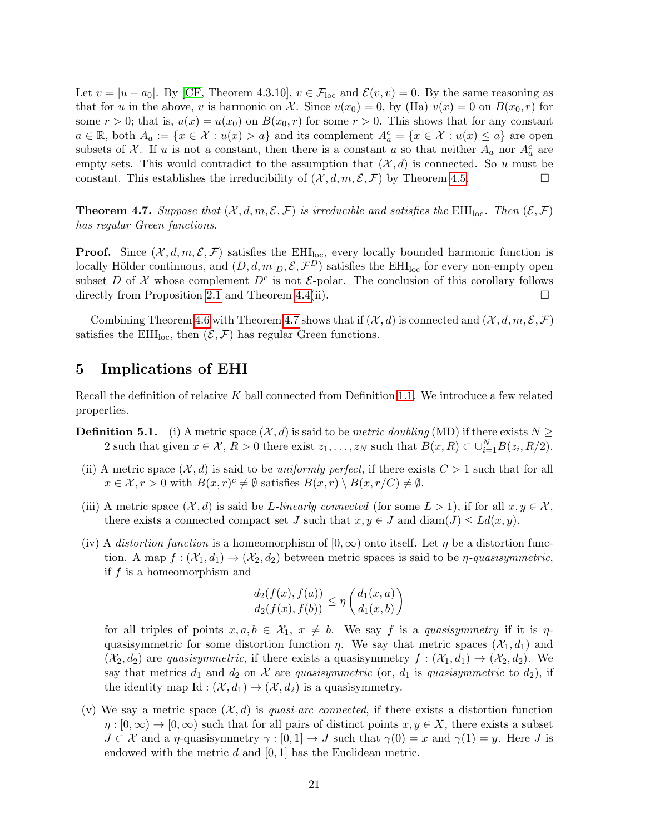Let  $v = |u - a_0|$ . By [\[CF,](#page-52-5) Theorem 4.3.10],  $v \in \mathcal{F}_{loc}$  and  $\mathcal{E}(v, v) = 0$ . By the same reasoning as that for u in the above, v is harmonic on X. Since  $v(x_0) = 0$ , by (Ha)  $v(x) = 0$  on  $B(x_0, r)$  for some  $r > 0$ ; that is,  $u(x) = u(x_0)$  on  $B(x_0, r)$  for some  $r > 0$ . This shows that for any constant  $a \in \mathbb{R}$ , both  $A_a := \{x \in \mathcal{X} : u(x) > a\}$  and its complement  $A_a^c = \{x \in \mathcal{X} : u(x) \leq a\}$  are open subsets of X. If u is not a constant, then there is a constant a so that neither  $A_a$  nor  $A_a^c$  are empty sets. This would contradict to the assumption that  $(\mathcal{X}, d)$  is connected. So u must be constant. This establishes the irreducibility of  $(\mathcal{X}, d, m, \mathcal{E}, \mathcal{F})$  by Theorem [4.5.](#page-18-0)

<span id="page-20-1"></span>**Theorem 4.7.** Suppose that  $(X, d, m, \mathcal{E}, \mathcal{F})$  is irreducible and satisfies the EHI<sub>loc</sub>. Then  $(\mathcal{E}, \mathcal{F})$ has regular Green functions.

**Proof.** Since  $(\mathcal{X}, d, m, \mathcal{E}, \mathcal{F})$  satisfies the EHI<sub>loc</sub>, every locally bounded harmonic function is locally Hölder continuous, and  $(D, d, m|_D, \mathcal{E}, \mathcal{F}^D)$  satisfies the EHI<sub>loc</sub> for every non-empty open subset D of X whose complement  $D^c$  is not  $\mathcal{E}$ -polar. The conclusion of this corollary follows directly from Proposition [2.1](#page-5-3) and Theorem [4.4\(](#page-16-1)ii).  $\Box$ 

Combining Theorem [4.6](#page-19-1) with Theorem [4.7](#page-20-1) shows that if  $(\mathcal{X}, d)$  is connected and  $(\mathcal{X}, d, m, \mathcal{E}, \mathcal{F})$ satisfies the EHI<sub>loc</sub>, then  $(\mathcal{E}, \mathcal{F})$  has regular Green functions.

# <span id="page-20-0"></span>5 Implications of EHI

Recall the definition of relative K ball connected from Definition [1.1.](#page-1-0) We introduce a few related properties.

- **Definition 5.1.** (i) A metric space  $(\mathcal{X}, d)$  is said to be *metric doubling* (MD) if there exists  $N \geq$ 2 such that given  $x \in \mathcal{X}, R > 0$  there exist  $z_1, \ldots, z_N$  such that  $B(x, R) \subset \bigcup_{i=1}^N B(z_i, R/2)$ .
- (ii) A metric space  $(\mathcal{X}, d)$  is said to be uniformly perfect, if there exists  $C > 1$  such that for all  $x \in \mathcal{X}, r > 0$  with  $B(x, r)^c \neq \emptyset$  satisfies  $B(x, r) \setminus B(x, r/C) \neq \emptyset$ .
- (iii) A metric space  $(\mathcal{X}, d)$  is said be L-linearly connected (for some  $L > 1$ ), if for all  $x, y \in \mathcal{X}$ , there exists a connected compact set J such that  $x, y \in J$  and  $\text{diam}(J) \leq Ld(x, y)$ .
- (iv) A distortion function is a homeomorphism of  $(0, \infty)$  onto itself. Let  $\eta$  be a distortion function. A map  $f : (\mathcal{X}_1, d_1) \to (\mathcal{X}_2, d_2)$  between metric spaces is said to be  $\eta$ -quasisymmetric, if  $f$  is a homeomorphism and

$$
\frac{d_2(f(x), f(a))}{d_2(f(x), f(b))} \le \eta \left( \frac{d_1(x, a)}{d_1(x, b)} \right)
$$

for all triples of points  $x, a, b \in \mathcal{X}_1$ ,  $x \neq b$ . We say f is a quasisymmetry if it is  $\eta$ quasisymmetric for some distortion function  $\eta$ . We say that metric spaces  $(\mathcal{X}_1, d_1)$  and  $(\mathcal{X}_2, d_2)$  are quasisymmetric, if there exists a quasisymmetry  $f : (\mathcal{X}_1, d_1) \to (\mathcal{X}_2, d_2)$ . We say that metrics  $d_1$  and  $d_2$  on X are quasisymmetric (or,  $d_1$  is quasisymmetric to  $d_2$ ), if the identity map Id :  $(\mathcal{X}, d_1) \rightarrow (\mathcal{X}, d_2)$  is a quasisymmetry.

(v) We say a metric space  $(\mathcal{X}, d)$  is quasi-arc connected, if there exists a distortion function  $\eta : [0, \infty) \to [0, \infty)$  such that for all pairs of distinct points  $x, y \in X$ , there exists a subset  $J \subset \mathcal{X}$  and a  $\eta$ -quasisymmetry  $\gamma : [0, 1] \to J$  such that  $\gamma(0) = x$  and  $\gamma(1) = y$ . Here J is endowed with the metric  $d$  and  $[0, 1]$  has the Euclidean metric.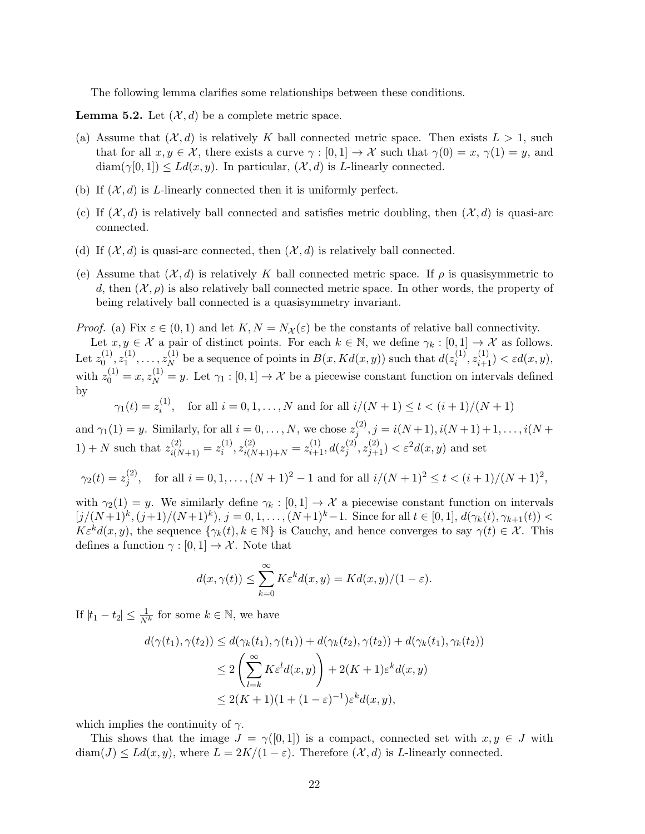The following lemma clarifies some relationships between these conditions.

<span id="page-21-0"></span>**Lemma 5.2.** Let  $(\mathcal{X}, d)$  be a complete metric space.

- (a) Assume that  $(\mathcal{X}, d)$  is relatively K ball connected metric space. Then exists  $L > 1$ , such that for all  $x, y \in \mathcal{X}$ , there exists a curve  $\gamma : [0, 1] \to \mathcal{X}$  such that  $\gamma(0) = x, \gamma(1) = y$ , and  $\text{diam}(\gamma[0,1]) \leq Ld(x,y)$ . In particular,  $(\mathcal{X}, d)$  is L-linearly connected.
- (b) If  $(X, d)$  is L-linearly connected then it is uniformly perfect.
- (c) If  $(\mathcal{X}, d)$  is relatively ball connected and satisfies metric doubling, then  $(\mathcal{X}, d)$  is quasi-arc connected.
- (d) If  $(X, d)$  is quasi-arc connected, then  $(X, d)$  is relatively ball connected.
- (e) Assume that  $(\mathcal{X}, d)$  is relatively K ball connected metric space. If  $\rho$  is quasisymmetric to d, then  $(\mathcal{X}, \rho)$  is also relatively ball connected metric space. In other words, the property of being relatively ball connected is a quasisymmetry invariant.

*Proof.* (a) Fix  $\varepsilon \in (0,1)$  and let  $K, N = N_{\mathcal{X}}(\varepsilon)$  be the constants of relative ball connectivity.

Let  $x, y \in \mathcal{X}$  a pair of distinct points. For each  $k \in \mathbb{N}$ , we define  $\gamma_k : [0, 1] \to \mathcal{X}$  as follows. Let  $z_0^{(1)}$  $\stackrel{(1)}{0},\stackrel{(1)}{z_1}$  $\binom{1}{1}, \ldots, z_N^{(1)}$  $_N^{(1)}$  be a sequence of points in  $B(x, K d(x, y))$  such that  $d(z_i^{(1)})$  $\zeta_i^{(1)}, z_{i+1}^{(1)}) < \varepsilon d(x, y),$ with  $z_0^{(1)} = x, z_N^{(1)} = y$ . Let  $\gamma_1 : [0,1] \to \mathcal{X}$  be a piecewise constant function on intervals defined by

$$
\gamma_1(t) = z_i^{(1)}
$$
, for all  $i = 0, 1, ..., N$  and for all  $i/(N + 1) \le t < (i + 1)/(N + 1)$ 

and  $\gamma_1(1) = y$ . Similarly, for all  $i = 0, \ldots, N$ , we chose  $z_i^{(2)}$  $j_j^{(2)}, j = i(N+1), i(N+1)+1, \ldots, i(N+1)$ 1) + N such that  $z_{i(N+1)}^{(2)} = z_i^{(1)}$  $\chi_i^{(1)}, z_{i(N+1)+N}^{(2)} = z_{i+1}^{(1)}, d(z_j^{(2)})$  $\zeta_j^{(2)}, z_{j+1}^{(2)}) < \varepsilon^2 d(x, y)$  and set

$$
\gamma_2(t) = z_j^{(2)}
$$
, for all  $i = 0, 1, ..., (N + 1)^2 - 1$  and for all  $i/(N + 1)^2 \le t < (i + 1)/(N + 1)^2$ ,

with  $\gamma_2(1) = y$ . We similarly define  $\gamma_k : [0,1] \to \mathcal{X}$  a piecewise constant function on intervals  $[j/(N+1)^k, (j+1)/(N+1)^k), j = 0, 1, ..., (N+1)^k-1.$  Since for all  $t \in [0,1], d(\gamma_k(t), \gamma_{k+1}(t)) <$  $K\varepsilon^k d(x, y)$ , the sequence  $\{\gamma_k(t), k \in \mathbb{N}\}\$ is Cauchy, and hence converges to say  $\gamma(t) \in \mathcal{X}$ . This defines a function  $\gamma : [0, 1] \to \mathcal{X}$ . Note that

$$
d(x, \gamma(t)) \le \sum_{k=0}^{\infty} K \varepsilon^k d(x, y) = K d(x, y)/(1 - \varepsilon).
$$

If  $|t_1 - t_2| \leq \frac{1}{N^k}$  for some  $k \in \mathbb{N}$ , we have

$$
d(\gamma(t_1), \gamma(t_2)) \le d(\gamma_k(t_1), \gamma(t_1)) + d(\gamma_k(t_2), \gamma(t_2)) + d(\gamma_k(t_1), \gamma_k(t_2))
$$
  
\n
$$
\le 2\left(\sum_{l=k}^{\infty} K \varepsilon^l d(x, y)\right) + 2(K+1)\varepsilon^k d(x, y)
$$
  
\n
$$
\le 2(K+1)(1 + (1-\varepsilon)^{-1})\varepsilon^k d(x, y),
$$

which implies the continuity of  $\gamma$ .

This shows that the image  $J = \gamma([0,1])$  is a compact, connected set with  $x, y \in J$  with  $\text{diam}(J) \le Ld(x, y)$ , where  $L = 2K/(1 - \varepsilon)$ . Therefore  $(\mathcal{X}, d)$  is L-linearly connected.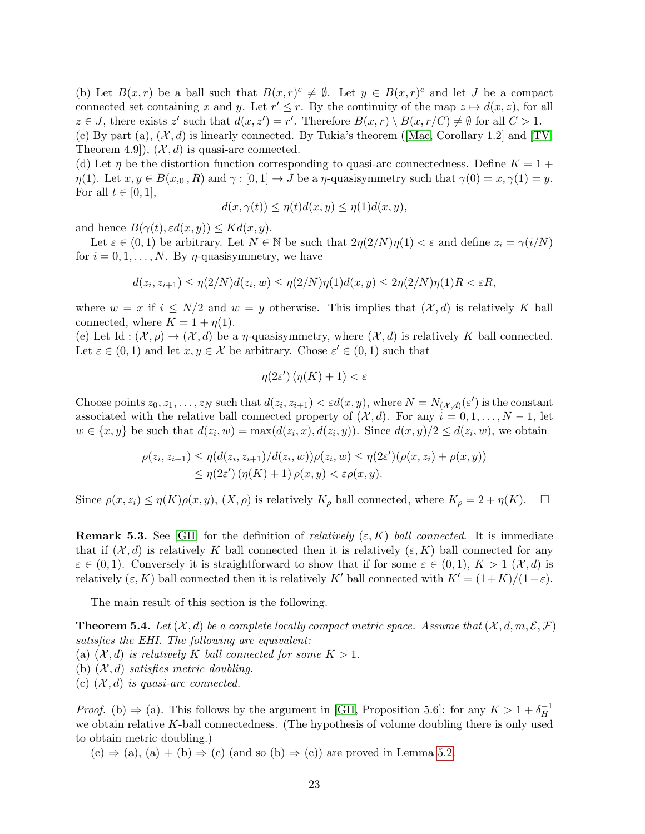(b) Let  $B(x,r)$  be a ball such that  $B(x,r)^c \neq \emptyset$ . Let  $y \in B(x,r)^c$  and let J be a compact connected set containing x and y. Let  $r' \leq r$ . By the continuity of the map  $z \mapsto d(x, z)$ , for all  $z \in J$ , there exists z' such that  $d(x, z') = r'$ . Therefore  $B(x, r) \setminus B(x, r/C) \neq \emptyset$  for all  $C > 1$ . (c) By part (a),  $(\mathcal{X}, d)$  is linearly connected. By Tukia's theorem (Mac, Corollary 1.2) and TV, Theorem 4.9,  $(\mathcal{X}, d)$  is quasi-arc connected.

(d) Let  $\eta$  be the distortion function corresponding to quasi-arc connectedness. Define  $K = 1 + \frac{1}{\eta}$  $\eta(1)$ . Let  $x, y \in B(x_0, R)$  and  $\gamma : [0, 1] \to J$  be a  $\eta$ -quasisymmetry such that  $\gamma(0) = x, \gamma(1) = y$ . For all  $t \in [0, 1]$ ,

$$
d(x, \gamma(t)) \le \eta(t) d(x, y) \le \eta(1) d(x, y),
$$

and hence  $B(\gamma(t), \varepsilon d(x, y)) \leq K d(x, y)$ .

Let  $\varepsilon \in (0,1)$  be arbitrary. Let  $N \in \mathbb{N}$  be such that  $2\eta(2/N)\eta(1) < \varepsilon$  and define  $z_i = \gamma(i/N)$ for  $i = 0, 1, \ldots, N$ . By  $\eta$ -quasisymmetry, we have

$$
d(z_i, z_{i+1}) \le \eta(2/N) d(z_i, w) \le \eta(2/N)\eta(1) d(x, y) \le 2\eta(2/N)\eta(1)R < \varepsilon R,
$$

where  $w = x$  if  $i \leq N/2$  and  $w = y$  otherwise. This implies that  $(\mathcal{X}, d)$  is relatively K ball connected, where  $K = 1 + \eta(1)$ .

(e) Let Id :  $(\mathcal{X}, \rho) \to (\mathcal{X}, d)$  be a  $\eta$ -quasisymmetry, where  $(\mathcal{X}, d)$  is relatively K ball connected. Let  $\varepsilon \in (0,1)$  and let  $x, y \in \mathcal{X}$  be arbitrary. Chose  $\varepsilon' \in (0,1)$  such that

$$
\eta(2\varepsilon')\left(\eta(K) + 1\right) < \varepsilon
$$

Choose points  $z_0, z_1, \ldots, z_N$  such that  $d(z_i, z_{i+1}) < \varepsilon d(x, y)$ , where  $N = N_{(\mathcal{X}, d)}(\varepsilon')$  is the constant associated with the relative ball connected property of  $(\mathcal{X}, d)$ . For any  $i = 0, 1, \ldots, N - 1$ , let  $w \in \{x, y\}$  be such that  $d(z_i, w) = \max(d(z_i, x), d(z_i, y))$ . Since  $d(x, y)/2 \leq d(z_i, w)$ , we obtain

$$
\rho(z_i, z_{i+1}) \leq \eta(d(z_i, z_{i+1})/d(z_i, w))\rho(z_i, w) \leq \eta(2\varepsilon')(\rho(x, z_i) + \rho(x, y)) \leq \eta(2\varepsilon')(\eta(K) + 1)\rho(x, y) < \varepsilon \rho(x, y).
$$

Since  $\rho(x, z_i) \leq \eta(K)\rho(x, y)$ ,  $(X, \rho)$  is relatively  $K_\rho$  ball connected, where  $K_\rho = 2 + \eta(K)$ .  $\Box$ 

**Remark 5.3.** See [\[GH\]](#page-52-4) for the definition of *relatively*  $(\varepsilon, K)$  ball connected. It is immediate that if  $(\mathcal{X}, d)$  is relatively K ball connected then it is relatively  $(\varepsilon, K)$  ball connected for any  $\varepsilon \in (0,1)$ . Conversely it is straightforward to show that if for some  $\varepsilon \in (0,1)$ ,  $K > 1$   $(\mathcal{X}, d)$  is relatively  $(\varepsilon, K)$  ball connected then it is relatively K' ball connected with  $K' = (1+K)/(1-\varepsilon)$ .

The main result of this section is the following.

<span id="page-22-0"></span>**Theorem 5.4.** Let  $(X, d)$  be a complete locally compact metric space. Assume that  $(X, d, m, \mathcal{E}, \mathcal{F})$ satisfies the EHI. The following are equivalent:

(a)  $(X, d)$  is relatively K ball connected for some  $K > 1$ .

- (b)  $(X, d)$  satisfies metric doubling.
- (c)  $(X, d)$  is quasi-arc connected.

*Proof.* (b)  $\Rightarrow$  (a). This follows by the argument in [\[GH,](#page-52-4) Proposition 5.6]: for any  $K > 1 + \delta_H^{-1}$ H we obtain relative K-ball connectedness. (The hypothesis of volume doubling there is only used to obtain metric doubling.)

 $(c) \Rightarrow (a), (a) + (b) \Rightarrow (c)$  (and so  $(b) \Rightarrow (c)$ ) are proved in Lemma [5.2.](#page-21-0)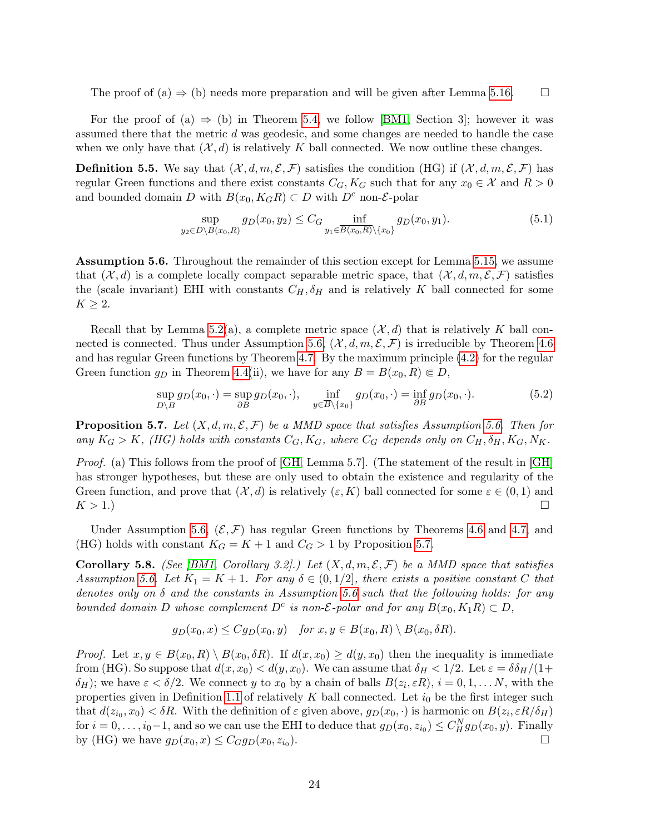The proof of (a)  $\Rightarrow$  (b) needs more preparation and will be given after Lemma [5.16.](#page-26-0)  $\Box$ 

For the proof of (a)  $\Rightarrow$  (b) in Theorem [5.4,](#page-22-0) we follow [\[BM1,](#page-52-2) Section 3]; however it was assumed there that the metric d was geodesic, and some changes are needed to handle the case when we only have that  $(\mathcal{X}, d)$  is relatively K ball connected. We now outline these changes.

**Definition 5.5.** We say that  $(\mathcal{X}, d, m, \mathcal{E}, \mathcal{F})$  satisfies the condition (HG) if  $(\mathcal{X}, d, m, \mathcal{E}, \mathcal{F})$  has regular Green functions and there exist constants  $C_G, K_G$  such that for any  $x_0 \in \mathcal{X}$  and  $R > 0$ and bounded domain D with  $B(x_0, K_G R) \subset D$  with  $D^c$  non-*E*-polar

$$
\sup_{y_2 \in D \setminus B(x_0, R)} g_D(x_0, y_2) \le C_G \inf_{y_1 \in \overline{B(x_0, R)} \setminus \{x_0\}} g_D(x_0, y_1). \tag{5.1}
$$

<span id="page-23-0"></span>Assumption 5.6. Throughout the remainder of this section except for Lemma [5.15,](#page-26-1) we assume that  $(\mathcal{X}, d)$  is a complete locally compact separable metric space, that  $(\mathcal{X}, d, m, \mathcal{E}, \mathcal{F})$  satisfies the (scale invariant) EHI with constants  $C_H$ ,  $\delta_H$  and is relatively K ball connected for some  $K \geq 2$ .

Recall that by Lemma [5.2\(](#page-21-0)a), a complete metric space  $(\mathcal{X}, d)$  that is relatively K ball con-nected is connected. Thus under Assumption [5.6,](#page-23-0)  $(\mathcal{X}, d, m, \mathcal{E}, \mathcal{F})$  is irreducible by Theorem [4.6](#page-19-1) and has regular Green functions by Theorem [4.7.](#page-20-1) By the maximum principle [\(4.2\)](#page-16-2) for the regular Green function  $q_D$  in Theorem [4.4\(](#page-16-1)ii), we have for any  $B = B(x_0, R) \in D$ ,

$$
\sup_{D \backslash B} g_D(x_0, \cdot) = \sup_{\partial B} g_D(x_0, \cdot), \quad \inf_{y \in \overline{B} \backslash \{x_0\}} g_D(x_0, \cdot) = \inf_{\partial B} g_D(x_0, \cdot). \tag{5.2}
$$

<span id="page-23-1"></span>**Proposition 5.7.** Let  $(X, d, m, \mathcal{E}, \mathcal{F})$  be a MMD space that satisfies Assumption [5.6.](#page-23-0) Then for any  $K_G > K$ , (HG) holds with constants  $C_G, K_G$ , where  $C_G$  depends only on  $C_H, \delta_H, K_G, N_K$ .

Proof. (a) This follows from the proof of [\[GH,](#page-52-4) Lemma 5.7]. (The statement of the result in [\[GH\]](#page-52-4) has stronger hypotheses, but these are only used to obtain the existence and regularity of the Green function, and prove that  $(\mathcal{X}, d)$  is relatively  $(\varepsilon, K)$  ball connected for some  $\varepsilon \in (0, 1)$  and  $K > 1.$ )

Under Assumption [5.6,](#page-23-0)  $(\mathcal{E}, \mathcal{F})$  has regular Green functions by Theorems [4.6](#page-19-1) and [4.7,](#page-20-1) and (HG) holds with constant  $K_G = K + 1$  and  $C_G > 1$  by Proposition [5.7.](#page-23-1)

<span id="page-23-2"></span>**Corollary 5.8.** (See [\[BM1,](#page-52-2) Corollary 3.2].) Let  $(X, d, m, \mathcal{E}, \mathcal{F})$  be a MMD space that satisfies Assumption [5.6.](#page-23-0) Let  $K_1 = K + 1$ . For any  $\delta \in (0, 1/2]$ , there exists a positive constant C that denotes only on  $\delta$  and the constants in Assumption [5.6](#page-23-0) such that the following holds: for any bounded domain D whose complement  $D^c$  is non- $\mathcal{E}$ -polar and for any  $B(x_0, K_1R) \subset D$ ,

$$
g_D(x_0, x) \leq Cg_D(x_0, y)
$$
 for  $x, y \in B(x_0, R) \setminus B(x_0, \delta R)$ .

*Proof.* Let  $x, y \in B(x_0, R) \setminus B(x_0, \delta R)$ . If  $d(x, x_0) \geq d(y, x_0)$  then the inequality is immediate from (HG). So suppose that  $d(x, x_0) < d(y, x_0)$ . We can assume that  $\delta_H < 1/2$ . Let  $\varepsilon = \delta \delta_H/(1+\varepsilon)$  $\delta_H$ ); we have  $\varepsilon < \delta/2$ . We connect y to  $x_0$  by a chain of balls  $B(z_i, \varepsilon R)$ ,  $i = 0, 1, \ldots N$ , with the properties given in Definition [1.1](#page-1-0) of relatively K ball connected. Let  $i_0$  be the first integer such that  $d(z_{i_0}, x_0) < \delta R$ . With the definition of  $\varepsilon$  given above,  $g_D(x_0, \cdot)$  is harmonic on  $B(z_i, \varepsilon R/\delta_H)$ for  $i = 0, \ldots, i_0 - 1$ , and so we can use the EHI to deduce that  $g_D(x_0, z_{i_0}) \leq C_H^N g_D(x_0, y)$ . Finally by (HG) we have  $g_D(x_0, x) \leq C_G g_D(x_0, z_{i_0}).$ ).  $\qquad \qquad \Box$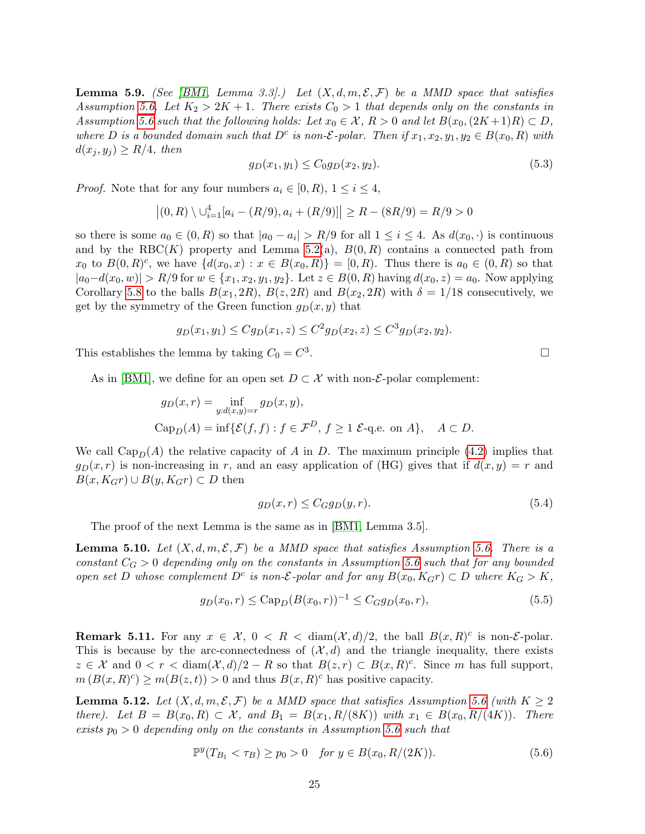<span id="page-24-4"></span>**Lemma 5.9.** (See [\[BM1,](#page-52-2) Lemma 3.3].) Let  $(X, d, m, \mathcal{E}, \mathcal{F})$  be a MMD space that satisfies Assumption [5.6.](#page-23-0) Let  $K_2 > 2K + 1$ . There exists  $C_0 > 1$  that depends only on the constants in Assumption [5.6](#page-23-0) such that the following holds: Let  $x_0 \in \mathcal{X}$ ,  $R > 0$  and let  $B(x_0, (2K+1)R) \subset D$ , where D is a bounded domain such that  $D^c$  is non-*E*-polar. Then if  $x_1, x_2, y_1, y_2 \in B(x_0, R)$  with  $d(x_i, y_i) \geq R/4$ , then

$$
g_D(x_1, y_1) \le C_0 g_D(x_2, y_2). \tag{5.3}
$$

*Proof.* Note that for any four numbers  $a_i \in [0, R)$ ,  $1 \leq i \leq 4$ ,

$$
|(0, R) \setminus \bigcup_{i=1}^{4} [a_i - (R/9), a_i + (R/9)]| \ge R - (8R/9) = R/9 > 0
$$

so there is some  $a_0 \in (0, R)$  so that  $|a_0 - a_i| > R/9$  for all  $1 \le i \le 4$ . As  $d(x_0, \cdot)$  is continuous and by the RBC(K) property and Lemma [5.2\(](#page-21-0)a),  $B(0, R)$  contains a connected path from  $x_0$  to  $B(0,R)^c$ , we have  $\{d(x_0,x): x \in B(x_0,R)\} = [0,R)$ . Thus there is  $a_0 \in (0,R)$  so that  $|a_0-d(x_0, w)| > R/9$  for  $w \in \{x_1, x_2, y_1, y_2\}$ . Let  $z \in B(0, R)$  having  $d(x_0, z) = a_0$ . Now applying Corollary [5.8](#page-23-2) to the balls  $B(x_1, 2R)$ ,  $B(z, 2R)$  and  $B(x_2, 2R)$  with  $\delta = 1/18$  consecutively, we get by the symmetry of the Green function  $g_D(x, y)$  that

$$
g_D(x_1, y_1) \le Cg_D(x_1, z) \le C^2 g_D(x_2, z) \le C^3 g_D(x_2, y_2).
$$

This establishes the lemma by taking  $C_0 = C^3$ 

As in [\[BM1\]](#page-52-2), we define for an open set  $D \subset \mathcal{X}$  with non-*E*-polar complement:

$$
g_D(x,r) = \inf_{y:d(x,y)=r} g_D(x,y),
$$
  
\n
$$
Cap_D(A) = \inf \{ \mathcal{E}(f,f) : f \in \mathcal{F}^D, f \ge 1 \text{ E-q.e. on } A \}, \quad A \subset D.
$$

We call  $\text{Cap}_D(A)$  the relative capacity of A in D. The maximum principle [\(4.2\)](#page-16-2) implies that  $g_D(x, r)$  is non-increasing in r, and an easy application of (HG) gives that if  $d(x, y) = r$  and  $B(x, K_{G}r) \cup B(y, K_{G}r) \subset D$  then

$$
g_D(x,r) \le C_G g_D(y,r). \tag{5.4}
$$

The proof of the next Lemma is the same as in [\[BM1,](#page-52-2) Lemma 3.5].

<span id="page-24-3"></span>**Lemma 5.10.** Let  $(X, d, m, \mathcal{E}, \mathcal{F})$  be a MMD space that satisfies Assumption [5.6.](#page-23-0) There is a constant  $C_G > 0$  depending only on the constants in Assumption [5.6](#page-23-0) such that for any bounded open set D whose complement  $D^c$  is non- $\mathcal{E}\text{-}polar$  and for any  $B(x_0, K_{G}r) \subset D$  where  $K_G > K$ ,

$$
g_D(x_0, r) \leq \text{Cap}_D(B(x_0, r))^{-1} \leq C_G g_D(x_0, r),\tag{5.5}
$$

<span id="page-24-0"></span>**Remark 5.11.** For any  $x \in \mathcal{X}$ ,  $0 \leq R \leq \text{diam}(\mathcal{X}, d)/2$ , the ball  $B(x, R)^c$  is non-*E*-polar. This is because by the arc-connectedness of  $(\mathcal{X}, d)$  and the triangle inequality, there exists  $z \in \mathcal{X}$  and  $0 < r < \text{diam}(\mathcal{X}, d)/2 - R$  so that  $B(z, r) \subset B(x, R)^c$ . Since m has full support,  $m(B(x,R)^c) \geq m(B(z,t)) > 0$  and thus  $B(x,R)^c$  has positive capacity.

<span id="page-24-2"></span>**Lemma 5.12.** Let  $(X, d, m, \mathcal{E}, \mathcal{F})$  be a MMD space that satisfies Assumption [5.6](#page-23-0) (with  $K \geq 2$ there). Let  $B = B(x_0, R) \subset \mathcal{X}$ , and  $B_1 = B(x_1, R/(8K))$  with  $x_1 \in B(x_0, R/(4K))$ . There exists  $p_0 > 0$  depending only on the constants in Assumption [5.6](#page-23-0) such that

<span id="page-24-1"></span>
$$
\mathbb{P}^y(T_{B_1} < \tau_B) \ge p_0 > 0 \quad \text{for } y \in B(x_0, R/(2K)).\tag{5.6}
$$

.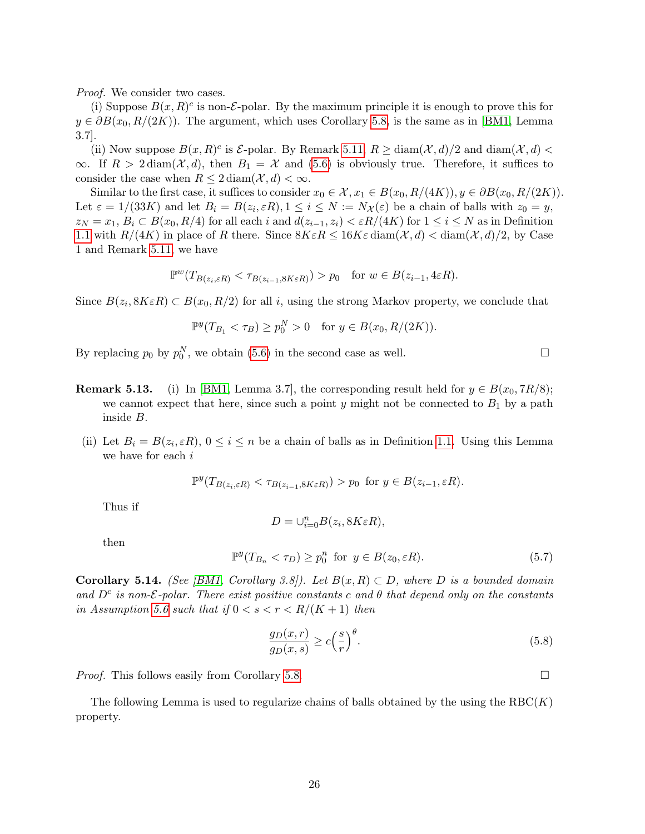Proof. We consider two cases.

(i) Suppose  $B(x, R)^c$  is non-*E*-polar. By the maximum principle it is enough to prove this for  $y \in \partial B(x_0, R/(2K))$ . The argument, which uses Corollary [5.8,](#page-23-2) is the same as in [\[BM1,](#page-52-2) Lemma 3.7].

(ii) Now suppose  $B(x,R)^c$  is  $\mathcal{E}\text{-polar}$ . By Remark [5.11,](#page-24-0)  $R \geq \text{diam}(\mathcal{X}, d)/2$  and  $\text{diam}(\mathcal{X}, d)$  $\infty$ . If  $R > 2$  diam $(\mathcal{X}, d)$ , then  $B_1 = \mathcal{X}$  and [\(5.6\)](#page-24-1) is obviously true. Therefore, it suffices to consider the case when  $R \leq 2 \operatorname{diam}(\mathcal{X}, d) < \infty$ .

Similar to the first case, it suffices to consider  $x_0 \in \mathcal{X}, x_1 \in B(x_0, R/(4K)), y \in \partial B(x_0, R/(2K)).$ Let  $\varepsilon = 1/(33K)$  and let  $B_i = B(z_i, \varepsilon R), 1 \le i \le N := N_{\mathcal{X}}(\varepsilon)$  be a chain of balls with  $z_0 = y$ ,  $z_N = x_1, B_i \subset B(x_0, R/4)$  for all each i and  $d(z_{i-1}, z_i) < \varepsilon R/(4K)$  for  $1 \le i \le N$  as in Definition [1.1](#page-1-0) with  $R/(4K)$  in place of R there. Since  $8K\varepsilon R \leq 16K\varepsilon \operatorname{diam}(\mathcal{X}, d) < \operatorname{diam}(\mathcal{X}, d)/2$ , by Case 1 and Remark [5.11,](#page-24-0) we have

$$
\mathbb{P}^w(T_{B(z_i,\varepsilon R)} < \tau_{B(z_{i-1},8K\varepsilon R)}) > p_0 \quad \text{for } w \in B(z_{i-1},4\varepsilon R).
$$

Since  $B(z_i, 8K\varepsilon R) \subset B(x_0, R/2)$  for all i, using the strong Markov property, we conclude that

$$
\mathbb{P}^y(T_{B_1} < \tau_B) \ge p_0^N > 0 \quad \text{for } y \in B(x_0, R/(2K)).
$$

By replacing  $p_0$  by  $p_0^N$ , we obtain [\(5.6\)](#page-24-1) in the second case as well.

- **Remark 5.13.** (i) In [\[BM1,](#page-52-2) Lemma 3.7], the corresponding result held for  $y \in B(x_0, 7R/8)$ ; we cannot expect that here, since such a point y might not be connected to  $B_1$  by a path inside B.
- (ii) Let  $B_i = B(z_i, \varepsilon R)$ ,  $0 \le i \le n$  be a chain of balls as in Definition [1.1.](#page-1-0) Using this Lemma we have for each  $i$

$$
\mathbb{P}^y(T_{B(z_i,\varepsilon R)} < \tau_{B(z_{i-1},8K\varepsilon R)}) > p_0 \text{ for } y \in B(z_{i-1},\varepsilon R).
$$

Thus if

$$
D=\cup_{i=0}^n B(z_i,8K\varepsilon R),
$$

then

$$
\mathbb{P}^y(T_{B_n} < \tau_D) \ge p_0^n \quad \text{for} \quad y \in B(z_0, \varepsilon R). \tag{5.7}
$$

<span id="page-25-0"></span>Corollary 5.14. (See [\[BM1,](#page-52-2) Corollary 3.8]). Let  $B(x, R) \subset D$ , where D is a bounded domain and  $D^c$  is non-*E*-polar. There exist positive constants c and  $\theta$  that depend only on the constants in Assumption [5.6](#page-23-0) such that if  $0 < s < r < R/(K + 1)$  then

$$
\frac{g_D(x,r)}{g_D(x,s)} \ge c \left(\frac{s}{r}\right)^{\theta}.\tag{5.8}
$$

*Proof.* This follows easily from Corollary [5.8.](#page-23-2)

The following Lemma is used to regularize chains of balls obtained by the using the  $RBC(K)$ property.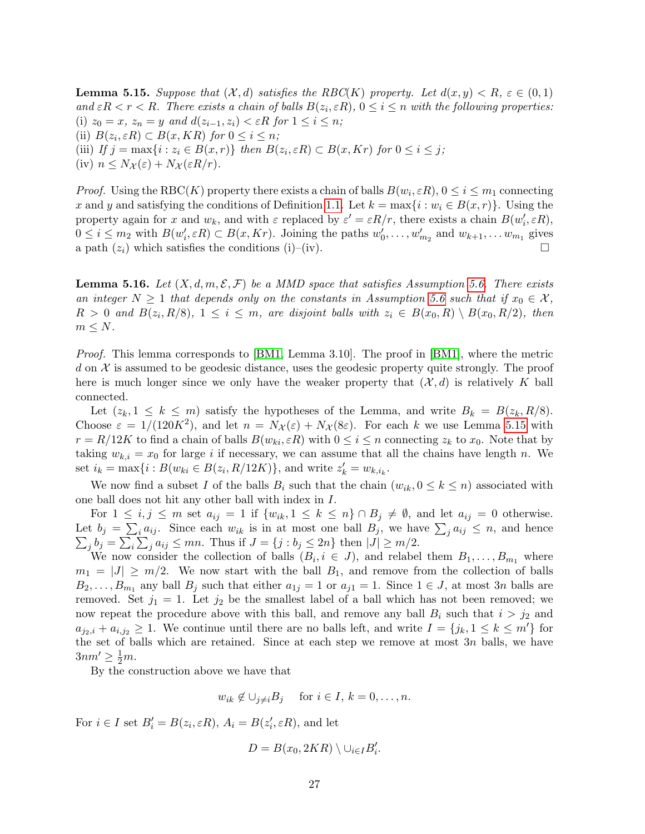<span id="page-26-1"></span>**Lemma 5.15.** Suppose that  $(\mathcal{X}, d)$  satisfies the RBC(K) property. Let  $d(x, y) < R$ ,  $\varepsilon \in (0, 1)$ and  $\epsilon R < r < R$ . There exists a chain of balls  $B(z_i, \epsilon R)$ ,  $0 \le i \le n$  with the following properties: (i)  $z_0 = x$ ,  $z_n = y$  and  $d(z_{i-1}, z_i) < \varepsilon R$  for  $1 \le i \le n$ ; (ii)  $B(z_i, \varepsilon R) \subset B(x, KR)$  for  $0 \leq i \leq n$ ; (iii) If  $j = \max\{i : z_i \in B(x,r)\}\$  then  $B(z_i, \varepsilon R) \subset B(x, Kr)$  for  $0 \le i \le j$ ; (iv)  $n \leq N_{\mathcal{X}}(\varepsilon) + N_{\mathcal{X}}(\varepsilon R/r)$ .

*Proof.* Using the RBC(K) property there exists a chain of balls  $B(w_i, \varepsilon R)$ ,  $0 \le i \le m_1$  connecting x and y and satisfying the conditions of Definition [1.1.](#page-1-0) Let  $k = \max\{i : w_i \in B(x, r)\}\.$  Using the property again for x and  $w_k$ , and with  $\varepsilon$  replaced by  $\varepsilon' = \varepsilon R/r$ , there exists a chain  $B(w'_i, \varepsilon R)$ ,  $0 \leq i \leq m_2$  with  $B(w'_i, \varepsilon R) \subset B(x, Kr)$ . Joining the paths  $w'_0, \ldots, w'_{m_2}$  and  $w_{k+1}, \ldots w_{m_1}$  gives a path  $(z_i)$  which satisfies the conditions (i)–(iv).

<span id="page-26-0"></span>**Lemma 5.16.** Let  $(X, d, m, \mathcal{E}, \mathcal{F})$  be a MMD space that satisfies Assumption [5.6.](#page-23-0) There exists an integer  $N \geq 1$  that depends only on the constants in Assumption [5.6](#page-23-0) such that if  $x_0 \in \mathcal{X}$ ,  $R > 0$  and  $B(z_i, R/8)$ ,  $1 \leq i \leq m$ , are disjoint balls with  $z_i \in B(x_0, R) \setminus B(x_0, R/2)$ , then  $m \leq N$ .

*Proof.* This lemma corresponds to [\[BM1,](#page-52-2) Lemma 3.10]. The proof in [\[BM1\]](#page-52-2), where the metric d on  $\mathcal X$  is assumed to be geodesic distance, uses the geodesic property quite strongly. The proof here is much longer since we only have the weaker property that  $(\mathcal{X}, d)$  is relatively K ball connected.

Let  $(z_k, 1 \leq k \leq m)$  satisfy the hypotheses of the Lemma, and write  $B_k = B(z_k, R/8)$ . Choose  $\varepsilon = 1/(120K^2)$ , and let  $n = N_{\mathcal{X}}(\varepsilon) + N_{\mathcal{X}}(8\varepsilon)$ . For each k we use Lemma [5.15](#page-26-1) with  $r = R/12K$  to find a chain of balls  $B(w_{ki}, \varepsilon R)$  with  $0 \le i \le n$  connecting  $z_k$  to  $x_0$ . Note that by taking  $w_{k,i} = x_0$  for large i if necessary, we can assume that all the chains have length n. We set  $i_k = \max\{i : B(w_{ki} \in B(z_i, R/12K)\}\)$ , and write  $z'_k = w_{k,i_k}$ .

We now find a subset I of the balls  $B_i$  such that the chain  $(w_{ik}, 0 \leq k \leq n)$  associated with one ball does not hit any other ball with index in I.

For  $1 \leq i, j \leq m$  set  $a_{ij} = 1$  if  $\{w_{ik}, 1 \leq k \leq n\} \cap B_j \neq \emptyset$ , and let  $a_{ij} = 0$  otherwise. Let  $b_j = \sum_i a_{ij}$ . Since each  $w_{ik}$  is in at most one ball  $B_j$ , we have  $\sum_j a_{ij} \leq n$ , and hence  $\sum_j b_j = \sum_i \sum_j a_{ij} \le mn$ . Thus if  $J = \{j : b_j \le 2n\}$  then  $|J| \ge m/2$ .

We now consider the collection of balls  $(B_i, i \in J)$ , and relabel them  $B_1, \ldots, B_{m_1}$  where  $m_1 = |J| \ge m/2$ . We now start with the ball  $B_1$ , and remove from the collection of balls  $B_2, \ldots, B_{m_1}$  any ball  $B_j$  such that either  $a_{1j} = 1$  or  $a_{j1} = 1$ . Since  $1 \in J$ , at most 3n balls are removed. Set  $j_1 = 1$ . Let  $j_2$  be the smallest label of a ball which has not been removed; we now repeat the procedure above with this ball, and remove any ball  $B_i$  such that  $i > j_2$  and  $a_{j_2,i} + a_{i,j_2} \geq 1$ . We continue until there are no balls left, and write  $I = \{j_k, 1 \leq k \leq m'\}\;$  for the set of balls which are retained. Since at each step we remove at most  $3n$  balls, we have  $3nm' \geq \frac{1}{2}m$ .

By the construction above we have that

$$
w_{ik} \notin \bigcup_{j \neq i} B_j
$$
 for  $i \in I, k = 0, ..., n$ .

For  $i \in I$  set  $B_i' = B(z_i, \varepsilon R)$ ,  $A_i = B(z_i', \varepsilon R)$ , and let

$$
D=B(x_0, 2KR)\setminus \cup_{i\in I} B'_i.
$$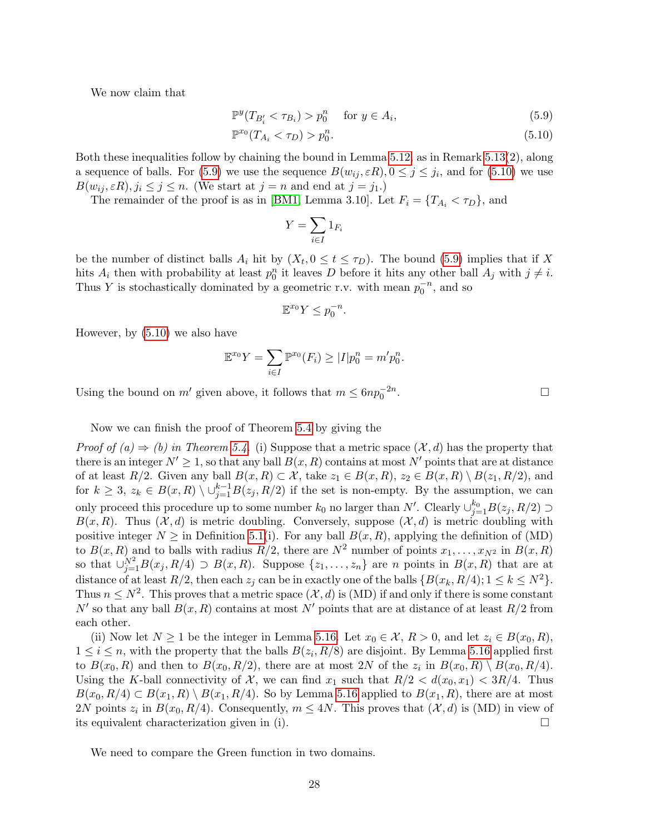We now claim that

$$
\mathbb{P}^y(T_{B_i'} < \tau_{B_i}) > p_0^n \quad \text{for } y \in A_i,\tag{5.9}
$$

$$
\mathbb{P}^{x_0}(T_{A_i} < \tau_D) > p_0^n. \tag{5.10}
$$

Both these inequalities follow by chaining the bound in Lemma [5.12,](#page-24-2) as in Remark [5.13\(](#page-0-0)2), along a sequence of balls. For [\(5.9\)](#page-27-0) we use the sequence  $B(w_{ij}, \varepsilon R)$ ,  $0 \le j \le j_i$ , and for [\(5.10\)](#page-27-1) we use  $B(w_{ij}, \varepsilon R), j_i \leq j \leq n$ . (We start at  $j = n$  and end at  $j = j_1$ .)

The remainder of the proof is as in [\[BM1,](#page-52-2) Lemma 3.10]. Let  $F_i = \{T_{A_i} < \tau_D\}$ , and

<span id="page-27-1"></span><span id="page-27-0"></span>
$$
Y = \sum_{i \in I} 1_{F_i}
$$

be the number of distinct balls  $A_i$  hit by  $(X_t, 0 \le t \le \tau_D)$ . The bound [\(5.9\)](#page-27-0) implies that if X hits  $A_i$  then with probability at least  $p_0^n$  it leaves D before it hits any other ball  $A_j$  with  $j \neq i$ . Thus Y is stochastically dominated by a geometric r.v. with mean  $p_0^{-n}$ , and so

$$
\mathbb{E}^{x_0} Y \le p_0^{-n}.
$$

However, by [\(5.10\)](#page-27-1) we also have

$$
\mathbb{E}^{x_0} Y = \sum_{i \in I} \mathbb{P}^{x_0}(F_i) \ge |I| p_0^n = m' p_0^n.
$$

Using the bound on  $m'$  given above, it follows that  $m \leq 6np_0^{-2n}$ 

Now we can finish the proof of Theorem [5.4](#page-22-0) by giving the

*Proof of (a)*  $\Rightarrow$  *(b) in Theorem [5.4.](#page-22-0)* (i) Suppose that a metric space  $(\mathcal{X}, d)$  has the property that there is an integer  $N' \geq 1$ , so that any ball  $B(x, R)$  contains at most N' points that are at distance of at least  $R/2$ . Given any ball  $B(x, R) \subset \mathcal{X}$ , take  $z_1 \in B(x, R)$ ,  $z_2 \in B(x, R) \setminus B(z_1, R/2)$ , and for  $k \geq 3$ ,  $z_k \in B(x, R) \setminus \cup_{j=1}^{k-1} B(z_j, R/2)$  if the set is non-empty. By the assumption, we can only proceed this procedure up to some number  $k_0$  no larger than N'. Clearly  $\cup_{j=1}^{k_0} B(z_j, R/2) \supset$  $B(x, R)$ . Thus  $(\mathcal{X}, d)$  is metric doubling. Conversely, suppose  $(\mathcal{X}, d)$  is metric doubling with positive integer  $N \geq$  in Definition [5.1\(](#page-0-0)i). For any ball  $B(x, R)$ , applying the definition of (MD) to  $B(x, R)$  and to balls with radius  $R/2$ , there are  $N^2$  number of points  $x_1, \ldots, x_{N^2}$  in  $B(x, R)$ so that  $\bigcup_{j=1}^{N^2} B(x_j, R/4) \supset B(x, R)$ . Suppose  $\{z_1, \ldots, z_n\}$  are n points in  $B(x, R)$  that are at distance of at least  $R/2$ , then each  $z_i$  can be in exactly one of the balls  $\{B(x_k, R/4); 1 \leq k \leq N^2\}$ . Thus  $n \leq N^2$ . This proves that a metric space  $(\mathcal{X}, d)$  is (MD) if and only if there is some constant N' so that any ball  $B(x, R)$  contains at most N' points that are at distance of at least  $R/2$  from each other.

(ii) Now let  $N \ge 1$  be the integer in Lemma [5.16.](#page-26-0) Let  $x_0 \in \mathcal{X}, R > 0$ , and let  $z_i \in B(x_0, R)$ ,  $1 \leq i \leq n$ , with the property that the balls  $B(z_i, R/8)$  are disjoint. By Lemma [5.16](#page-26-0) applied first to  $B(x_0, R)$  and then to  $B(x_0, R/2)$ , there are at most 2N of the  $z_i$  in  $B(x_0, R) \setminus B(x_0, R/4)$ . Using the K-ball connectivity of X, we can find  $x_1$  such that  $R/2 < d(x_0, x_1) < 3R/4$ . Thus  $B(x_0, R/4) \subset B(x_1, R) \setminus B(x_1, R/4)$ . So by Lemma [5.16](#page-26-0) applied to  $B(x_1, R)$ , there are at most 2N points  $z_i$  in  $B(x_0, R/4)$ . Consequently,  $m \le 4N$ . This proves that  $(\mathcal{X}, d)$  is (MD) in view of its equivalent characterization given in (i).  $\Box$ 

We need to compare the Green function in two domains.

. — Процессиональные производствование и производствование и производствование и производствование и производс<br>В 1990 году в 1990 году в 1990 году в 1990 году в 1990 году в 1990 году в 1990 году в 1990 году в 1990 году в<br>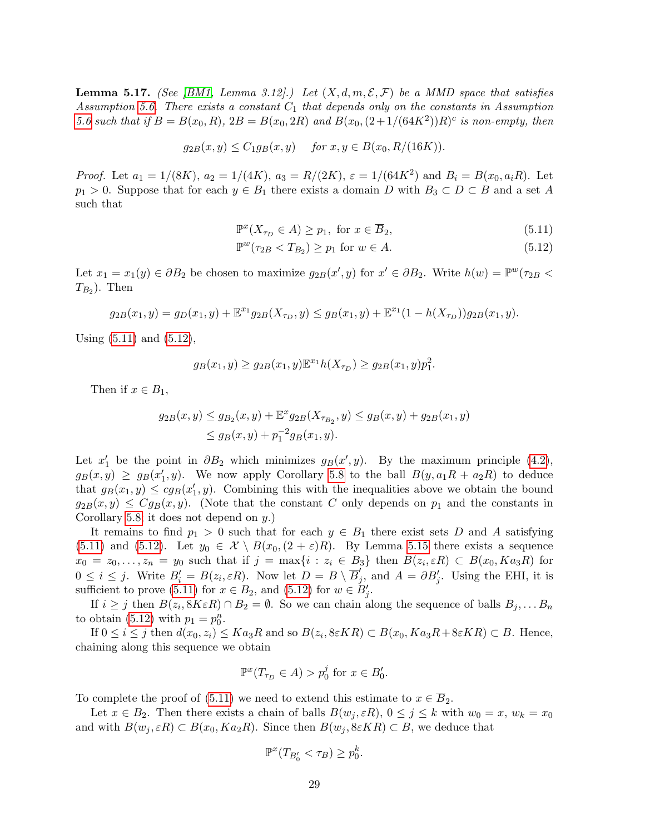<span id="page-28-2"></span>**Lemma 5.17.** (See [\[BM1,](#page-52-2) Lemma 3.12].) Let  $(X, d, m, \mathcal{E}, \mathcal{F})$  be a MMD space that satisfies Assumption [5.6.](#page-23-0) There exists a constant  $C_1$  that depends only on the constants in Assumption [5.6](#page-23-0) such that if  $B = B(x_0, R)$ ,  $2B = B(x_0, 2R)$  and  $B(x_0, (2+1/(64K^2))R)^c$  is non-empty, then

$$
g_{2B}(x, y) \le C_1 g_B(x, y)
$$
 for  $x, y \in B(x_0, R/(16K))$ .

*Proof.* Let  $a_1 = 1/(8K)$ ,  $a_2 = 1/(4K)$ ,  $a_3 = R/(2K)$ ,  $\varepsilon = 1/(64K^2)$  and  $B_i = B(x_0, a_iR)$ . Let  $p_1 > 0$ . Suppose that for each  $y \in B_1$  there exists a domain D with  $B_3 \subset D \subset B$  and a set A such that

<span id="page-28-1"></span><span id="page-28-0"></span>
$$
\mathbb{P}^x(X_{\tau_D} \in A) \ge p_1, \text{ for } x \in \overline{B}_2,\tag{5.11}
$$

$$
\mathbb{P}^w(\tau_{2B} < T_{B_2}) \ge p_1 \text{ for } w \in A. \tag{5.12}
$$

Let  $x_1 = x_1(y) \in \partial B_2$  be chosen to maximize  $g_{2B}(x', y)$  for  $x' \in \partial B_2$ . Write  $h(w) = \mathbb{P}^w(\tau_{2B} <$  $T_{B_2}$ ). Then

$$
g_{2B}(x_1, y) = g_D(x_1, y) + \mathbb{E}^{x_1} g_{2B}(X_{\tau_D}, y) \le g_B(x_1, y) + \mathbb{E}^{x_1} (1 - h(X_{\tau_D})) g_{2B}(x_1, y).
$$

Using [\(5.11\)](#page-28-0) and [\(5.12\)](#page-28-1),

$$
g_B(x_1, y) \ge g_{2B}(x_1, y) \mathbb{E}^{x_1} h(X_{\tau_D}) \ge g_{2B}(x_1, y) p_1^2.
$$

Then if  $x \in B_1$ ,

$$
g_{2B}(x,y) \le g_{B_2}(x,y) + \mathbb{E}^x g_{2B}(X_{\tau_{B_2}},y) \le g_B(x,y) + g_{2B}(x_1,y)
$$
  
 
$$
\le g_B(x,y) + p_1^{-2}g_B(x_1,y).
$$

Let  $x'_1$  be the point in  $\partial B_2$  which minimizes  $g_B(x', y)$ . By the maximum principle [\(4.2\)](#page-16-2),  $g_B(x,y) \geq g_B(x'_1,y)$ . We now apply Corollary [5.8](#page-23-2) to the ball  $B(y,a_1R + a_2R)$  to deduce that  $g_B(x_1, y) \leq c g_B(x_1', y)$ . Combining this with the inequalities above we obtain the bound  $g_{2B}(x, y) \leq Cg_B(x, y)$ . (Note that the constant C only depends on  $p_1$  and the constants in Corollary [5.8;](#page-23-2) it does not depend on  $y$ .)

It remains to find  $p_1 > 0$  such that for each  $y \in B_1$  there exist sets D and A satisfying [\(5.11\)](#page-28-0) and [\(5.12\)](#page-28-1). Let  $y_0 \in \mathcal{X} \setminus B(x_0,(2+\varepsilon)R)$ . By Lemma [5.15](#page-26-1) there exists a sequence  $x_0 = z_0, \ldots, z_n = y_0$  such that if  $j = \max\{i : z_i \in B_3\}$  then  $B(z_i, \varepsilon R) \subset B(x_0, Ka_3R)$  for  $0 \leq i \leq j$ . Write  $B_i' = B(z_i, \varepsilon R)$ . Now let  $D = B \setminus \overline{B}_j'$  $'_{j}$ , and  $A = \partial B'_{j}$ . Using the EHI, it is sufficient to prove [\(5.11\)](#page-28-0) for  $x \in B_2$ , and [\(5.12\)](#page-28-1) for  $w \in B'_j$ .

If  $i \geq j$  then  $B(z_i, 8K\varepsilon R) \cap B_2 = \emptyset$ . So we can chain along the sequence of balls  $B_j, \ldots B_n$ to obtain [\(5.12\)](#page-28-1) with  $p_1 = p_0^n$ .

If  $0 \le i \le j$  then  $d(x_0, z_i) \le Ka_3R$  and so  $B(z_i, 8\varepsilon KR) \subset B(x_0, Ka_3R+8\varepsilon KR) \subset B$ . Hence, chaining along this sequence we obtain

$$
\mathbb{P}^x(T_{\tau_D} \in A) > p_0^j \text{ for } x \in B'_0.
$$

To complete the proof of [\(5.11\)](#page-28-0) we need to extend this estimate to  $x \in \overline{B}_2$ .

Let  $x \in B_2$ . Then there exists a chain of balls  $B(w_j, \varepsilon R)$ ,  $0 \le j \le k$  with  $w_0 = x$ ,  $w_k = x_0$ and with  $B(w_i, \varepsilon R) \subset B(x_0, Ka_2R)$ . Since then  $B(w_i, \varepsilon K R) \subset B$ , we deduce that

$$
\mathbb{P}^x(T_{B'_0} < \tau_B) \ge p_0^k.
$$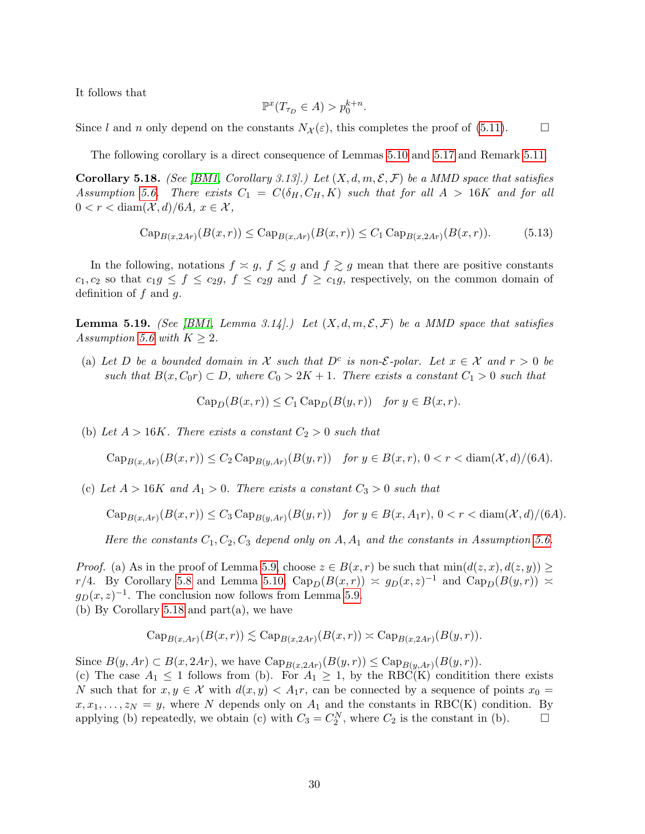It follows that

$$
\mathbb{P}^x(T_{\tau_D} \in A) > p_0^{k+n}.
$$

Since l and n only depend on the constants  $N_{\mathcal{X}}(\varepsilon)$ , this completes the proof of [\(5.11\)](#page-28-0).

The following corollary is a direct consequence of Lemmas [5.10](#page-24-3) and [5.17](#page-28-2) and Remark [5.11.](#page-24-0)

<span id="page-29-0"></span>**Corollary 5.18.** (See [\[BM1,](#page-52-2) Corollary 3.13].) Let  $(X, d, m, \mathcal{E}, \mathcal{F})$  be a MMD space that satisfies Assumption [5.6.](#page-23-0) There exists  $C_1 = C(\delta_H, C_H, K)$  such that for all  $A > 16K$  and for all  $0 < r < \text{diam}(\mathcal{X}, d)/6A, x \in \mathcal{X},$ 

$$
Cap_{B(x,2Ar)}(B(x,r)) \le Cap_{B(x,Ar)}(B(x,r)) \le C_1 Cap_{B(x,2Ar)}(B(x,r)).
$$
\n(5.13)

In the following, notations  $f \approx g$ ,  $f \lesssim g$  and  $f \gtrsim g$  mean that there are positive constants  $c_1, c_2$  so that  $c_1 g \le f \le c_2 g$ ,  $f \le c_2 g$  and  $f \ge c_1 g$ , respectively, on the common domain of definition of  $f$  and  $g$ .

<span id="page-29-1"></span>**Lemma 5.19.** (See [\[BM1,](#page-52-2) Lemma 3.14].) Let  $(X, d, m, \mathcal{E}, \mathcal{F})$  be a MMD space that satisfies Assumption [5.6](#page-23-0) with  $K \geq 2$ .

(a) Let D be a bounded domain in X such that  $D^c$  is non-*E*-polar. Let  $x \in \mathcal{X}$  and  $r > 0$  be such that  $B(x, C_0r) \subset D$ , where  $C_0 > 2K + 1$ . There exists a constant  $C_1 > 0$  such that

 $Cap_D(B(x, r)) \leq C_1 Cap_D(B(y, r))$  for  $y \in B(x, r)$ .

(b) Let  $A > 16K$ . There exists a constant  $C_2 > 0$  such that

 $\text{Cap}_{B(x, Ar)}(B(x, r)) \leq C_2 \text{Cap}_{B(y, Ar)}(B(y, r))$  for  $y \in B(x, r)$ ,  $0 < r < \text{diam}(\mathcal{X}, d)/(6A)$ .

(c) Let  $A > 16K$  and  $A_1 > 0$ . There exists a constant  $C_3 > 0$  such that

$$
\operatorname{Cap}_{B(x, Ar)}(B(x, r)) \le C_3 \operatorname{Cap}_{B(y, Ar)}(B(y, r)) \quad \text{for } y \in B(x, A_1r), \ 0 < r < \operatorname{diam}(\mathcal{X}, d) \setminus (6A).
$$

Here the constants  $C_1, C_2, C_3$  depend only on A,  $A_1$  and the constants in Assumption [5.6.](#page-23-0)

*Proof.* (a) As in the proof of Lemma [5.9,](#page-24-4) choose  $z \in B(x,r)$  be such that  $\min(d(z,x), d(z,y)) \ge$ r/4. By Corollary [5.8](#page-23-2) and Lemma [5.10,](#page-24-3)  $Cap_D(B(x,r)) \approx g_D(x,z)^{-1}$  and  $Cap_D(B(y,r)) \approx$  $g_D(x, z)^{-1}$ . The conclusion now follows from Lemma [5.9.](#page-24-4) (b) By Corollary [5.18](#page-29-0) and part(a), we have

$$
\mathrm{Cap}_{B(x,Ar)}(B(x,r)) \lesssim \mathrm{Cap}_{B(x,2Ar)}(B(x,r)) \asymp \mathrm{Cap}_{B(x,2Ar)}(B(y,r)).
$$

Since  $B(y, Ar) \subset B(x, 2Ar)$ , we have  $\text{Cap}_{B(x, 2Ar)}(B(y, r)) \leq \text{Cap}_{B(y, Ar)}(B(y, r))$ .

(c) The case  $A_1 \leq 1$  follows from (b). For  $A_1 \geq 1$ , by the RBC(K) condition there exists N such that for  $x, y \in \mathcal{X}$  with  $d(x, y) < A_1r$ , can be connected by a sequence of points  $x_0 =$  $x, x_1, \ldots, z_N = y$ , where N depends only on  $A_1$  and the constants in RBC(K) condition. By applying (b) repeatedly, we obtain (c) with  $C_3 = C_2^N$ , where  $C_2$  is the constant in (b).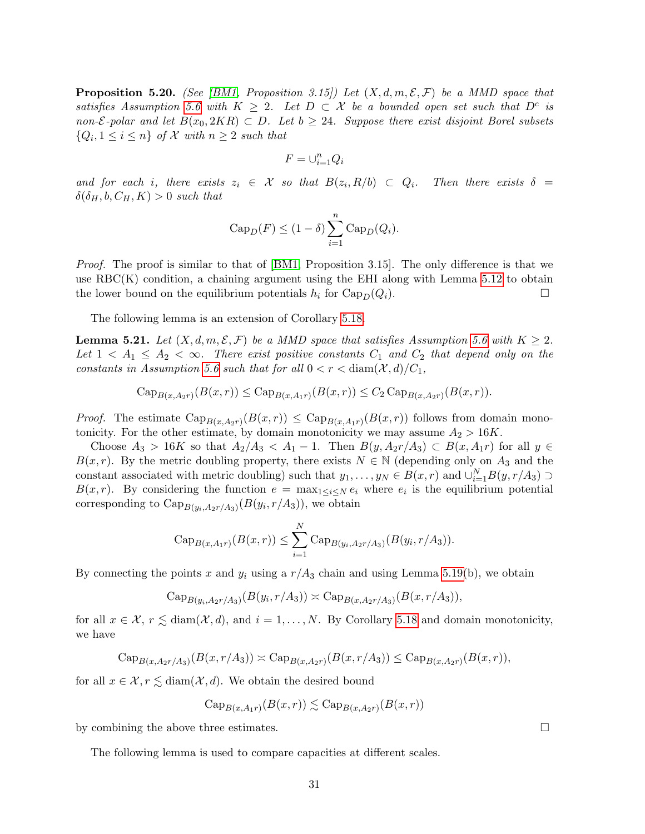<span id="page-30-1"></span>**Proposition 5.20.** (See [\[BM1,](#page-52-2) Proposition 3.15]) Let  $(X, d, m, \mathcal{E}, \mathcal{F})$  be a MMD space that satisfies Assumption [5.6](#page-23-0) with  $K \geq 2$ . Let  $D \subset \mathcal{X}$  be a bounded open set such that  $D^c$  is non- $\mathcal{E}\text{-}polar$  and let  $B(x_0, 2KR) \subset D$ . Let  $b \geq 24$ . Suppose there exist disjoint Borel subsets  $\{Q_i, 1 \leq i \leq n\}$  of  $\mathcal X$  with  $n \geq 2$  such that

$$
F=\cup_{i=1}^n Q_i
$$

and for each i, there exists  $z_i \in \mathcal{X}$  so that  $B(z_i, R/b) \subset Q_i$ . Then there exists  $\delta =$  $\delta(\delta_H, b, C_H, K) > 0$  such that

$$
Cap_D(F) \le (1 - \delta) \sum_{i=1}^{n} Cap_D(Q_i).
$$

Proof. The proof is similar to that of [\[BM1,](#page-52-2) Proposition 3.15]. The only difference is that we use  $RBC(K)$  condition, a chaining argument using the EHI along with Lemma [5.12](#page-24-2) to obtain the lower bound on the equilibrium potentials  $h_i$  for  $\text{Cap}_D(Q_i)$ .

The following lemma is an extension of Corollary [5.18.](#page-29-0)

<span id="page-30-0"></span>**Lemma 5.21.** Let  $(X, d, m, \mathcal{E}, \mathcal{F})$  be a MMD space that satisfies Assumption [5.6](#page-23-0) with  $K \geq 2$ . Let  $1 < A_1 \leq A_2 < \infty$ . There exist positive constants  $C_1$  and  $C_2$  that depend only on the constants in Assumption [5.6](#page-23-0) such that for all  $0 < r < \text{diam}(\mathcal{X}, d)/C_1$ ,

$$
Cap_{B(x,A_2r)}(B(x,r)) \leq Cap_{B(x,A_1r)}(B(x,r)) \leq C_2 Cap_{B(x,A_2r)}(B(x,r)).
$$

*Proof.* The estimate  $\text{Cap}_{B(x,A_2r)}(B(x,r)) \leq \text{Cap}_{B(x,A_1r)}(B(x,r))$  follows from domain monotonicity. For the other estimate, by domain monotonicity we may assume  $A_2 > 16K$ .

Choose  $A_3 > 16K$  so that  $A_2/A_3 < A_1 - 1$ . Then  $B(y, A_2r/A_3) \subset B(x, A_1r)$  for all  $y \in$  $B(x, r)$ . By the metric doubling property, there exists  $N \in \mathbb{N}$  (depending only on  $A_3$  and the constant associated with metric doubling) such that  $y_1, \ldots, y_N \in B(x, r)$  and  $\cup_{i=1}^N B(y, r/A_3) \supset$  $B(x,r)$ . By considering the function  $e = \max_{1 \leq i \leq N} e_i$  where  $e_i$  is the equilibrium potential corresponding to  $\text{Cap}_{B(y_i,A_2r/A_3)}(B(y_i,r/A_3))$ , we obtain

Cap<sub>B(x,A\_1r)</sub>
$$
(B(x,r)) \le \sum_{i=1}^N \text{Cap}_{B(y_i,A_2r/A_3)}(B(y_i,r/A_3)).
$$

By connecting the points x and  $y_i$  using a  $r/A_3$  chain and using Lemma [5.19\(](#page-29-1)b), we obtain

$$
\mathrm{Cap}_{B(y_i, A_2r/A_3)}(B(y_i, r/A_3)) \simeq \mathrm{Cap}_{B(x, A_2r/A_3)}(B(x, r/A_3)),
$$

for all  $x \in \mathcal{X}$ ,  $r \leq \text{diam}(\mathcal{X}, d)$ , and  $i = 1, ..., N$ . By Corollary [5.18](#page-29-0) and domain monotonicity, we have

$$
Cap_{B(x,A_2r/A_3)}(B(x,r/A_3)) \times Cap_{B(x,A_2r)}(B(x,r/A_3)) \le Cap_{B(x,A_2r)}(B(x,r)),
$$

for all  $x \in \mathcal{X}, r \lesssim \text{diam}(\mathcal{X}, d)$ . We obtain the desired bound

$$
\mathrm{Cap}_{B(x,A_1r)}(B(x,r)) \lesssim \mathrm{Cap}_{B(x,A_2r)}(B(x,r))
$$

by combining the above three estimates.

The following lemma is used to compare capacities at different scales.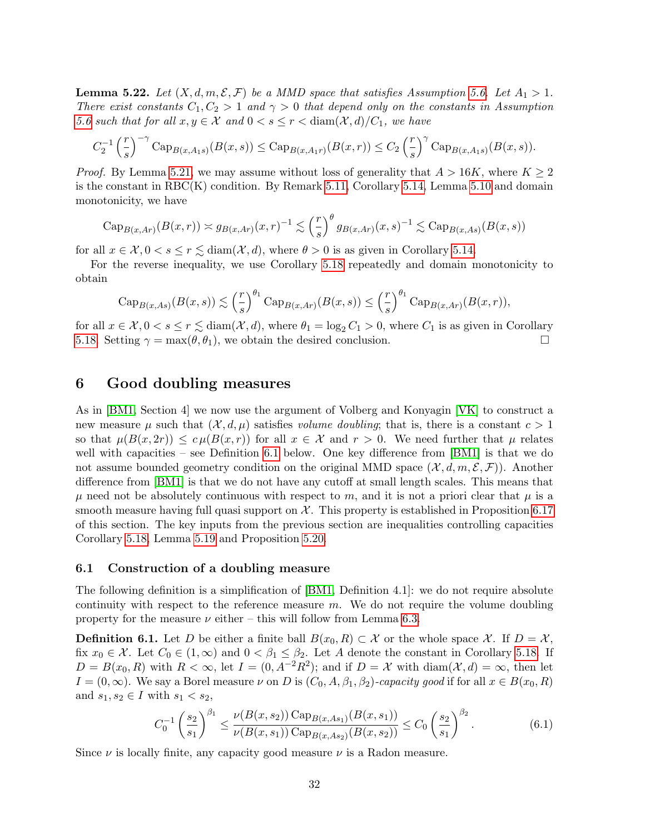<span id="page-31-3"></span>**Lemma 5.22.** Let  $(X, d, m, \mathcal{E}, \mathcal{F})$  be a MMD space that satisfies Assumption [5.6.](#page-23-0) Let  $A_1 > 1$ . There exist constants  $C_1, C_2 > 1$  and  $\gamma > 0$  that depend only on the constants in Assumption [5.6](#page-23-0) such that for all  $x, y \in \mathcal{X}$  and  $0 < s \leq r < \text{diam}(\mathcal{X}, d)/C_1$ , we have

$$
C_2^{-1} \left(\frac{r}{s}\right)^{-\gamma} \mathrm{Cap}_{B(x,A_1s)}(B(x,s)) \leq \mathrm{Cap}_{B(x,A_1r)}(B(x,r)) \leq C_2 \left(\frac{r}{s}\right)^{\gamma} \mathrm{Cap}_{B(x,A_1s)}(B(x,s)).
$$

*Proof.* By Lemma [5.21,](#page-30-0) we may assume without loss of generality that  $A > 16K$ , where  $K \ge 2$ is the constant in RBC(K) condition. By Remark [5.11,](#page-24-0) Corollary [5.14,](#page-25-0) Lemma [5.10](#page-24-3) and domain monotonicity, we have

$$
\operatorname{Cap}_{B(x,Ar)}(B(x,r)) \asymp g_{B(x,Ar)}(x,r)^{-1} \lesssim \left(\frac{r}{s}\right)^{\theta} g_{B(x,Ar)}(x,s)^{-1} \lesssim \operatorname{Cap}_{B(x,As)}(B(x,s))
$$

for all  $x \in \mathcal{X}, 0 < s \leq r \leq \text{diam}(\mathcal{X}, d)$ , where  $\theta > 0$  is as given in Corollary [5.14.](#page-25-0)

For the reverse inequality, we use Corollary [5.18](#page-29-0) repeatedly and domain monotonicity to obtain

$$
\mathrm{Cap}_{B(x,As)}(B(x,s)) \lesssim \left(\frac{r}{s}\right)^{\theta_1} \mathrm{Cap}_{B(x,Ar)}(B(x,s)) \le \left(\frac{r}{s}\right)^{\theta_1} \mathrm{Cap}_{B(x,Ar)}(B(x,r)),
$$

for all  $x \in \mathcal{X}, 0 < s \leq r \leq \text{diam}(\mathcal{X}, d)$ , where  $\theta_1 = \log_2 C_1 > 0$ , where  $C_1$  is as given in Corollary [5.18.](#page-29-0) Setting  $\gamma = \max(\theta, \theta_1)$ , we obtain the desired conclusion.

## <span id="page-31-0"></span>6 Good doubling measures

As in [\[BM1,](#page-52-2) Section 4] we now use the argument of Volberg and Konyagin [\[VK\]](#page-53-10) to construct a new measure  $\mu$  such that  $(\mathcal{X}, d, \mu)$  satisfies volume doubling; that is, there is a constant  $c > 1$ so that  $\mu(B(x, 2r)) \leq c \mu(B(x, r))$  for all  $x \in \mathcal{X}$  and  $r > 0$ . We need further that  $\mu$  relates well with capacities – see Definition [6.1](#page-31-1) below. One key difference from [\[BM1\]](#page-52-2) is that we do not assume bounded geometry condition on the original MMD space  $(\mathcal{X}, d, m, \mathcal{E}, \mathcal{F})$ ). Another difference from [\[BM1\]](#page-52-2) is that we do not have any cutoff at small length scales. This means that  $\mu$  need not be absolutely continuous with respect to m, and it is not a priori clear that  $\mu$  is a smooth measure having full quasi support on  $\mathcal X$ . This property is established in Proposition [6.17](#page-42-0) of this section. The key inputs from the previous section are inequalities controlling capacities Corollary [5.18,](#page-29-0) Lemma [5.19](#page-29-1) and Proposition [5.20.](#page-30-1)

### 6.1 Construction of a doubling measure

The following definition is a simplification of [\[BM1,](#page-52-2) Definition 4.1]: we do not require absolute continuity with respect to the reference measure  $m$ . We do not require the volume doubling property for the measure  $\nu$  either – this will follow from Lemma [6.3.](#page-32-0)

<span id="page-31-1"></span>**Definition 6.1.** Let D be either a finite ball  $B(x_0, R) \subset \mathcal{X}$  or the whole space X. If  $D = \mathcal{X}$ , fix  $x_0 \in \mathcal{X}$ . Let  $C_0 \in (1,\infty)$  and  $0 < \beta_1 \leq \beta_2$ . Let A denote the constant in Corollary [5.18.](#page-29-0) If  $D = B(x_0, R)$  with  $R < \infty$ , let  $I = (0, A^{-2}R^2)$ ; and if  $D = \mathcal{X}$  with  $\text{diam}(\mathcal{X}, d) = \infty$ , then let  $I = (0, \infty)$ . We say a Borel measure  $\nu$  on D is  $(C_0, A, \beta_1, \beta_2)$ -capacity good if for all  $x \in B(x_0, R)$ and  $s_1, s_2 \in I$  with  $s_1 < s_2$ ,

<span id="page-31-2"></span>
$$
C_0^{-1} \left(\frac{s_2}{s_1}\right)^{\beta_1} \le \frac{\nu(B(x, s_2)) \operatorname{Cap}_{B(x, As_1)}(B(x, s_1))}{\nu(B(x, s_1)) \operatorname{Cap}_{B(x, As_2)}(B(x, s_2))} \le C_0 \left(\frac{s_2}{s_1}\right)^{\beta_2}.\tag{6.1}
$$

Since  $\nu$  is locally finite, any capacity good measure  $\nu$  is a Radon measure.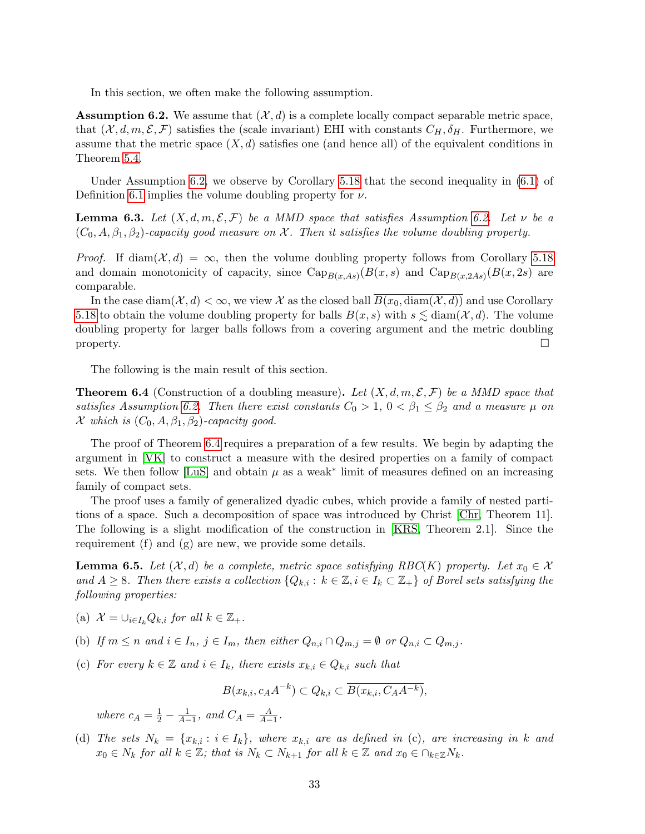In this section, we often make the following assumption.

<span id="page-32-1"></span>**Assumption 6.2.** We assume that  $(\mathcal{X}, d)$  is a complete locally compact separable metric space, that  $(\mathcal{X}, d, m, \mathcal{E}, \mathcal{F})$  satisfies the (scale invariant) EHI with constants  $C_H$ ,  $\delta_H$ . Furthermore, we assume that the metric space  $(X, d)$  satisfies one (and hence all) of the equivalent conditions in Theorem [5.4.](#page-22-0)

Under Assumption [6.2,](#page-32-1) we observe by Corollary [5.18](#page-29-0) that the second inequality in [\(6.1\)](#page-31-2) of Definition [6.1](#page-31-1) implies the volume doubling property for  $\nu$ .

<span id="page-32-0"></span>**Lemma 6.3.** Let  $(X, d, m, \mathcal{E}, \mathcal{F})$  be a MMD space that satisfies Assumption [6.2.](#page-32-1) Let  $\nu$  be a  $(C_0, A, \beta_1, \beta_2)$ -capacity good measure on X. Then it satisfies the volume doubling property.

*Proof.* If diam( $\mathcal{X}, d$ ) =  $\infty$ , then the volume doubling property follows from Corollary [5.18](#page-29-0) and domain monotonicity of capacity, since  $\text{Cap}_{B(x, As)}(B(x, s)$  and  $\text{Cap}_{B(x,2As)}(B(x, 2s))$  are comparable.

In the case diam( $\mathcal{X}, d$ )  $< \infty$ , we view  $\mathcal X$  as the closed ball  $\overline{B(x_0, \text{diam}(\mathcal{X}, d))}$  and use Corollary [5.18](#page-29-0) to obtain the volume doubling property for balls  $B(x, s)$  with  $s \lesssim \text{diam}(\mathcal{X}, d)$ . The volume doubling property for larger balls follows from a covering argument and the metric doubling  $\Box$ 

The following is the main result of this section.

<span id="page-32-2"></span>**Theorem 6.4** (Construction of a doubling measure). Let  $(X, d, m, \mathcal{E}, \mathcal{F})$  be a MMD space that satisfies Assumption [6.2.](#page-32-1) Then there exist constants  $C_0 > 1$ ,  $0 < \beta_1 \leq \beta_2$  and a measure  $\mu$  on X which is  $(C_0, A, \beta_1, \beta_2)$ -capacity good.

The proof of Theorem [6.4](#page-32-2) requires a preparation of a few results. We begin by adapting the argument in [\[VK\]](#page-53-10) to construct a measure with the desired properties on a family of compact sets. We then follow [\[LuS\]](#page-53-11) and obtain  $\mu$  as a weak<sup>\*</sup> limit of measures defined on an increasing family of compact sets.

The proof uses a family of generalized dyadic cubes, which provide a family of nested partitions of a space. Such a decomposition of space was introduced by Christ [\[Chr,](#page-52-13) Theorem 11]. The following is a slight modification of the construction in [\[KRS,](#page-53-12) Theorem 2.1]. Since the requirement (f) and (g) are new, we provide some details.

<span id="page-32-3"></span>**Lemma 6.5.** Let  $(\mathcal{X}, d)$  be a complete, metric space satisfying RBC(K) property. Let  $x_0 \in \mathcal{X}$ and  $A \geq 8$ . Then there exists a collection  $\{Q_{k,i}: k \in \mathbb{Z}, i \in I_k \subset \mathbb{Z}_+\}$  of Borel sets satisfying the following properties:

- (a)  $\mathcal{X} = \bigcup_{i \in I_k} Q_{k,i}$  for all  $k \in \mathbb{Z}_+$ .
- (b) If  $m \leq n$  and  $i \in I_n$ ,  $j \in I_m$ , then either  $Q_{n,i} \cap Q_{m,j} = \emptyset$  or  $Q_{n,i} \subset Q_{m,j}$ .
- (c) For every  $k \in \mathbb{Z}$  and  $i \in I_k$ , there exists  $x_{k,i} \in Q_{k,i}$  such that

$$
B(x_{k,i}, c_A A^{-k}) \subset Q_{k,i} \subset \overline{B(x_{k,i}, C_A A^{-k})},
$$

where  $c_A = \frac{1}{2} - \frac{1}{A-1}$ , and  $C_A = \frac{A}{A-1}$ .

(d) The sets  $N_k = \{x_{k,i} : i \in I_k\}$ , where  $x_{k,i}$  are as defined in (c), are increasing in k and  $x_0 \in N_k$  for all  $k \in \mathbb{Z}$ ; that is  $N_k \subset N_{k+1}$  for all  $k \in \mathbb{Z}$  and  $x_0 \in \bigcap_{k \in \mathbb{Z}} N_k$ .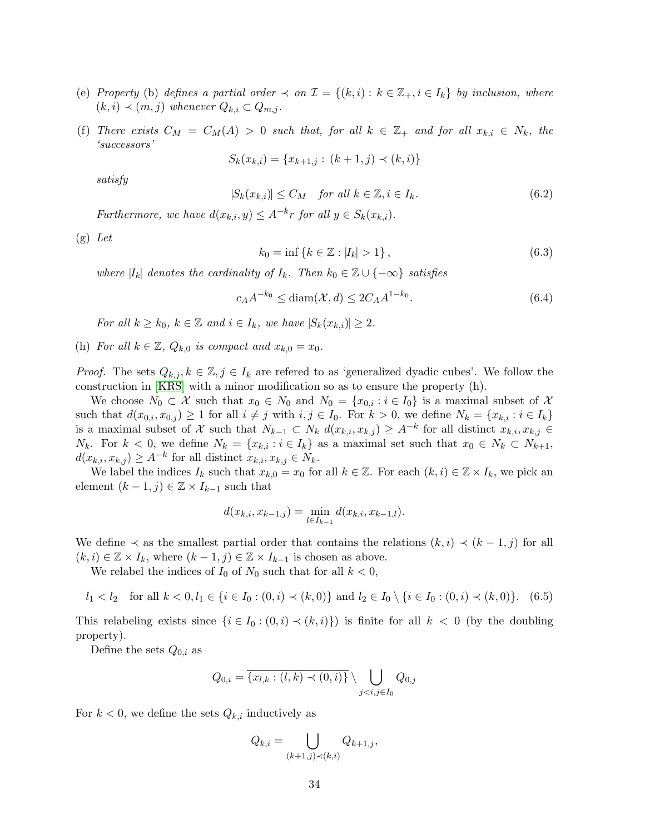- (e) Property (b) defines a partial order  $\prec$  on  $\mathcal{I} = \{(k,i): k \in \mathbb{Z}_+, i \in I_k\}$  by inclusion, where  $(k, i) \prec (m, j)$  whenever  $Q_{k,i} \subset Q_{m,i}$ .
- (f) There exists  $C_M = C_M(A) > 0$  such that, for all  $k \in \mathbb{Z}_+$  and for all  $x_{k,i} \in N_k$ , the 'successors'

$$
S_k(x_{k,i}) = \{x_{k+1,j} : (k+1,j) \prec (k,i)\}
$$

satisfy

$$
|S_k(x_{k,i})| \le C_M \quad \text{for all } k \in \mathbb{Z}, i \in I_k. \tag{6.2}
$$

Furthermore, we have  $d(x_{k,i}, y) \leq A^{-k}r$  for all  $y \in S_k(x_{k,i}).$ 

 $(g)$  Let

<span id="page-33-1"></span>
$$
k_0 = \inf \{ k \in \mathbb{Z} : |I_k| > 1 \},\tag{6.3}
$$

where  $|I_k|$  denotes the cardinality of  $I_k$ . Then  $k_0 \in \mathbb{Z} \cup \{-\infty\}$  satisfies

<span id="page-33-0"></span>
$$
c_A A^{-k_0} \le \text{diam}(\mathcal{X}, d) \le 2C_A A^{1-k_0}.
$$
\n(6.4)

For all  $k \geq k_0$ ,  $k \in \mathbb{Z}$  and  $i \in I_k$ , we have  $|S_k(x_{k,i})| \geq 2$ .

(h) For all  $k \in \mathbb{Z}$ ,  $Q_{k,0}$  is compact and  $x_{k,0} = x_0$ .

*Proof.* The sets  $Q_{k,j}, k \in \mathbb{Z}, j \in I_k$  are refered to as 'generalized dyadic cubes'. We follow the construction in [\[KRS\]](#page-53-12) with a minor modification so as to ensure the property (h).

We choose  $N_0 \subset \mathcal{X}$  such that  $x_0 \in N_0$  and  $N_0 = \{x_{0,i} : i \in I_0\}$  is a maximal subset of X such that  $d(x_{0,i}, x_{0,j}) \geq 1$  for all  $i \neq j$  with  $i, j \in I_0$ . For  $k > 0$ , we define  $N_k = \{x_{k,i} : i \in I_k\}$ is a maximal subset of X such that  $N_{k-1} \subset N_k$   $d(x_{k,i}, x_{k,j}) \geq A^{-k}$  for all distinct  $x_{k,i}, x_{k,j} \in$  $N_k$ . For  $k < 0$ , we define  $N_k = \{x_{k,i} : i \in I_k\}$  as a maximal set such that  $x_0 \in N_k \subset N_{k+1}$ ,  $d(x_{k,i}, x_{k,j}) \geq A^{-k}$  for all distinct  $x_{k,i}, x_{k,j} \in N_k$ .

We label the indices  $I_k$  such that  $x_{k,0} = x_0$  for all  $k \in \mathbb{Z}$ . For each  $(k, i) \in \mathbb{Z} \times I_k$ , we pick an element  $(k-1, j) \in \mathbb{Z} \times I_{k-1}$  such that

$$
d(x_{k,i}, x_{k-1,j}) = \min_{l \in I_{k-1}} d(x_{k,i}, x_{k-1,l}).
$$

We define  $\prec$  as the smallest partial order that contains the relations  $(k, i) \prec (k - 1, j)$  for all  $(k, i) \in \mathbb{Z} \times I_k$ , where  $(k - 1, j) \in \mathbb{Z} \times I_{k-1}$  is chosen as above.

We relabel the indices of  $I_0$  of  $N_0$  such that for all  $k < 0$ ,

$$
l_1 < l_2
$$
 for all  $k < 0, l_1 \in \{i \in I_0 : (0, i) \prec (k, 0)\}$  and  $l_2 \in I_0 \setminus \{i \in I_0 : (0, i) \prec (k, 0)\}$ . (6.5)

This relabeling exists since  $\{i \in I_0 : (0, i) \prec (k, i)\}\$  is finite for all  $k < 0$  (by the doubling property).

Define the sets  $Q_{0,i}$  as

$$
Q_{0,i} = \overline{\{x_{l,k} : (l,k) \prec (0,i)\}} \setminus \bigcup_{j
$$

For  $k < 0$ , we define the sets  $Q_{k,i}$  inductively as

$$
Q_{k,i} = \bigcup_{(k+1,j)\prec (k,i)} Q_{k+1,j},
$$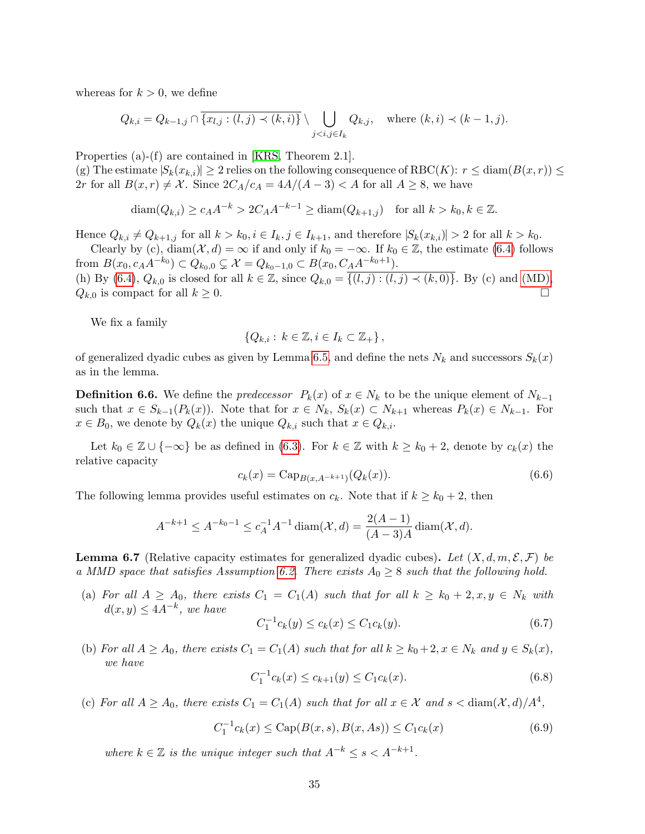whereas for  $k > 0$ , we define

$$
Q_{k,i} = Q_{k-1,j} \cap \overline{\{x_{l,j} : (l,j) \prec (k,i)\}} \setminus \bigcup_{j < i,j \in I_k} Q_{k,j}, \quad \text{where } (k,i) \prec (k-1,j).
$$

Properties (a)-(f) are contained in [\[KRS,](#page-53-12) Theorem 2.1].

(g) The estimate  $|S_k(x_{k,i})| \geq 2$  relies on the following consequence of RBC(K):  $r \leq \text{diam}(B(x,r)) \leq$ 2r for all  $B(x, r) \neq \mathcal{X}$ . Since  $2C_A/c_A = 4A/(A-3) < A$  for all  $A \geq 8$ , we have

$$
\operatorname{diam}(Q_{k,i}) \ge c_A A^{-k} > 2C_A A^{-k-1} \ge \operatorname{diam}(Q_{k+1,j}) \quad \text{for all } k > k_0, k \in \mathbb{Z}.
$$

Hence  $Q_{k,i} \neq Q_{k+1,j}$  for all  $k > k_0, i \in I_k, j \in I_{k+1}$ , and therefore  $|S_k(x_{k,i})| > 2$  for all  $k > k_0$ .

Clearly by (c), diam( $\mathcal{X}, d$ ) =  $\infty$  if and only if  $k_0 = -\infty$ . If  $k_0 \in \mathbb{Z}$ , the estimate [\(6.4\)](#page-33-0) follows from  $B(x_0, c_A A^{-k_0}) \subset Q_{k_0,0} \subsetneq \mathcal{X} = Q_{k_0-1,0} \subset B(x_0, C_A A^{-k_0+1}).$ (h) By [\(6.4\)](#page-33-0),  $Q_{k,0}$  is closed for all  $k \in \mathbb{Z}$ , since  $Q_{k,0} = \overline{\{(l,j) : (l,j) \prec (k,0)\}}$ . By (c) and [\(MD\),](#page-0-0)  $Q_{k,0}$  is compact for all  $k \geq 0$ .

We fix a family

$$
\{Q_{k,i}:\,k\in\mathbb{Z},i\in I_k\subset\mathbb{Z}_+\},\
$$

of generalized dyadic cubes as given by Lemma [6.5,](#page-32-3) and define the nets  $N_k$  and successors  $S_k(x)$ as in the lemma.

<span id="page-34-5"></span>**Definition 6.6.** We define the *predecessor*  $P_k(x)$  of  $x \in N_k$  to be the unique element of  $N_{k-1}$ such that  $x \in S_{k-1}(P_k(x))$ . Note that for  $x \in N_k$ ,  $S_k(x) \subset N_{k+1}$  whereas  $P_k(x) \in N_{k-1}$ . For  $x \in B_0$ , we denote by  $Q_k(x)$  the unique  $Q_{k,i}$  such that  $x \in Q_{k,i}$ .

Let  $k_0 \in \mathbb{Z} \cup \{-\infty\}$  be as defined in [\(6.3\)](#page-33-1). For  $k \in \mathbb{Z}$  with  $k \geq k_0 + 2$ , denote by  $c_k(x)$  the relative capacity

<span id="page-34-1"></span>
$$
c_k(x) = \text{Cap}_{B(x, A^{-k+1})}(Q_k(x)).
$$
\n(6.6)

The following lemma provides useful estimates on  $c_k$ . Note that if  $k \geq k_0 + 2$ , then

$$
A^{-k+1} \le A^{-k_0 - 1} \le c_A^{-1} A^{-1} \operatorname{diam}(\mathcal{X}, d) = \frac{2(A - 1)}{(A - 3)A} \operatorname{diam}(\mathcal{X}, d).
$$

<span id="page-34-0"></span>**Lemma 6.7** (Relative capacity estimates for generalized dyadic cubes). Let  $(X, d, m, \mathcal{E}, \mathcal{F})$  be a MMD space that satisfies Assumption [6.2.](#page-32-1) There exists  $A_0 \geq 8$  such that the following hold.

(a) For all  $A \geq A_0$ , there exists  $C_1 = C_1(A)$  such that for all  $k \geq k_0 + 2, x, y \in N_k$  with  $d(x, y) \leq 4A^{-k}$ , we have

<span id="page-34-2"></span>
$$
C_1^{-1}c_k(y) \le c_k(x) \le C_1c_k(y). \tag{6.7}
$$

(b) For all  $A \geq A_0$ , there exists  $C_1 = C_1(A)$  such that for all  $k \geq k_0 + 2, x \in N_k$  and  $y \in S_k(x)$ , we have

<span id="page-34-3"></span>
$$
C_1^{-1}c_k(x) \le c_{k+1}(y) \le C_1c_k(x). \tag{6.8}
$$

(c) For all  $A \geq A_0$ , there exists  $C_1 = C_1(A)$  such that for all  $x \in \mathcal{X}$  and  $s < \text{diam}(\mathcal{X}, d)/A^4$ ,

<span id="page-34-4"></span>
$$
C_1^{-1}c_k(x) \le \text{Cap}(B(x, s), B(x, As)) \le C_1c_k(x)
$$
\n(6.9)

where  $k \in \mathbb{Z}$  is the unique integer such that  $A^{-k} \leq s < A^{-k+1}$ .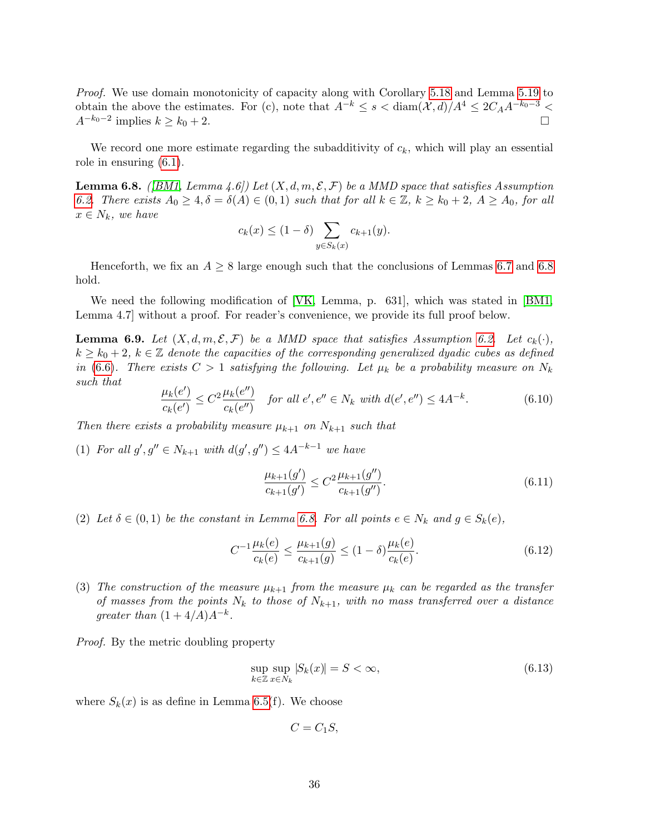Proof. We use domain monotonicity of capacity along with Corollary [5.18](#page-29-0) and Lemma [5.19](#page-29-1) to obtain the above the estimates. For (c), note that  $A^{-k} \le s < \text{diam}(\mathcal{X}, d)/A^4 \le 2C_A A^{-k_0-3}$  $A^{-k_0-2}$  implies  $k \ge k_0+2$ .

We record one more estimate regarding the subadditivity of  $c_k$ , which will play an essential role in ensuring [\(6.1\)](#page-31-2).

<span id="page-35-0"></span>**Lemma 6.8.** ([\[BM1,](#page-52-2) Lemma 4.6]) Let  $(X, d, m, \mathcal{E}, \mathcal{F})$  be a MMD space that satisfies Assumption [6.2.](#page-32-1) There exists  $A_0 \ge 4$ ,  $\delta = \delta(A) \in (0,1)$  such that for all  $k \in \mathbb{Z}$ ,  $k \ge k_0 + 2$ ,  $A \ge A_0$ , for all  $x \in N_k$ , we have

$$
c_k(x) \le (1 - \delta) \sum_{y \in S_k(x)} c_{k+1}(y).
$$

Henceforth, we fix an  $A \geq 8$  large enough such that the conclusions of Lemmas [6.7](#page-34-0) and [6.8](#page-35-0) hold.

We need the following modification of [\[VK,](#page-53-10) Lemma, p. 631], which was stated in [\[BM1,](#page-52-2) Lemma 4.7] without a proof. For reader's convenience, we provide its full proof below.

<span id="page-35-2"></span>**Lemma 6.9.** Let  $(X, d, m, \mathcal{E}, \mathcal{F})$  be a MMD space that satisfies Assumption [6.2.](#page-32-1) Let  $c_k(\cdot)$ ,  $k \geq k_0 + 2$ ,  $k \in \mathbb{Z}$  denote the capacities of the corresponding generalized dyadic cubes as defined in [\(6.6\)](#page-34-1). There exists  $C > 1$  satisfying the following. Let  $\mu_k$  be a probability measure on  $N_k$ such that

<span id="page-35-3"></span>
$$
\frac{\mu_k(e')}{c_k(e')} \le C^2 \frac{\mu_k(e'')}{c_k(e'')} \quad \text{for all } e', e'' \in N_k \text{ with } d(e', e'') \le 4A^{-k}.\tag{6.10}
$$

Then there exists a probability measure  $\mu_{k+1}$  on  $N_{k+1}$  such that

(1) For all  $g', g'' \in N_{k+1}$  with  $d(g', g'') \leq 4A^{-k-1}$  we have

$$
\frac{\mu_{k+1}(g')}{c_{k+1}(g')} \le C^2 \frac{\mu_{k+1}(g'')}{c_{k+1}(g'')}.
$$
\n(6.11)

(2) Let  $\delta \in (0,1)$  be the constant in Lemma [6.8.](#page-35-0) For all points  $e \in N_k$  and  $g \in S_k(e)$ ,

<span id="page-35-4"></span>
$$
C^{-1} \frac{\mu_k(e)}{c_k(e)} \le \frac{\mu_{k+1}(g)}{c_{k+1}(g)} \le (1-\delta) \frac{\mu_k(e)}{c_k(e)}.
$$
\n(6.12)

(3) The construction of the measure  $\mu_{k+1}$  from the measure  $\mu_k$  can be regarded as the transfer of masses from the points  $N_k$  to those of  $N_{k+1}$ , with no mass transferred over a distance greater than  $(1+4/A)A^{-k}$ .

Proof. By the metric doubling property

<span id="page-35-1"></span>
$$
\sup_{k \in \mathbb{Z}} \sup_{x \in N_k} |S_k(x)| = S < \infty,\tag{6.13}
$$

where  $S_k(x)$  is as define in Lemma [6.5\(](#page-32-3)f). We choose

$$
C=C_1S,
$$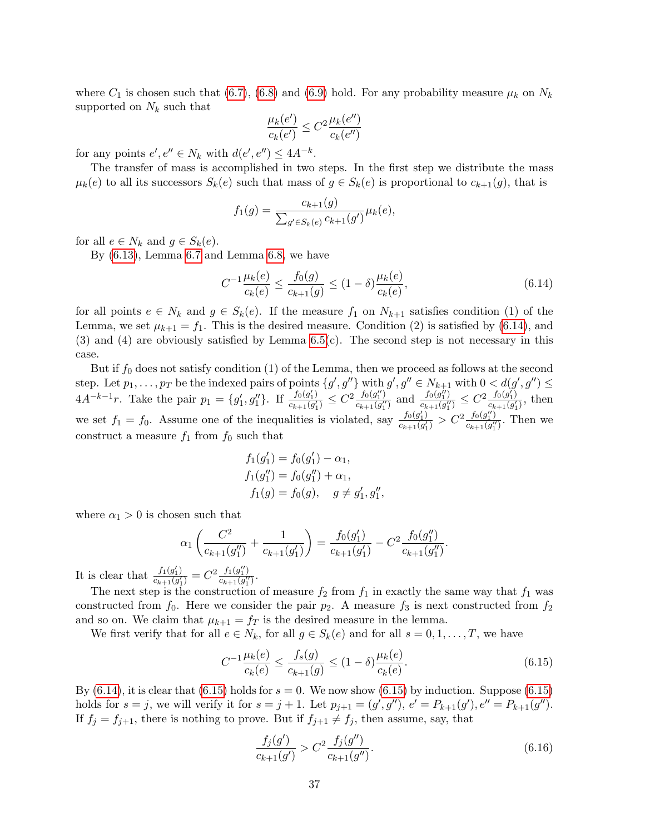where  $C_1$  is chosen such that [\(6.7\)](#page-34-2), [\(6.8\)](#page-34-3) and [\(6.9\)](#page-34-4) hold. For any probability measure  $\mu_k$  on  $N_k$ supported on  $N_k$  such that

$$
\frac{\mu_k(e')}{c_k(e')} \leq C^2 \frac{\mu_k(e'')}{c_k(e'')}
$$

for any points  $e', e'' \in N_k$  with  $d(e', e'') \leq 4A^{-k}$ .

The transfer of mass is accomplished in two steps. In the first step we distribute the mass  $\mu_k(e)$  to all its successors  $S_k(e)$  such that mass of  $g \in S_k(e)$  is proportional to  $c_{k+1}(g)$ , that is

$$
f_1(g) = \frac{c_{k+1}(g)}{\sum_{g' \in S_k(e)} c_{k+1}(g')} \mu_k(e),
$$

for all  $e \in N_k$  and  $g \in S_k(e)$ .

By [\(6.13\)](#page-35-1), Lemma [6.7](#page-34-0) and Lemma [6.8,](#page-35-0) we have

<span id="page-36-0"></span>
$$
C^{-1} \frac{\mu_k(e)}{c_k(e)} \le \frac{f_0(g)}{c_{k+1}(g)} \le (1 - \delta) \frac{\mu_k(e)}{c_k(e)},
$$
\n(6.14)

for all points  $e \in N_k$  and  $g \in S_k(e)$ . If the measure  $f_1$  on  $N_{k+1}$  satisfies condition (1) of the Lemma, we set  $\mu_{k+1} = f_1$ . This is the desired measure. Condition (2) is satisfied by [\(6.14\)](#page-36-0), and  $(3)$  and  $(4)$  are obviously satisfied by Lemma  $6.5(c)$ . The second step is not necessary in this case.

But if  $f_0$  does not satisfy condition (1) of the Lemma, then we proceed as follows at the second step. Let  $p_1, \ldots, p_T$  be the indexed pairs of points  $\{g', g''\}$  with  $g', g'' \in N_{k+1}$  with  $0 < d(g', g'') \leq$  $4A^{-k-1}r$ . Take the pair  $p_1 = \{g'_1, g''_1\}$ . If  $\frac{f_0(g'_1)}{c_{k+1}(g'_1)}$  $\frac{f_0(g_1')}{c_{k+1}(g_1')} \leq C^2 \frac{f_0(g_1'')}{c_{k+1}(g_1'')}$  $\frac{f_0(g_1'')}{c_{k+1}(g_1'')}$  and  $\frac{f_0(g_1'')}{c_{k+1}(g_1'')}$  $\frac{f_0(g_1^{ij})}{c_{k+1}(g_1^{ij})} \leq C^2 \frac{f_0(g_1^j)}{c_{k+1}(g_1^j)}$  $\frac{J(0, g_1)}{c_{k+1}(g'_1)}$ , then we set  $f_1 = f_0$ . Assume one of the inequalities is violated, say  $\frac{f_0(g_1')}{g_{b+1}(g_1')}$  $\frac{f_0(g_1')}{c_{k+1}(g_1')} > C^2 \frac{f_0(g_1'')}{c_{k+1}(g_1'')}$  $\frac{J(0, g_1)}{c_{k+1}(g_1^{\prime\prime})}$ . Then we construct a measure  $f_1$  from  $f_0$  such that

$$
f_1(g'_1) = f_0(g'_1) - \alpha_1,
$$
  
\n
$$
f_1(g''_1) = f_0(g''_1) + \alpha_1,
$$
  
\n
$$
f_1(g) = f_0(g), \quad g \neq g'_1, g''_1,
$$

where  $\alpha_1 > 0$  is chosen such that

$$
\alpha_1 \left( \frac{C^2}{c_{k+1}(g_1'')} + \frac{1}{c_{k+1}(g_1')} \right) = \frac{f_0(g_1')}{c_{k+1}(g_1')} - C^2 \frac{f_0(g_1'')}{c_{k+1}(g_1'')}.
$$

It is clear that  $\frac{f_1(g_1')}{g_1 \ldots g_n'}$  $\frac{f_1(g'_1)}{c_{k+1}(g'_1)} = C^2 \frac{f_1(g''_1)}{c_{k+1}(g''_1)}$  $\frac{J_1(g_1)}{c_{k+1}(g_1'')}$ .

The next step is the construction of measure  $f_2$  from  $f_1$  in exactly the same way that  $f_1$  was constructed from  $f_0$ . Here we consider the pair  $p_2$ . A measure  $f_3$  is next constructed from  $f_2$ and so on. We claim that  $\mu_{k+1} = f_T$  is the desired measure in the lemma.

We first verify that for all  $e \in N_k$ , for all  $g \in S_k(e)$  and for all  $s = 0, 1, ..., T$ , we have

<span id="page-36-1"></span>
$$
C^{-1} \frac{\mu_k(e)}{c_k(e)} \le \frac{f_s(g)}{c_{k+1}(g)} \le (1 - \delta) \frac{\mu_k(e)}{c_k(e)}.
$$
\n(6.15)

By [\(6.14\)](#page-36-0), it is clear that [\(6.15\)](#page-36-1) holds for  $s = 0$ . We now show (6.15) by induction. Suppose (6.15) holds for  $s = j$ , we will verify it for  $s = j + 1$ . Let  $p_{j+1} = (g', g'')$ ,  $e' = P_{k+1}(g')$ ,  $e'' = P_{k+1}(g'')$ . If  $f_j = f_{j+1}$ , there is nothing to prove. But if  $f_{j+1} \neq f_j$ , then assume, say, that

<span id="page-36-2"></span>
$$
\frac{f_j(g')}{c_{k+1}(g')} > C^2 \frac{f_j(g'')}{c_{k+1}(g'')}.
$$
\n(6.16)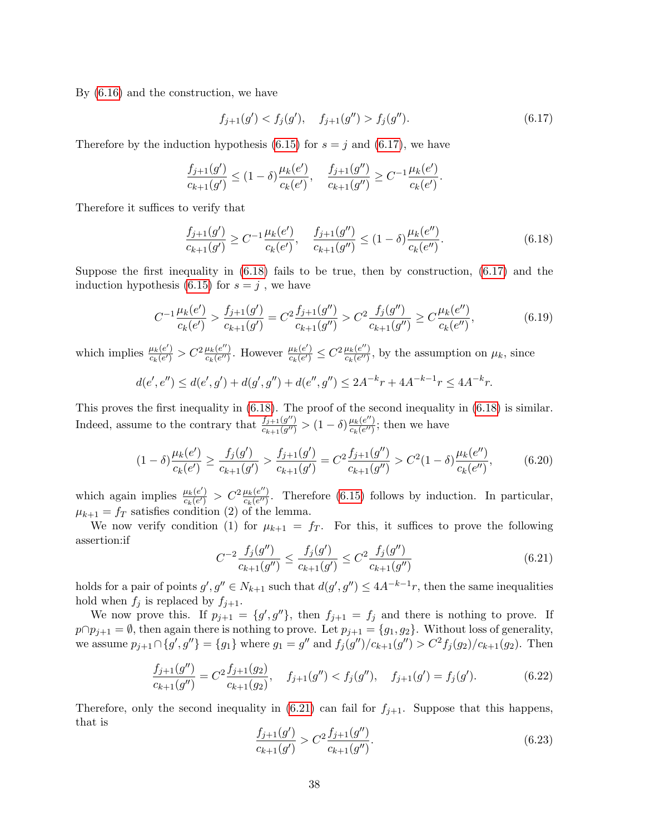By [\(6.16\)](#page-36-2) and the construction, we have

<span id="page-37-0"></span>
$$
f_{j+1}(g') < f_j(g'), \quad f_{j+1}(g'') > f_j(g''). \tag{6.17}
$$

Therefore by the induction hypothesis [\(6.15\)](#page-36-1) for  $s = j$  and [\(6.17\)](#page-37-0), we have

$$
\frac{f_{j+1}(g')}{c_{k+1}(g')} \le (1-\delta) \frac{\mu_k(e')}{c_k(e')}, \quad \frac{f_{j+1}(g'')}{c_{k+1}(g'')} \ge C^{-1} \frac{\mu_k(e')}{c_k(e')}.
$$

Therefore it suffices to verify that

<span id="page-37-1"></span>
$$
\frac{f_{j+1}(g')}{c_{k+1}(g')} \ge C^{-1} \frac{\mu_k(e')}{c_k(e')}, \quad \frac{f_{j+1}(g'')}{c_{k+1}(g'')} \le (1-\delta) \frac{\mu_k(e'')}{c_k(e'')}.
$$
\n(6.18)

Suppose the first inequality in [\(6.18\)](#page-37-1) fails to be true, then by construction, [\(6.17\)](#page-37-0) and the induction hypothesis [\(6.15\)](#page-36-1) for  $s = j$ , we have

$$
C^{-1}\frac{\mu_k(e')}{c_k(e')} > \frac{f_{j+1}(g')}{c_{k+1}(g')} = C^2 \frac{f_{j+1}(g'')}{c_{k+1}(g'')} > C^2 \frac{f_j(g'')}{c_{k+1}(g'')} \ge C \frac{\mu_k(e'')}{c_k(e'')},
$$
(6.19)

which implies  $\frac{\mu_k(e')}{g_k(e')}$  $\frac{\mu_k(e')}{c_k(e')} > C^2 \frac{\mu_k(e'')}{c_k(e'')}$  $\frac{\mu_k(e'')}{c_k(e'')}$ . However  $\frac{\mu_k(e')}{c_k(e')}$  $\frac{\mu_k(e')}{c_k(e')} \leq C^2 \frac{\mu_k(e'')}{c_k(e'')}$  $\frac{\mu_k(e^{\prime\prime})}{c_k(e^{\prime\prime})}$ , by the assumption on  $\mu_k$ , since

$$
d(e', e'') \le d(e', g') + d(g', g'') + d(e'', g'') \le 2A^{-k}r + 4A^{-k-1}r \le 4A^{-k}r.
$$

This proves the first inequality in [\(6.18\)](#page-37-1). The proof of the second inequality in [\(6.18\)](#page-37-1) is similar. Indeed, assume to the contrary that  $\frac{f_{j+1}(g'')}{g_{j+1}(g'')}$  $\frac{f_{j+1}(g'')}{c_{k+1}(g'')} > (1-\delta)\frac{\mu_k(e'')}{c_k(e'')}$  $\frac{\mu_k(e^{\alpha})}{c_k(e^{\prime\prime})}$ ; then we have

$$
(1 - \delta) \frac{\mu_k(e')}{c_k(e')} \ge \frac{f_j(g')}{c_{k+1}(g')} > \frac{f_{j+1}(g')}{c_{k+1}(g')} = C^2 \frac{f_{j+1}(g'')}{c_{k+1}(g'')} > C^2 (1 - \delta) \frac{\mu_k(e'')}{c_k(e'')},
$$
(6.20)

which again implies  $\frac{\mu_k(e')}{c_k(e')}$  $\frac{\mu_k(e')}{c_k(e')} > C^2 \frac{\mu_k(e'')}{c_k(e'')}$  $\frac{\mu_k(e^{\alpha})}{c_k(e^{\alpha})}$ . Therefore [\(6.15\)](#page-36-1) follows by induction. In particular,  $\mu_{k+1} = f_T$  satisfies condition (2) of the lemma.

We now verify condition (1) for  $\mu_{k+1} = f_T$ . For this, it suffices to prove the following assertion:if

<span id="page-37-2"></span>
$$
C^{-2} \frac{f_j(g'')}{c_{k+1}(g'')} \le \frac{f_j(g')}{c_{k+1}(g')} \le C^2 \frac{f_j(g'')}{c_{k+1}(g'')}
$$
\n(6.21)

holds for a pair of points  $g', g'' \in N_{k+1}$  such that  $d(g', g'') \leq 4A^{-k-1}r$ , then the same inequalities hold when  $f_j$  is replaced by  $f_{j+1}$ .

We now prove this. If  $p_{j+1} = \{g', g''\}$ , then  $f_{j+1} = f_j$  and there is nothing to prove. If  $p \cap p_{j+1} = \emptyset$ , then again there is nothing to prove. Let  $p_{j+1} = \{g_1, g_2\}$ . Without loss of generality, we assume  $p_{j+1} \cap \{g', g''\} = \{g_1\}$  where  $g_1 = g''$  and  $f_j(g'')/c_{k+1}(g'') > C^2 f_j(g_2)/c_{k+1}(g_2)$ . Then

<span id="page-37-4"></span>
$$
\frac{f_{j+1}(g'')}{c_{k+1}(g'')} = C^2 \frac{f_{j+1}(g_2)}{c_{k+1}(g_2)}, \quad f_{j+1}(g'') < f_j(g''), \quad f_{j+1}(g') = f_j(g'). \tag{6.22}
$$

Therefore, only the second inequality in [\(6.21\)](#page-37-2) can fail for  $f_{j+1}$ . Suppose that this happens, that is

<span id="page-37-3"></span>
$$
\frac{f_{j+1}(g')}{c_{k+1}(g')} > C^2 \frac{f_{j+1}(g'')}{c_{k+1}(g'')}.
$$
\n(6.23)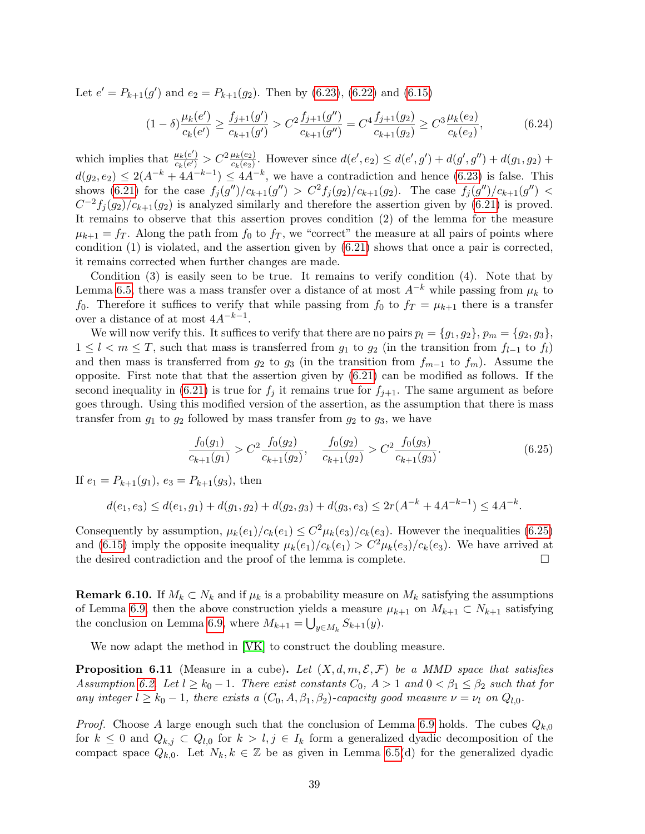Let  $e' = P_{k+1}(g')$  and  $e_2 = P_{k+1}(g_2)$ . Then by [\(6.23\)](#page-37-3), [\(6.22\)](#page-37-4) and [\(6.15\)](#page-36-1)

$$
(1 - \delta) \frac{\mu_k(e')}{c_k(e')} \ge \frac{f_{j+1}(g')}{c_{k+1}(g')} > C^2 \frac{f_{j+1}(g'')}{c_{k+1}(g'')} = C^4 \frac{f_{j+1}(g_2)}{c_{k+1}(g_2)} \ge C^3 \frac{\mu_k(e_2)}{c_k(e_2)},
$$
(6.24)

which implies that  $\frac{\mu_k(e')}{c_k(e')}$  $\frac{\mu_k(e')}{c_k(e')} > C^2 \frac{\mu_k(e_2)}{c_k(e_2)}$ . However since  $d(e', e_2) \leq d(e', g') + d(g', g'') + d(g_1, g_2) + d(g_2, g')$  $d(g_2, e_2) \leq 2(A^{-k} + 4A^{-k-1}) \leq 4A^{-k}$ , we have a contradiction and hence [\(6.23\)](#page-37-3) is false. This shows [\(6.21\)](#page-37-2) for the case  $f_j(g'')/c_{k+1}(g'') > C^2 f_j(g_2)/c_{k+1}(g_2)$ . The case  $f_j(g'')/c_{k+1}(g'') <$  $C^{-2}f_j(g_2)/c_{k+1}(g_2)$  is analyzed similarly and therefore the assertion given by [\(6.21\)](#page-37-2) is proved. It remains to observe that this assertion proves condition (2) of the lemma for the measure  $\mu_{k+1} = f_T$ . Along the path from  $f_0$  to  $f_T$ , we "correct" the measure at all pairs of points where condition (1) is violated, and the assertion given by [\(6.21\)](#page-37-2) shows that once a pair is corrected, it remains corrected when further changes are made.

Condition (3) is easily seen to be true. It remains to verify condition (4). Note that by Lemma [6.5,](#page-32-3) there was a mass transfer over a distance of at most  $A^{-k}$  while passing from  $\mu_k$  to f<sub>0</sub>. Therefore it suffices to verify that while passing from  $f_0$  to  $f_T = \mu_{k+1}$  there is a transfer over a distance of at most  $4A^{-k-1}$ .

We will now verify this. It suffices to verify that there are no pairs  $p_l = \{g_1, g_2\}, p_m = \{g_2, g_3\},$  $1 \leq l \leq m \leq T$ , such that mass is transferred from  $g_1$  to  $g_2$  (in the transition from  $f_{l-1}$  to  $f_l$ ) and then mass is transferred from  $g_2$  to  $g_3$  (in the transition from  $f_{m-1}$  to  $f_m$ ). Assume the opposite. First note that that the assertion given by [\(6.21\)](#page-37-2) can be modified as follows. If the second inequality in [\(6.21\)](#page-37-2) is true for  $f_j$  it remains true for  $f_{j+1}$ . The same argument as before goes through. Using this modified version of the assertion, as the assumption that there is mass transfer from  $g_1$  to  $g_2$  followed by mass transfer from  $g_2$  to  $g_3$ , we have

<span id="page-38-0"></span>
$$
\frac{f_0(g_1)}{c_{k+1}(g_1)} > C^2 \frac{f_0(g_2)}{c_{k+1}(g_2)}, \quad \frac{f_0(g_2)}{c_{k+1}(g_2)} > C^2 \frac{f_0(g_3)}{c_{k+1}(g_3)}.
$$
\n(6.25)

If  $e_1 = P_{k+1}(g_1)$ ,  $e_3 = P_{k+1}(g_3)$ , then

$$
d(e_1, e_3) \le d(e_1, g_1) + d(g_1, g_2) + d(g_2, g_3) + d(g_3, e_3) \le 2r(A^{-k} + 4A^{-k-1}) \le 4A^{-k}.
$$

Consequently by assumption,  $\mu_k(e_1)/c_k(e_1) \leq C^2 \mu_k(e_3)/c_k(e_3)$ . However the inequalities [\(6.25\)](#page-38-0) and [\(6.15\)](#page-36-1) imply the opposite inequality  $\mu_k(e_1)/c_k(e_1) > C^2 \mu_k(e_3)/c_k(e_3)$ . We have arrived at the desired contradiction and the proof of the lemma is complete.

<span id="page-38-1"></span>**Remark 6.10.** If  $M_k \subset N_k$  and if  $\mu_k$  is a probability measure on  $M_k$  satisfying the assumptions of Lemma [6.9,](#page-35-2) then the above construction yields a measure  $\mu_{k+1}$  on  $M_{k+1} \subset N_{k+1}$  satisfying the conclusion on Lemma [6.9,](#page-35-2) where  $M_{k+1} = \bigcup_{y \in M_k} S_{k+1}(y)$ .

We now adapt the method in [\[VK\]](#page-53-10) to construct the doubling measure.

<span id="page-38-2"></span>**Proposition 6.11** (Measure in a cube). Let  $(X, d, m, \mathcal{E}, \mathcal{F})$  be a MMD space that satisfies Assumption [6.2.](#page-32-1) Let  $l \geq k_0 - 1$ . There exist constants  $C_0$ ,  $A > 1$  and  $0 < \beta_1 \leq \beta_2$  such that for any integer  $l \geq k_0 - 1$ , there exists a  $(C_0, A, \beta_1, \beta_2)$ -capacity good measure  $\nu = \nu_l$  on  $Q_{l,0}$ .

*Proof.* Choose A large enough such that the conclusion of Lemma [6.9](#page-35-2) holds. The cubes  $Q_{k,0}$ for  $k \leq 0$  and  $Q_{k,j} \subset Q_{l,0}$  for  $k > l, j \in I_k$  form a generalized dyadic decomposition of the compact space  $Q_{k,0}$ . Let  $N_k, k \in \mathbb{Z}$  be as given in Lemma [6.5\(](#page-32-3)d) for the generalized dyadic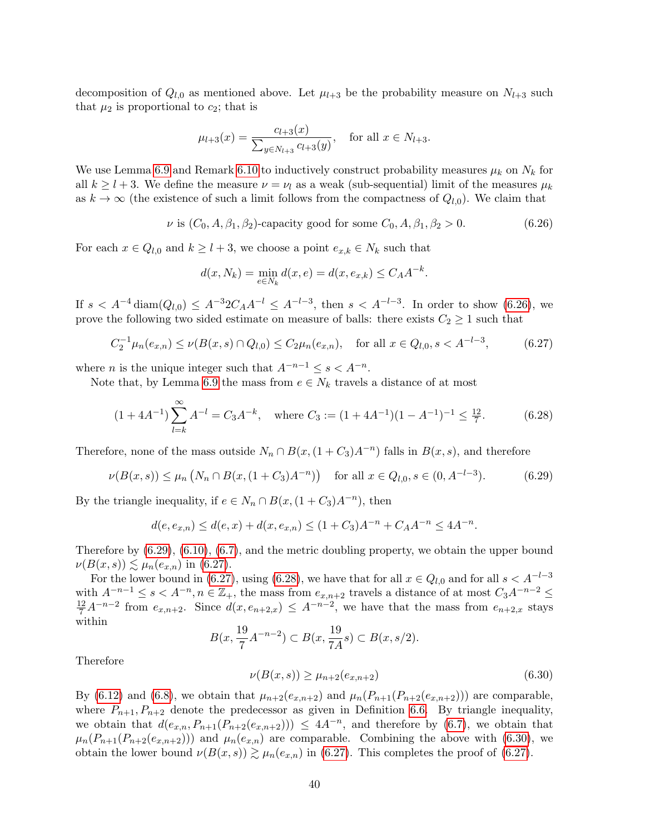decomposition of  $Q_{l,0}$  as mentioned above. Let  $\mu_{l+3}$  be the probability measure on  $N_{l+3}$  such that  $\mu_2$  is proportional to  $c_2$ ; that is

$$
\mu_{l+3}(x) = \frac{c_{l+3}(x)}{\sum_{y \in N_{l+3}} c_{l+3}(y)}, \quad \text{for all } x \in N_{l+3}.
$$

We use Lemma [6.9](#page-35-2) and Remark [6.10](#page-38-1) to inductively construct probability measures  $\mu_k$  on  $N_k$  for all  $k \geq l + 3$ . We define the measure  $\nu = \nu_l$  as a weak (sub-sequential) limit of the measures  $\mu_k$ as  $k \to \infty$  (the existence of such a limit follows from the compactness of  $Q_{l,0}$ ). We claim that

<span id="page-39-0"></span> $\nu$  is  $(C_0, A, \beta_1, \beta_2)$ -capacity good for some  $C_0, A, \beta_1, \beta_2 > 0$ . (6.26)

For each  $x \in Q_{l,0}$  and  $k \geq l+3$ , we choose a point  $e_{x,k} \in N_k$  such that

$$
d(x, N_k) = \min_{e \in N_k} d(x, e) = d(x, e_{x,k}) \le C_A A^{-k}.
$$

If  $s < A^{-4}$  diam $(Q_{l,0}) \leq A^{-3} 2C_A A^{-l} \leq A^{-l-3}$ , then  $s < A^{-l-3}$ . In order to show [\(6.26\)](#page-39-0), we prove the following two sided estimate on measure of balls: there exists  $C_2 \geq 1$  such that

<span id="page-39-2"></span>
$$
C_2^{-1} \mu_n(e_{x,n}) \le \nu(B(x,s) \cap Q_{l,0}) \le C_2 \mu_n(e_{x,n}), \quad \text{for all } x \in Q_{l,0}, s < A^{-l-3}, \tag{6.27}
$$

where *n* is the unique integer such that  $A^{-n-1} \leq s < A^{-n}$ .

Note that, by Lemma [6.9](#page-35-2) the mass from  $e \in N_k$  travels a distance of at most

<span id="page-39-3"></span>
$$
(1+4A^{-1})\sum_{l=k}^{\infty} A^{-l} = C_3 A^{-k}, \quad \text{where } C_3 := (1+4A^{-1})(1-A^{-1})^{-1} \le \frac{12}{7}.
$$
 (6.28)

Therefore, none of the mass outside  $N_n \cap B(x,(1+C_3)A^{-n})$  falls in  $B(x,s)$ , and therefore

<span id="page-39-1"></span>
$$
\nu(B(x,s)) \le \mu_n\left(N_n \cap B(x,(1+C_3)A^{-n})\right) \quad \text{for all } x \in Q_{l,0}, s \in (0,A^{-l-3}).\tag{6.29}
$$

By the triangle inequality, if  $e \in N_n \cap B(x, (1+C_3)A^{-n})$ , then

$$
d(e, e_{x,n}) \le d(e, x) + d(x, e_{x,n}) \le (1 + C_3)A^{-n} + C_A A^{-n} \le 4A^{-n}.
$$

Therefore by [\(6.29\)](#page-39-1), [\(6.10\)](#page-35-3), [\(6.7\)](#page-34-2), and the metric doubling property, we obtain the upper bound  $\nu(B(x, s)) \lesssim \mu_n(e_{x,n})$  in [\(6.27\)](#page-39-2).

For the lower bound in [\(6.27\)](#page-39-2), using [\(6.28\)](#page-39-3), we have that for all  $x \in Q_{l,0}$  and for all  $s < A^{-l-3}$ with  $A^{-n-1} \le s < A^{-n}$ ,  $n \in \mathbb{Z}_+$ , the mass from  $e_{x,n+2}$  travels a distance of at most  $C_3 A^{-n-2} \le \frac{12}{7} A^{-n-2}$  from  $e_{x,n+2}$ . Since  $d(x, e_{n+2,x}) \le A^{-n-2}$ , we have that the mass from  $e_{n+2,x}$  stays within

$$
B(x, \frac{19}{7}A^{-n-2}) \subset B(x, \frac{19}{7A}s) \subset B(x, s/2).
$$

Therefore

<span id="page-39-4"></span>
$$
\nu(B(x,s)) \ge \mu_{n+2}(e_{x,n+2})\tag{6.30}
$$

By [\(6.12\)](#page-35-4) and [\(6.8\)](#page-34-3), we obtain that  $\mu_{n+2}(e_{x,n+2})$  and  $\mu_n(P_{n+1}(P_{n+2}(e_{x,n+2})))$  are comparable, where  $P_{n+1}, P_{n+2}$  denote the predecessor as given in Definition [6.6.](#page-34-5) By triangle inequality, we obtain that  $d(e_{x,n}, P_{n+1}(P_{n+2}(e_{x,n+2}))) \leq 4A^{-n}$ , and therefore by [\(6.7\)](#page-34-2), we obtain that  $\mu_n(P_{n+1}(P_{n+2}(e_{x,n+2})))$  and  $\mu_n(e_{x,n})$  are comparable. Combining the above with [\(6.30\)](#page-39-4), we obtain the lower bound  $\nu(B(x, s)) \gtrsim \mu_n(e_{x,n})$  in [\(6.27\)](#page-39-2). This completes the proof of (6.27).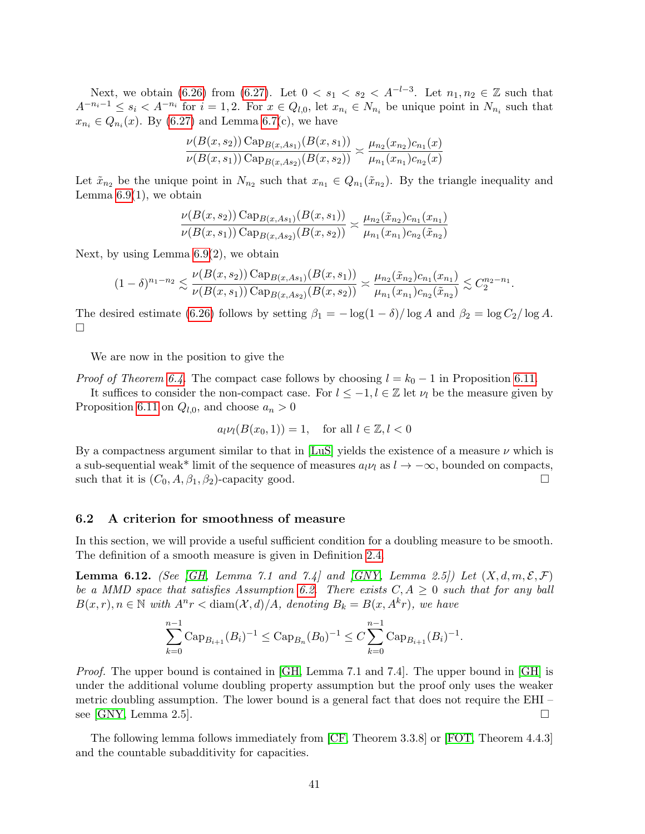Next, we obtain [\(6.26\)](#page-39-0) from [\(6.27\)](#page-39-2). Let  $0 < s_1 < s_2 < A^{-l-3}$ . Let  $n_1, n_2 \in \mathbb{Z}$  such that  $A^{-n_i-1} \leq s_i < A^{-n_i}$  for  $i = 1, 2$ . For  $x \in Q_{l,0}$ , let  $x_{n_i} \in N_{n_i}$  be unique point in  $N_{n_i}$  such that  $x_{n_i} \in Q_{n_i}(x)$ . By [\(6.27\)](#page-39-2) and Lemma [6.7\(](#page-34-0)c), we have

$$
\frac{\nu(B(x, s_2)) \operatorname{Cap}_{B(x, As_1)}(B(x, s_1))}{\nu(B(x, s_1)) \operatorname{Cap}_{B(x, As_2)}(B(x, s_2))} \asymp \frac{\mu_{n_2}(x_{n_2})c_{n_1}(x)}{\mu_{n_1}(x_{n_1})c_{n_2}(x)}
$$

Let  $\tilde{x}_{n_2}$  be the unique point in  $N_{n_2}$  such that  $x_{n_1} \in Q_{n_1}(\tilde{x}_{n_2})$ . By the triangle inequality and Lemma  $6.9(1)$ , we obtain

$$
\frac{\nu(B(x,s_2))\operatorname{Cap}_{B(x,As_1)}(B(x,s_1))}{\nu(B(x,s_1))\operatorname{Cap}_{B(x,As_2)}(B(x,s_2))} \asymp \frac{\mu_{n_2}(\tilde{x}_{n_2})c_{n_1}(x_{n_1})}{\mu_{n_1}(x_{n_1})c_{n_2}(\tilde{x}_{n_2})}
$$

Next, by using Lemma [6.9\(](#page-35-2)2), we obtain

$$
(1-\delta)^{n_1-n_2} \lesssim \frac{\nu(B(x,s_2)) \operatorname{Cap}_{B(x,As_1)}(B(x,s_1))}{\nu(B(x,s_1)) \operatorname{Cap}_{B(x,As_2)}(B(x,s_2))} \asymp \frac{\mu_{n_2}(\tilde{x}_{n_2})c_{n_1}(x_{n_1})}{\mu_{n_1}(x_{n_1})c_{n_2}(\tilde{x}_{n_2})} \lesssim C_2^{n_2-n_1}.
$$

The desired estimate [\(6.26\)](#page-39-0) follows by setting  $\beta_1 = -\log(1-\delta)/\log A$  and  $\beta_2 = \log C_2/\log A$ .  $\Box$ 

We are now in the position to give the

*Proof of Theorem [6.4.](#page-32-2)* The compact case follows by choosing  $l = k_0 - 1$  in Proposition [6.11.](#page-38-2)

It suffices to consider the non-compact case. For  $l \leq -1, l \in \mathbb{Z}$  let  $\nu_l$  be the measure given by Proposition [6.11](#page-38-2) on  $Q_{l,0}$ , and choose  $a_n > 0$ 

$$
a_l \nu_l(B(x_0, 1)) = 1, \quad \text{for all } l \in \mathbb{Z}, l < 0
$$

By a compactness argument similar to that in [\[LuS\]](#page-53-11) yields the existence of a measure  $\nu$  which is a sub-sequential weak\* limit of the sequence of measures  $a_l \nu_l$  as  $l \rightarrow -\infty$ , bounded on compacts, such that it is  $(C_0, A, \beta_1, \beta_2)$ -capacity good.

### 6.2 A criterion for smoothness of measure

In this section, we will provide a useful sufficient condition for a doubling measure to be smooth. The definition of a smooth measure is given in Definition [2.4.](#page-6-2)

<span id="page-40-0"></span>**Lemma 6.12.** (See [\[GH,](#page-52-4) Lemma 7.1 and 7.4] and [\[GNY,](#page-52-14) Lemma 2.5]) Let  $(X, d, m, \mathcal{E}, \mathcal{F})$ be a MMD space that satisfies Assumption [6.2.](#page-32-1) There exists  $C, A \geq 0$  such that for any ball  $B(x,r), n \in \mathbb{N}$  with  $A^n r < \text{diam}(\mathcal{X}, d)/A$ , denoting  $B_k = B(x, A^k r)$ , we have

$$
\sum_{k=0}^{n-1} \operatorname{Cap}_{B_{i+1}}(B_i)^{-1} \leq \operatorname{Cap}_{B_n}(B_0)^{-1} \leq C \sum_{k=0}^{n-1} \operatorname{Cap}_{B_{i+1}}(B_i)^{-1}.
$$

Proof. The upper bound is contained in [\[GH,](#page-52-4) Lemma 7.1 and 7.4]. The upper bound in [\[GH\]](#page-52-4) is under the additional volume doubling property assumption but the proof only uses the weaker metric doubling assumption. The lower bound is a general fact that does not require the EHI – see [\[GNY,](#page-52-14) Lemma 2.5].

The following lemma follows immediately from [\[CF,](#page-52-5) Theorem 3.3.8] or [\[FOT,](#page-52-6) Theorem 4.4.3] and the countable subadditivity for capacities.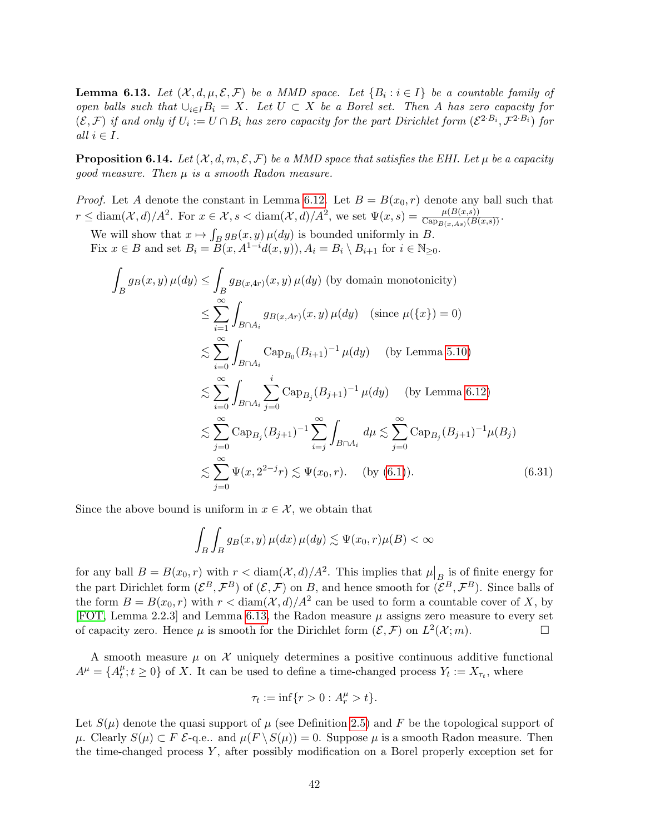<span id="page-41-0"></span>**Lemma 6.13.** Let  $(X, d, \mu, \mathcal{E}, \mathcal{F})$  be a MMD space. Let  $\{B_i : i \in I\}$  be a countable family of open balls such that  $\bigcup_{i\in I}B_i = X$ . Let  $U \subset X$  be a Borel set. Then A has zero capacity for  $(\mathcal{E}, \mathcal{F})$  if and only if  $U_i := U \cap B_i$  has zero capacity for the part Dirichlet form  $(\mathcal{E}^{2 \cdot B_i}, \mathcal{F}^{2 \cdot B_i})$  for all  $i \in I$ .

<span id="page-41-2"></span>**Proposition 6.14.** Let  $(X, d, m, \mathcal{E}, \mathcal{F})$  be a MMD space that satisfies the EHI. Let  $\mu$  be a capacity good measure. Then  $\mu$  is a smooth Radon measure.

*Proof.* Let A denote the constant in Lemma [6.12.](#page-40-0) Let  $B = B(x_0, r)$  denote any ball such that  $r \leq \text{diam}(\mathcal{X}, d)/A^2$ . For  $x \in \mathcal{X}, s < \text{diam}(\mathcal{X}, d)/A^2$ , we set  $\Psi(x, s) = \frac{\mu(B(x, s))}{\text{Cap}_{B(x, As)}(B(x, s))}$ .

We will show that  $x \mapsto \int_B g_B(x, y) \mu(dy)$  is bounded uniformly in B. Fix  $x \in B$  and set  $B_i = B(x, A^{1-i}d(x, y)), A_i = B_i \setminus B_{i+1}$  for  $i \in \mathbb{N}_{\geq 0}$ .

$$
\int_{B} g_{B}(x, y) \,\mu(dy) \leq \int_{B} g_{B(x, 4r)}(x, y) \,\mu(dy) \text{ (by domain monotonicity)}
$$
\n
$$
\leq \sum_{i=1}^{\infty} \int_{B \cap A_i} g_{B(x, 4r)}(x, y) \,\mu(dy) \quad (\text{since } \mu(\{x\}) = 0)
$$
\n
$$
\lesssim \sum_{i=0}^{\infty} \int_{B \cap A_i} \text{Cap}_{B_0}(B_{i+1})^{-1} \,\mu(dy) \quad (\text{by Lemma 5.10})
$$
\n
$$
\lesssim \sum_{i=0}^{\infty} \int_{B \cap A_i} \sum_{j=0}^{i} \text{Cap}_{B_j}(B_{j+1})^{-1} \,\mu(dy) \quad (\text{by Lemma 6.12})
$$
\n
$$
\lesssim \sum_{j=0}^{\infty} \text{Cap}_{B_j}(B_{j+1})^{-1} \sum_{i=j}^{\infty} \int_{B \cap A_i} d\mu \lesssim \sum_{j=0}^{\infty} \text{Cap}_{B_j}(B_{j+1})^{-1} \mu(B_j)
$$
\n
$$
\lesssim \sum_{j=0}^{\infty} \Psi(x, 2^{2-j}r) \lesssim \Psi(x_0, r). \quad (\text{by (6.1)}).
$$
\n(6.31)

Since the above bound is uniform in  $x \in \mathcal{X}$ , we obtain that

<span id="page-41-1"></span>
$$
\int_B \int_B g_B(x, y) \,\mu(dx) \,\mu(dy) \lesssim \Psi(x_0, r)\mu(B) < \infty
$$

for any ball  $B = B(x_0, r)$  with  $r < \text{diam}(\mathcal{X}, d)/A^2$ . This implies that  $\mu|_{B}$  is of finite energy for the part Dirichlet form  $(\mathcal{E}^B, \mathcal{F}^B)$  of  $(\mathcal{E}, \mathcal{F})$  on B, and hence smooth for  $(\mathcal{E}^B, \mathcal{F}^B)$ . Since balls of the form  $B = B(x_0, r)$  with  $r < \text{diam}(\mathcal{X}, d)/A^2$  can be used to form a countable cover of X, by [\[FOT,](#page-52-6) Lemma 2.2.3] and Lemma [6.13,](#page-41-0) the Radon measure  $\mu$  assigns zero measure to every set of capacity zero. Hence  $\mu$  is smooth for the Dirichlet form  $(\mathcal{E}, \mathcal{F})$  on  $L^2(\mathcal{X}; m)$ .

A smooth measure  $\mu$  on  $\mathcal X$  uniquely determines a positive continuous additive functional  $A^{\mu} = \{A^{\mu}_t$  $t^{\mu}_{t}$ ;  $t \geq 0$  of X. It can be used to define a time-changed process  $Y_{t} := X_{\tau_{t}}$ , where

$$
\tau_t := \inf\{r > 0 : A_r^{\mu} > t\}.
$$

Let  $S(\mu)$  denote the quasi support of  $\mu$  (see Definition [2.5\)](#page-7-5) and F be the topological support of  $\mu$ . Clearly  $S(\mu) \subset F$   $\mathcal{E}$ -q.e.. and  $\mu(F \setminus S(\mu)) = 0$ . Suppose  $\mu$  is a smooth Radon measure. Then the time-changed process  $Y$ , after possibly modification on a Borel properly exception set for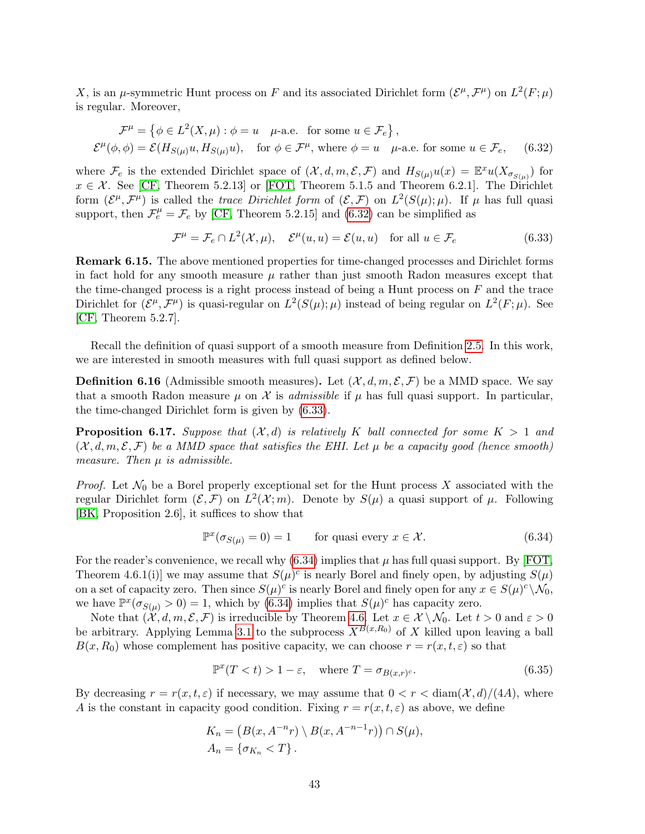X, is an  $\mu$ -symmetric Hunt process on F and its associated Dirichlet form  $(\mathcal{E}^{\mu}, \mathcal{F}^{\mu})$  on  $L^2(F; \mu)$ is regular. Moreover,

$$
\mathcal{F}^{\mu} = \{ \phi \in L^{2}(X, \mu) : \phi = u \quad \mu\text{-a.e. for some } u \in \mathcal{F}_{e} \},
$$
  

$$
\mathcal{E}^{\mu}(\phi, \phi) = \mathcal{E}(H_{S(\mu)}u, H_{S(\mu)}u), \quad \text{for } \phi \in \mathcal{F}^{\mu}, \text{ where } \phi = u \quad \mu\text{-a.e. for some } u \in \mathcal{F}_{e}, \quad (6.32)
$$

where  $\mathcal{F}_e$  is the extended Dirichlet space of  $(\mathcal{X}, d, m, \mathcal{E}, \mathcal{F})$  and  $H_{S(\mu)}u(x) = \mathbb{E}^x u(X_{\sigma_{S(\mu)}})$  for  $x \in \mathcal{X}$ . See [\[CF,](#page-52-5) Theorem 5.2.13] or [\[FOT,](#page-52-6) Theorem 5.1.5 and Theorem 6.2.1]. The Dirichlet form  $(\mathcal{E}^\mu, \mathcal{F}^\mu)$  is called the trace Dirichlet form of  $(\mathcal{E}, \mathcal{F})$  on  $L^2(S(\mu); \mu)$ . If  $\mu$  has full quasi support, then  $\mathcal{F}_e^{\mu} = \mathcal{F}_e$  by [\[CF,](#page-52-5) Theorem 5.2.15] and [\(6.32\)](#page-42-1) can be simplified as

<span id="page-42-2"></span><span id="page-42-1"></span>
$$
\mathcal{F}^{\mu} = \mathcal{F}_e \cap L^2(\mathcal{X}, \mu), \quad \mathcal{E}^{\mu}(u, u) = \mathcal{E}(u, u) \quad \text{for all } u \in \mathcal{F}_e \tag{6.33}
$$

Remark 6.15. The above mentioned properties for time-changed processes and Dirichlet forms in fact hold for any smooth measure  $\mu$  rather than just smooth Radon measures except that the time-changed process is a right process instead of being a Hunt process on  $F$  and the trace Dirichlet for  $(\mathcal{E}^{\mu}, \mathcal{F}^{\mu})$  is quasi-regular on  $L^2(S(\mu); \mu)$  instead of being regular on  $L^2(F; \mu)$ . See [\[CF,](#page-52-5) Theorem 5.2.7].

Recall the definition of quasi support of a smooth measure from Definition [2.5.](#page-7-5) In this work, we are interested in smooth measures with full quasi support as defined below.

**Definition 6.16** (Admissible smooth measures). Let  $(\mathcal{X}, d, m, \mathcal{E}, \mathcal{F})$  be a MMD space. We say that a smooth Radon measure  $\mu$  on X is *admissible* if  $\mu$  has full quasi support. In particular, the time-changed Dirichlet form is given by [\(6.33\)](#page-42-2).

<span id="page-42-0"></span>**Proposition 6.17.** Suppose that  $(X, d)$  is relatively K ball connected for some  $K > 1$  and  $(\mathcal{X}, d, m, \mathcal{E}, \mathcal{F})$  be a MMD space that satisfies the EHI. Let  $\mu$  be a capacity good (hence smooth) measure. Then  $\mu$  is admissible.

*Proof.* Let  $\mathcal{N}_0$  be a Borel properly exceptional set for the Hunt process X associated with the regular Dirichlet form  $(\mathcal{E}, \mathcal{F})$  on  $L^2(\mathcal{X}; m)$ . Denote by  $S(\mu)$  a quasi support of  $\mu$ . Following [\[BK,](#page-52-15) Proposition 2.6], it suffices to show that

<span id="page-42-3"></span>
$$
\mathbb{P}^x(\sigma_{S(\mu)} = 0) = 1 \qquad \text{for quasi every } x \in \mathcal{X}.
$$
 (6.34)

For the reader's convenience, we recall why  $(6.34)$  implies that  $\mu$  has full quasi support. By [\[FOT,](#page-52-6) Theorem 4.6.1(i)] we may assume that  $S(\mu)^c$  is nearly Borel and finely open, by adjusting  $S(\mu)$ on a set of capacity zero. Then since  $S(\mu)^c$  is nearly Borel and finely open for any  $x \in S(\mu)^c \setminus \mathcal{N}_0$ , we have  $\mathbb{P}^{x}(\sigma_{S(\mu)} > 0) = 1$ , which by [\(6.34\)](#page-42-3) implies that  $S(\mu)^{c}$  has capacity zero.

Note that  $(\mathcal{X}, d, m, \mathcal{E}, \mathcal{F})$  is irreducible by Theorem [4.6.](#page-19-1) Let  $x \in \mathcal{X} \setminus \mathcal{N}_0$ . Let  $t > 0$  and  $\varepsilon > 0$ be arbitrary. Applying Lemma [3.1](#page-7-3) to the subprocess  $X^{B(x,R_0)}$  of X killed upon leaving a ball  $B(x, R_0)$  whose complement has positive capacity, we can choose  $r = r(x, t, \varepsilon)$  so that

<span id="page-42-4"></span>
$$
\mathbb{P}^x(T < t) > 1 - \varepsilon, \quad \text{where } T = \sigma_{B(x,r)^c}.\tag{6.35}
$$

By decreasing  $r = r(x, t, \varepsilon)$  if necessary, we may assume that  $0 < r < \text{diam}(\mathcal{X}, d)/(4A)$ , where A is the constant in capacity good condition. Fixing  $r = r(x, t, \varepsilon)$  as above, we define

$$
K_n = (B(x, A^{-n}r) \setminus B(x, A^{-n-1}r)) \cap S(\mu),
$$
  
\n
$$
A_n = \{\sigma_{K_n} < T\}.
$$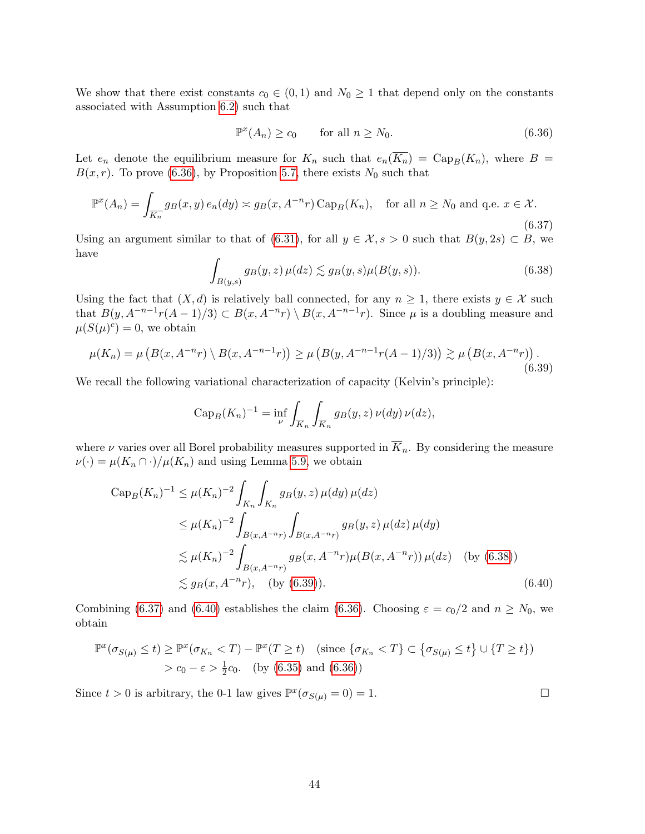We show that there exist constants  $c_0 \in (0,1)$  and  $N_0 \geq 1$  that depend only on the constants associated with Assumption [6.2\)](#page-32-1) such that

<span id="page-43-0"></span>
$$
\mathbb{P}^x(A_n) \ge c_0 \qquad \text{for all } n \ge N_0. \tag{6.36}
$$

Let  $e_n$  denote the equilibrium measure for  $K_n$  such that  $e_n(\overline{K_n}) = \text{Cap}_B(K_n)$ , where  $B =$  $B(x, r)$ . To prove [\(6.36\)](#page-43-0), by Proposition [5.7,](#page-23-1) there exists  $N_0$  such that

<span id="page-43-3"></span>
$$
\mathbb{P}^x(A_n) = \int_{\overline{K_n}} g_B(x, y) e_n(dy) \asymp g_B(x, A^{-n}r) \operatorname{Cap}_B(K_n), \quad \text{for all } n \ge N_0 \text{ and q.e. } x \in \mathcal{X}.
$$
\n
$$
(6.37)
$$

Using an argument similar to that of [\(6.31\)](#page-41-1), for all  $y \in \mathcal{X}, s > 0$  such that  $B(y, 2s) \subset B$ , we have

<span id="page-43-1"></span>
$$
\int_{B(y,s)} g_B(y,z) \,\mu(dz) \lesssim g_B(y,s)\mu(B(y,s)).\tag{6.38}
$$

Using the fact that  $(X, d)$  is relatively ball connected, for any  $n \geq 1$ , there exists  $y \in \mathcal{X}$  such that  $B(y, A^{-n-1}r(A-1)/3) \subset B(x, A^{-n}r) \setminus B(x, A^{-n-1}r)$ . Since  $\mu$  is a doubling measure and  $\mu(S(\mu)^c) = 0$ , we obtain

<span id="page-43-2"></span>
$$
\mu(K_n) = \mu\left(B(x, A^{-n}r) \setminus B(x, A^{-n-1}r)\right) \ge \mu\left(B(y, A^{-n-1}r(A-1)/3)\right) \gtrsim \mu\left(B(x, A^{-n}r)\right). \tag{6.39}
$$

We recall the following variational characterization of capacity (Kelvin's principle):

$$
Cap_B(K_n)^{-1} = \inf_{\nu} \int_{\overline{K}_n} \int_{\overline{K}_n} g_B(y, z) \nu(dy) \nu(dz),
$$

where  $\nu$  varies over all Borel probability measures supported in  $\overline{K}_n$ . By considering the measure  $\nu(\cdot) = \mu(K_n \cap \cdot) / \mu(K_n)$  and using Lemma [5.9,](#page-24-4) we obtain

$$
\text{Cap}_B(K_n)^{-1} \le \mu(K_n)^{-2} \int_{K_n} \int_{K_n} g_B(y, z) \,\mu(dy) \,\mu(dz)
$$
  
\n
$$
\le \mu(K_n)^{-2} \int_{B(x, A^{-n}r)} \int_{B(x, A^{-n}r)} g_B(y, z) \,\mu(dz) \,\mu(dy)
$$
  
\n
$$
\lesssim \mu(K_n)^{-2} \int_{B(x, A^{-n}r)} g_B(x, A^{-n}r) \mu(B(x, A^{-n}r)) \,\mu(dz) \quad \text{(by (6.38))}
$$
  
\n
$$
\lesssim g_B(x, A^{-n}r), \quad \text{(by (6.39))}. \tag{6.40}
$$

Combining [\(6.37\)](#page-43-3) and [\(6.40\)](#page-43-4) establishes the claim [\(6.36\)](#page-43-0). Choosing  $\varepsilon = c_0/2$  and  $n \ge N_0$ , we obtain

$$
\mathbb{P}^x(\sigma_{S(\mu)} \le t) \ge \mathbb{P}^x(\sigma_{K_n} < T) - \mathbb{P}^x(T \ge t) \quad \text{(since } \{\sigma_{K_n} < T\} \subset \{\sigma_{S(\mu)} \le t\} \cup \{T \ge t\})
$$
  
>  $c_0 - \varepsilon > \frac{1}{2}c_0$ . (by (6.35) and (6.36))

Since  $t > 0$  is arbitrary, the 0-1 law gives  $\mathbb{P}^{x}(\sigma_{S(\mu)} = 0) = 1$ .

<span id="page-43-4"></span>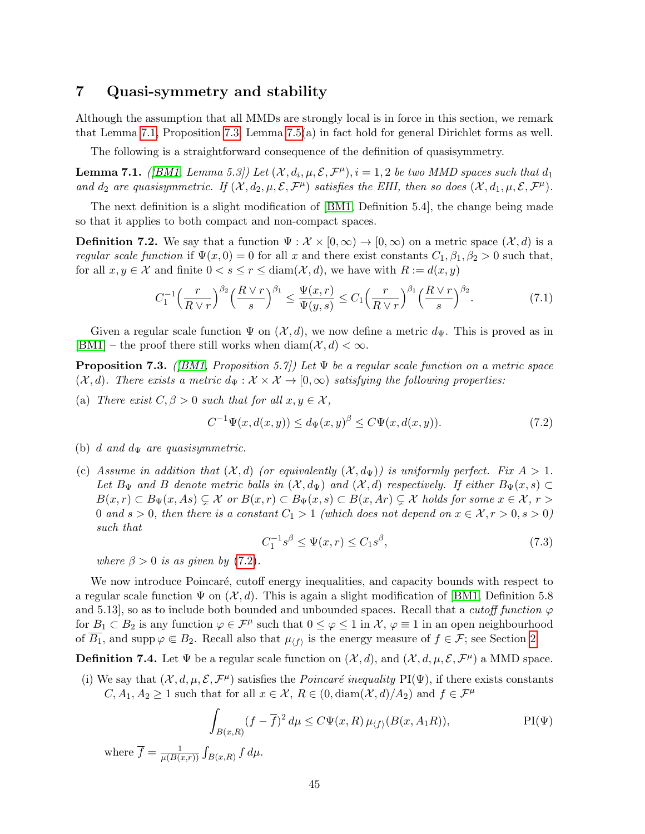### <span id="page-44-0"></span>7 Quasi-symmetry and stability

Although the assumption that all MMDs are strongly local is in force in this section, we remark that Lemma [7.1,](#page-44-1) Proposition [7.3,](#page-44-2) Lemma [7.5\(](#page-45-0)a) in fact hold for general Dirichlet forms as well.

The following is a straightforward consequence of the definition of quasisymmetry.

<span id="page-44-1"></span>**Lemma 7.1.** ([\[BM1,](#page-52-2) Lemma 5.3]) Let  $(X, d_i, \mu, \mathcal{E}, \mathcal{F}^{\mu}), i = 1, 2$  be two MMD spaces such that  $d_1$ and  $d_2$  are quasisymmetric. If  $(X, d_2, \mu, \mathcal{E}, \mathcal{F}^{\mu})$  satisfies the EHI, then so does  $(X, d_1, \mu, \mathcal{E}, \mathcal{F}^{\mu})$ .

The next definition is a slight modification of [\[BM1,](#page-52-2) Definition 5.4], the change being made so that it applies to both compact and non-compact spaces.

**Definition 7.2.** We say that a function  $\Psi : \mathcal{X} \times [0, \infty) \to [0, \infty)$  on a metric space  $(\mathcal{X}, d)$  is a regular scale function if  $\Psi(x, 0) = 0$  for all x and there exist constants  $C_1, \beta_1, \beta_2 > 0$  such that, for all  $x, y \in \mathcal{X}$  and finite  $0 < s \le r \le \text{diam}(\mathcal{X}, d)$ , we have with  $R := d(x, y)$ 

<span id="page-44-6"></span>
$$
C_1^{-1} \left(\frac{r}{R\vee r}\right)^{\beta_2} \left(\frac{R\vee r}{s}\right)^{\beta_1} \le \frac{\Psi(x,r)}{\Psi(y,s)} \le C_1 \left(\frac{r}{R\vee r}\right)^{\beta_1} \left(\frac{R\vee r}{s}\right)^{\beta_2}.\tag{7.1}
$$

Given a regular scale function  $\Psi$  on  $(\mathcal{X}, d)$ , we now define a metric  $d_{\Psi}$ . This is proved as in [\[BM1\]](#page-52-2) – the proof there still works when  $\text{diam}(\mathcal{X}, d) < \infty$ .

<span id="page-44-2"></span>**Proposition 7.3.** ([\[BM1,](#page-52-2) Proposition 5.7]) Let  $\Psi$  be a regular scale function on a metric space  $(\mathcal{X}, d)$ . There exists a metric  $d_{\Psi}: \mathcal{X} \times \mathcal{X} \to [0, \infty)$  satisfying the following properties:

(a) There exist  $C, \beta > 0$  such that for all  $x, y \in \mathcal{X}$ ,

<span id="page-44-3"></span>
$$
C^{-1}\Psi(x, d(x, y)) \le d_{\Psi}(x, y)^{\beta} \le C\Psi(x, d(x, y)).
$$
\n(7.2)

- (b) d and  $d_{\Psi}$  are quasisymmetric.
- (c) Assume in addition that  $(\mathcal{X}, d)$  (or equivalently  $(\mathcal{X}, d_{\Psi})$ ) is uniformly perfect. Fix  $A > 1$ . Let  $B_{\Psi}$  and B denote metric balls in  $(\mathcal{X}, d_{\Psi})$  and  $(\mathcal{X}, d)$  respectively. If either  $B_{\Psi}(x, s) \subset$  $B(x,r) \subset B_{\Psi}(x,As) \subsetneq \mathcal{X}$  or  $B(x,r) \subset B_{\Psi}(x,s) \subset B(x,Ar) \subsetneq \mathcal{X}$  holds for some  $x \in \mathcal{X}$ ,  $r >$ 0 and  $s > 0$ , then there is a constant  $C_1 > 1$  (which does not depend on  $x \in \mathcal{X}, r > 0, s > 0$ ) such that

$$
C_1^{-1}s^{\beta} \le \Psi(x,r) \le C_1s^{\beta},\tag{7.3}
$$

where  $\beta > 0$  is as given by [\(7.2\)](#page-44-3).

We now introduce Poincaré, cutoff energy inequalities, and capacity bounds with respect to a regular scale function  $\Psi$  on  $(\mathcal{X}, d)$ . This is again a slight modification of [\[BM1,](#page-52-2) Definition 5.8] and 5.13], so as to include both bounded and unbounded spaces. Recall that a *cutoff function*  $\varphi$ for  $B_1 \subset B_2$  is any function  $\varphi \in \mathcal{F}^{\mu}$  such that  $0 \le \varphi \le 1$  in  $\mathcal{X}, \varphi \equiv 1$  in an open neighbourhood of  $\overline{B_1}$ , and supp  $\varphi \in B_2$ . Recall also that  $\mu_{\langle f \rangle}$  is the energy measure of  $f \in \mathcal{F}$ ; see Section [2](#page-3-0)

**Definition 7.4.** Let  $\Psi$  be a regular scale function on  $(\mathcal{X}, d)$ , and  $(\mathcal{X}, d, \mu, \mathcal{E}, \mathcal{F}^{\mu})$  a MMD space.

(i) We say that  $(\mathcal{X}, d, \mu, \mathcal{E}, \mathcal{F}^{\mu})$  satisfies the *Poincaré inequality* PI( $\Psi$ ), if there exists constants  $C, A_1, A_2 \geq 1$  such that for all  $x \in \mathcal{X}, R \in (0, \text{diam}(\mathcal{X}, d)/A_2)$  and  $f \in \mathcal{F}^{\mu}$ 

<span id="page-44-5"></span><span id="page-44-4"></span>
$$
\int_{B(x,R)} (f - \overline{f})^2 d\mu \le C\Psi(x,R) \mu_{\langle f \rangle}(B(x,A_1R)), \qquad \text{PI}(\Psi)
$$

where  $\overline{f} = \frac{1}{\mu(R)}$  $\frac{1}{\mu(B(x,r))} \int_{B(x,R)} f d\mu.$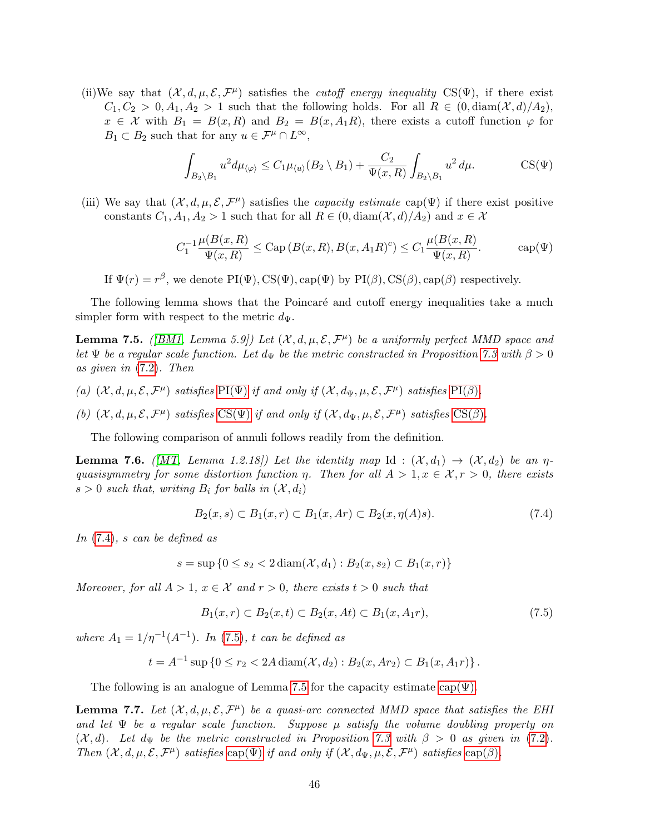(ii)We say that  $(\mathcal{X}, d, \mu, \mathcal{E}, \mathcal{F}^{\mu})$  satisfies the *cutoff energy inequality* CS( $\Psi$ ), if there exist  $C_1, C_2 > 0, A_1, A_2 > 1$  such that the following holds. For all  $R \in (0, \text{diam}(\mathcal{X}, d)/A_2)$ ,  $x \in \mathcal{X}$  with  $B_1 = B(x,R)$  and  $B_2 = B(x,A_1R)$ , there exists a cutoff function  $\varphi$  for  $B_1 \subset B_2$  such that for any  $u \in \mathcal{F}^{\mu} \cap L^{\infty}$ ,

<span id="page-45-3"></span><span id="page-45-1"></span>
$$
\int_{B_2 \setminus B_1} u^2 d\mu_{\langle \varphi \rangle} \le C_1 \mu_{\langle u \rangle} (B_2 \setminus B_1) + \frac{C_2}{\Psi(x, R)} \int_{B_2 \setminus B_1} u^2 d\mu.
$$
 CS(\Psi)

(iii) We say that  $(\mathcal{X}, d, \mu, \mathcal{E}, \mathcal{F}^{\mu})$  satisfies the *capacity estimate* cap( $\Psi$ ) if there exist positive constants  $C_1, A_1, A_2 > 1$  such that for all  $R \in (0, \text{diam}(\mathcal{X}, d)/A_2)$  and  $x \in \mathcal{X}$ 

$$
C_1^{-1} \frac{\mu(B(x, R)}{\Psi(x, R)} \le \text{Cap}\left(B(x, R), B(x, A_1 R)^c\right) \le C_1 \frac{\mu(B(x, R)}{\Psi(x, R)}.
$$
 cap $(\Psi)$ 

If  $\Psi(r) = r^{\beta}$ , we denote PI( $\Psi$ ), CS( $\Psi$ ), cap( $\Psi$ ) by PI( $\beta$ ), CS( $\beta$ ), cap( $\beta$ ) respectively.

The following lemma shows that the Poincaré and cutoff energy inequalities take a much simpler form with respect to the metric  $d_{\Psi}$ .

<span id="page-45-0"></span>**Lemma 7.5.** ([\[BM1,](#page-52-2) Lemma 5.9]) Let  $(X, d, \mu, \mathcal{E}, \mathcal{F}^{\mu})$  be a uniformly perfect MMD space and let  $\Psi$  be a regular scale function. Let  $d_{\Psi}$  be the metric constructed in Proposition [7.3](#page-44-2) with  $\beta > 0$ as given in [\(7.2\)](#page-44-3). Then

- (a)  $(\mathcal{X}, d, \mu, \mathcal{E}, \mathcal{F}^{\mu})$  satisfies [PI\(](#page-0-0) $\Psi$ ) if and only if  $(\mathcal{X}, d_{\Psi}, \mu, \mathcal{E}, \mathcal{F}^{\mu})$  satisfies PI( $\beta$ ).
- (b)  $(\mathcal{X}, d, \mu, \mathcal{E}, \mathcal{F}^{\mu})$  satisfies  $CS(\Psi)$  $CS(\Psi)$  if and only if  $(\mathcal{X}, d_{\Psi}, \mu, \mathcal{E}, \mathcal{F}^{\mu})$  satisfies  $CS(\beta)$ .

The following comparison of annuli follows readily from the definition.

<span id="page-45-4"></span>**Lemma 7.6.** ([\[MT,](#page-53-13) Lemma 1.2.18]) Let the identity map Id :  $(\mathcal{X}, d_1) \rightarrow (\mathcal{X}, d_2)$  be an  $\eta$ quasisymmetry for some distortion function  $\eta$ . Then for all  $A > 1, x \in \mathcal{X}, r > 0$ , there exists  $s > 0$  such that, writing  $B_i$  for balls in  $(\mathcal{X}, d_i)$ 

$$
B_2(x, s) \subset B_1(x, r) \subset B_1(x, Ar) \subset B_2(x, \eta(A)s). \tag{7.4}
$$

In [\(7.4\)](#page-44-5), s can be defined as

$$
s = \sup \{ 0 \le s_2 < 2 \operatorname{diam}(\mathcal{X}, d_1) : B_2(x, s_2) \subset B_1(x, r) \}
$$

Moreover, for all  $A > 1$ ,  $x \in \mathcal{X}$  and  $r > 0$ , there exists  $t > 0$  such that

<span id="page-45-2"></span>
$$
B_1(x,r) \subset B_2(x,t) \subset B_2(x,At) \subset B_1(x,A_1r),\tag{7.5}
$$

where  $A_1 = 1/\eta^{-1}(A^{-1})$ . In [\(7.5\)](#page-45-2), t can be defined as

$$
t = A^{-1} \sup \{ 0 \le r_2 < 2A \operatorname{diam}(\mathcal{X}, d_2) : B_2(x, Ar_2) \subset B_1(x, A_1 r) \}.
$$

The following is an analogue of Lemma [7.5](#page-45-0) for the capacity estimate  $cap(\Psi)$ .

<span id="page-45-5"></span>**Lemma 7.7.** Let  $(X, d, \mu, \mathcal{E}, \mathcal{F}^{\mu})$  be a quasi-arc connected MMD space that satisfies the EHI and let  $\Psi$  be a regular scale function. Suppose  $\mu$  satisfy the volume doubling property on  $(\mathcal{X}, d)$ . Let  $d_{\Psi}$  be the metric constructed in Proposition [7.3](#page-44-2) with  $\beta > 0$  as given in [\(7.2\)](#page-44-3). Then  $(\mathcal{X}, d, \mu, \mathcal{E}, \mathcal{F}^{\mu})$  satisfies [cap\(](#page-45-3) $\Psi$ ) if and only if  $(\mathcal{X}, d_{\Psi}, \mu, \mathcal{E}, \mathcal{F}^{\mu})$  satisfies cap( $\beta$ ).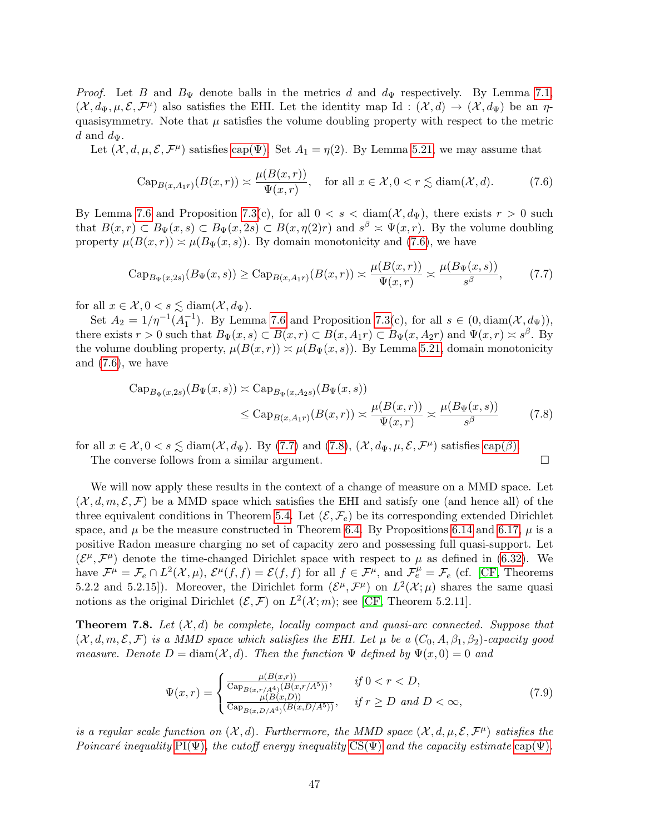*Proof.* Let B and  $B_{\Psi}$  denote balls in the metrics d and  $d_{\Psi}$  respectively. By Lemma [7.1,](#page-44-1)  $(X, d_{\Psi}, \mu, \mathcal{E}, \mathcal{F}^{\mu})$  also satisfies the EHI. Let the identity map Id:  $(X, d) \to (X, d_{\Psi})$  be an  $\eta$ quasisymmetry. Note that  $\mu$  satisfies the volume doubling property with respect to the metric d and  $d_{\Psi}$ .

Let  $(\mathcal{X}, d, \mu, \mathcal{E}, \mathcal{F}^{\mu})$  satisfies cap( $\Psi$ ). Set  $A_1 = \eta(2)$ . By Lemma [5.21,](#page-30-0) we may assume that

<span id="page-46-0"></span>
$$
\operatorname{Cap}_{B(x,A_1r)}(B(x,r)) \asymp \frac{\mu(B(x,r))}{\Psi(x,r)}, \quad \text{for all } x \in \mathcal{X}, 0 < r \lesssim \operatorname{diam}(\mathcal{X},d). \tag{7.6}
$$

By Lemma [7.6](#page-45-4) and Proposition [7.3\(](#page-44-2)c), for all  $0 < s < \text{diam}(\mathcal{X}, d_{\Psi})$ , there exists  $r > 0$  such that  $B(x,r) \subset B_{\Psi}(x,s) \subset B_{\Psi}(x,2s) \subset B(x,\eta(2)r)$  and  $s^{\beta} \times \Psi(x,r)$ . By the volume doubling property  $\mu(B(x,r)) \approx \mu(B_{\Psi}(x,s))$ . By domain monotonicity and [\(7.6\)](#page-46-0), we have

<span id="page-46-1"></span>
$$
\mathrm{Cap}_{B_{\Psi}(x,2s)}(B_{\Psi}(x,s)) \ge \mathrm{Cap}_{B(x,A_1r)}(B(x,r)) \asymp \frac{\mu(B(x,r))}{\Psi(x,r)} \asymp \frac{\mu(B_{\Psi}(x,s))}{s^{\beta}},\tag{7.7}
$$

for all  $x \in \mathcal{X}, 0 < s \lesssim \text{diam}(\mathcal{X}, d_{\Psi}).$ 

Set  $A_2 = 1/\eta^{-1}(A_1^{-1})$ . By Lemma [7.6](#page-45-4) and Proposition [7.3\(](#page-44-2)c), for all  $s \in (0, \text{diam}(\mathcal{X}, d_{\Psi}))$ , there exists  $r > 0$  such that  $B_{\Psi}(x, s) \subset B(x, r) \subset B(x, A_1 r) \subset B_{\Psi}(x, A_2 r)$  and  $\Psi(x, r) \approx s^{\beta}$ . By the volume doubling property,  $\mu(B(x, r)) \approx \mu(B_{\Psi}(x, s))$ . By Lemma [5.21,](#page-30-0) domain monotonicity and  $(7.6)$ , we have

<span id="page-46-2"></span>
$$
\text{Cap}_{B_{\Psi}(x,2s)}(B_{\Psi}(x,s)) \simeq \text{Cap}_{B_{\Psi}(x,A_{2}s)}(B_{\Psi}(x,s))
$$
  

$$
\leq \text{Cap}_{B(x,A_{1}r)}(B(x,r)) \simeq \frac{\mu(B(x,r))}{\Psi(x,r)} \simeq \frac{\mu(B_{\Psi}(x,s))}{s^{\beta}} \tag{7.8}
$$

for all  $x \in \mathcal{X}, 0 < s \lesssim \text{diam}(\mathcal{X}, d_{\Psi})$ . By [\(7.7\)](#page-46-1) and [\(7.8\)](#page-46-2),  $(\mathcal{X}, d_{\Psi}, \mu, \mathcal{E}, \mathcal{F}^{\mu})$  satisfies [cap\(](#page-45-3) $\beta$ ).

The converse follows from a similar argument.

We will now apply these results in the context of a change of measure on a MMD space. Let  $(\mathcal{X}, d, m, \mathcal{E}, \mathcal{F})$  be a MMD space which satisfies the EHI and satisfy one (and hence all) of the three equivalent conditions in Theorem [5.4.](#page-22-0) Let  $(\mathcal{E}, \mathcal{F}_e)$  be its corresponding extended Dirichlet space, and  $\mu$  be the measure constructed in Theorem [6.4.](#page-32-2) By Propositions [6.14](#page-41-2) and [6.17,](#page-42-0)  $\mu$  is a positive Radon measure charging no set of capacity zero and possessing full quasi-support. Let  $(\mathcal{E}^{\mu}, \mathcal{F}^{\mu})$  denote the time-changed Dirichlet space with respect to  $\mu$  as defined in [\(6.32\)](#page-42-1). We have  $\mathcal{F}^{\mu} = \mathcal{F}_e \cap L^2(\mathcal{X}, \mu), \, \mathcal{E}^{\mu}(\overline{f}, f) = \mathcal{E}(f, f)$  for all  $f \in \mathcal{F}^{\mu}$ , and  $\mathcal{F}_e^{\mu} = \mathcal{F}_e$  (cf. [\[CF,](#page-52-5) Theorems 5.2.2 and 5.2.15). Moreover, the Dirichlet form  $(\mathcal{E}^{\mu}, \mathcal{F}^{\mu})$  on  $L^2(\mathcal{X}; \mu)$  shares the same quasi notions as the original Dirichlet  $(\mathcal{E}, \mathcal{F})$  on  $L^2(\mathcal{X}; m)$ ; see [\[CF,](#page-52-5) Theorem 5.2.11].

<span id="page-46-3"></span>**Theorem 7.8.** Let  $(\mathcal{X}, d)$  be complete, locally compact and quasi-arc connected. Suppose that  $(\mathcal{X}, d, m, \mathcal{E}, \mathcal{F})$  is a MMD space which satisfies the EHI. Let  $\mu$  be a  $(C_0, A, \beta_1, \beta_2)$ -capacity good measure. Denote  $D = \text{diam}(\mathcal{X}, d)$ . Then the function  $\Psi$  defined by  $\Psi(x, 0) = 0$  and

$$
\Psi(x,r) = \begin{cases}\n\frac{\mu(B(x,r))}{\text{Cap}_{B(x,r/A^4)}(B(x,r/A^5))}, & \text{if } 0 < r < D, \\
\frac{\mu(B(x,D))}{\text{Cap}_{B(x,D/A^4)}(B(x,D/A^5))}, & \text{if } r \ge D \text{ and } D < \infty,\n\end{cases} \tag{7.9}
$$

is a regular scale function on  $(\mathcal{X}, d)$ . Furthermore, the MMD space  $(\mathcal{X}, d, \mu, \mathcal{E}, \mathcal{F}^{\mu})$  satisfies the Poincaré inequality [PI\(Ψ\)](#page-44-4), the cutoff energy inequality [CS\(Ψ\)](#page-45-1) and the capacity estimate [cap\(Ψ\)](#page-45-3).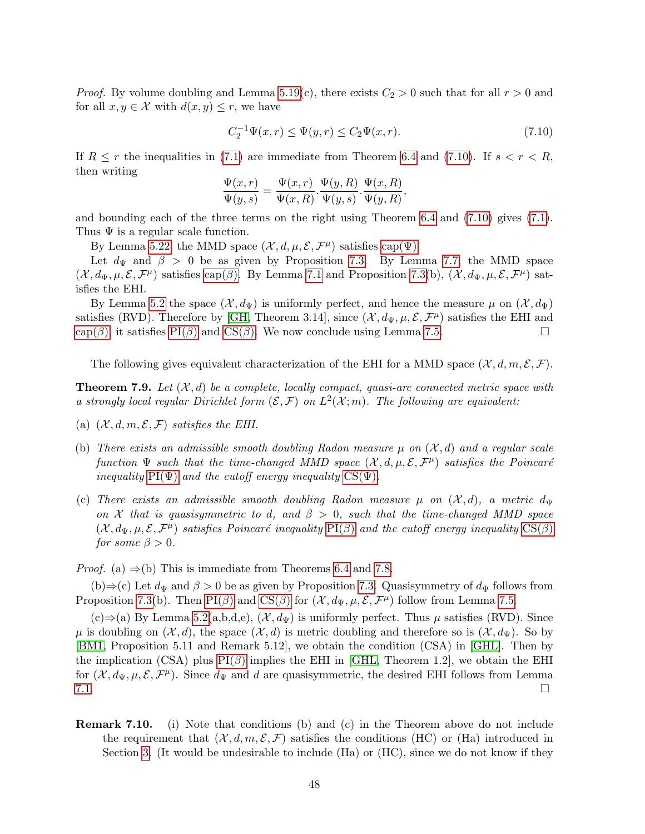*Proof.* By volume doubling and Lemma [5.19\(](#page-29-1)c), there exists  $C_2 > 0$  such that for all  $r > 0$  and for all  $x, y \in \mathcal{X}$  with  $d(x, y) \leq r$ , we have

<span id="page-47-1"></span>
$$
C_2^{-1} \Psi(x, r) \le \Psi(y, r) \le C_2 \Psi(x, r). \tag{7.10}
$$

If  $R \leq r$  the inequalities in [\(7.1\)](#page-44-6) are immediate from Theorem [6.4](#page-32-2) and [\(7.10\)](#page-47-1). If  $s < r < R$ , then writing

$$
\frac{\Psi(x,r)}{\Psi(y,s)} = \frac{\Psi(x,r)}{\Psi(x,R)} \cdot \frac{\Psi(y,R)}{\Psi(y,s)} \cdot \frac{\Psi(x,R)}{\Psi(y,R)},
$$

and bounding each of the three terms on the right using Theorem [6.4](#page-32-2) and [\(7.10\)](#page-47-1) gives [\(7.1\)](#page-44-6). Thus  $\Psi$  is a regular scale function.

By Lemma [5.22,](#page-31-3) the MMD space  $(\mathcal{X}, d, \mu, \mathcal{E}, \mathcal{F}^{\mu})$  satisfies cap( $\Psi$ ).

Let  $d_{\Psi}$  and  $\beta > 0$  be as given by Proposition [7.3.](#page-44-2) By Lemma [7.7,](#page-45-5) the MMD space  $(\mathcal{X}, d_{\Psi}, \mu, \mathcal{E}, \mathcal{F}^{\mu})$  satisfies [cap\(](#page-45-3) $\beta$ ). By Lemma [7.1](#page-44-1) and Proposition [7.3\(](#page-44-2)b),  $(\mathcal{X}, d_{\Psi}, \mu, \mathcal{E}, \mathcal{F}^{\mu})$  satisfies the EHI.

By Lemma [5.2](#page-21-0) the space  $(\mathcal{X}, d_{\Psi})$  is uniformly perfect, and hence the measure  $\mu$  on  $(\mathcal{X}, d_{\Psi})$ satisfies (RVD). Therefore by [\[GH,](#page-52-4) Theorem 3.14], since  $(\mathcal{X}, d_{\Psi}, \mu, \mathcal{E}, \mathcal{F}^{\mu})$  satisfies the EHI and  $cap(\beta)$  $cap(\beta)$ , it satisfies [PI\(](#page-0-0) $\beta$ ) and [CS\(](#page-0-0) $\beta$ ). We now conclude using Lemma [7.5.](#page-45-0)

The following gives equivalent characterization of the EHI for a MMD space  $(\mathcal{X}, d, m, \mathcal{E}, \mathcal{F})$ .

<span id="page-47-0"></span>**Theorem 7.9.** Let  $(X, d)$  be a complete, locally compact, quasi-arc connected metric space with a strongly local regular Dirichlet form  $(\mathcal{E}, \mathcal{F})$  on  $L^2(\mathcal{X}; m)$ . The following are equivalent:

- (a)  $(\mathcal{X}, d, m, \mathcal{E}, \mathcal{F})$  satisfies the EHI.
- (b) There exists an admissible smooth doubling Radon measure  $\mu$  on  $(\mathcal{X}, d)$  and a regular scale function  $\Psi$  such that the time-changed MMD space  $(\mathcal{X}, d, \mu, \mathcal{E}, \mathcal{F}^{\mu})$  satisfies the Poincaré inequality  $PI(\Psi)$  and the cutoff energy inequality  $CS(\Psi)$ .
- (c) There exists an admissible smooth doubling Radon measure  $\mu$  on  $(\mathcal{X}, d)$ , a metric dy on X that is quasisymmetric to d, and  $\beta > 0$ , such that the time-changed MMD space  $(X, d_\Psi, \mu, \mathcal{E}, \mathcal{F}^\mu)$  satisfies Poincaré inequality  $\text{PI}(\beta)$  and the cutoff energy inequality  $\text{CS}(\beta)$ for some  $\beta > 0$ .

*Proof.* (a)  $\Rightarrow$  (b) This is immediate from Theorems [6.4](#page-32-2) and [7.8.](#page-46-3)

(b)⇒(c) Let  $d_{\Psi}$  and  $\beta > 0$  be as given by Proposition [7.3.](#page-44-2) Quasisymmetry of  $d_{\Psi}$  follows from Proposition [7.3\(](#page-44-2)b). Then [PI\(](#page-0-0) $\beta$ ) and [CS\(](#page-0-0) $\beta$ ) for  $(\mathcal{X}, d_{\Psi}, \mu, \mathcal{E}, \mathcal{F}^{\mu})$  follow from Lemma [7.5.](#page-45-0)

 $(c) \Rightarrow (a)$  By Lemma [5.2\(](#page-21-0)a,b,d,e),  $(\mathcal{X}, d_{\Psi})$  is uniformly perfect. Thus  $\mu$  satisfies (RVD). Since  $\mu$  is doubling on  $(\mathcal{X}, d)$ , the space  $(\mathcal{X}, d)$  is metric doubling and therefore so is  $(\mathcal{X}, d_{\Psi})$ . So by [\[BM1,](#page-52-2) Proposition 5.11 and Remark 5.12], we obtain the condition (CSA) in [\[GHL\]](#page-52-16). Then by the implication (CSA) plus  $PI(\beta)$  implies the EHI in [\[GHL,](#page-52-16) Theorem 1.2], we obtain the EHI for  $(\mathcal{X}, d_{\Psi}, \mu, \mathcal{E}, \mathcal{F}^{\mu})$ . Since  $d_{\Psi}$  and d are quasisymmetric, the desired EHI follows from Lemma  $7.1.$ 

Remark 7.10. (i) Note that conditions (b) and (c) in the Theorem above do not include the requirement that  $(\mathcal{X}, d, m, \mathcal{E}, \mathcal{F})$  satisfies the conditions (HC) or (Ha) introduced in Section [3.](#page-7-0) (It would be undesirable to include (Ha) or (HC), since we do not know if they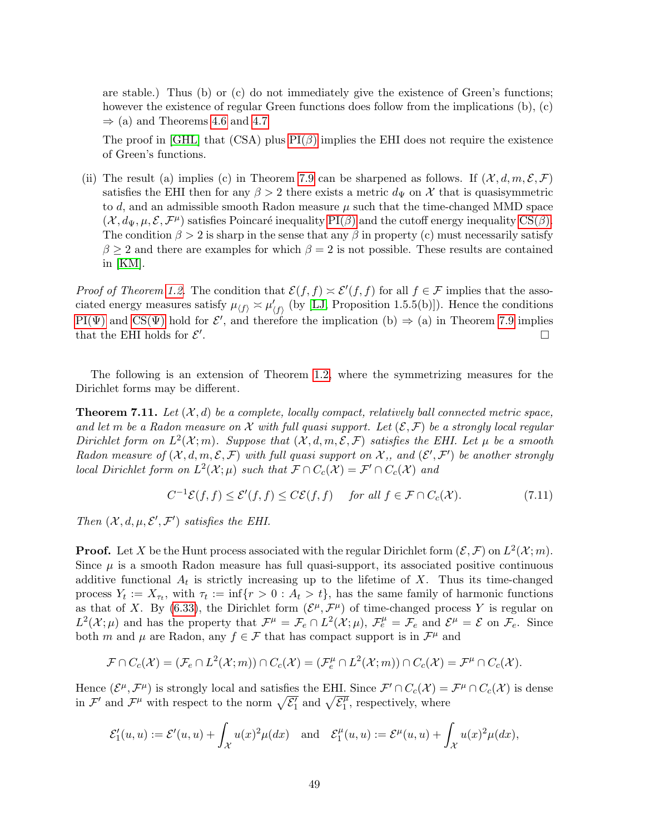are stable.) Thus (b) or (c) do not immediately give the existence of Green's functions; however the existence of regular Green functions does follow from the implications (b), (c)  $\Rightarrow$  (a) and Theorems [4.6](#page-19-1) and [4.7](#page-20-1)

The proof in [\[GHL\]](#page-52-16) that (CSA) plus  $PI(\beta)$  implies the EHI does not require the existence of Green's functions.

(ii) The result (a) implies (c) in Theorem [7.9](#page-47-0) can be sharpened as follows. If  $(\mathcal{X}, d, m, \mathcal{E}, \mathcal{F})$ satisfies the EHI then for any  $\beta > 2$  there exists a metric  $d_{\Psi}$  on X that is quasisymmetric to  $d$ , and an admissible smooth Radon measure  $\mu$  such that the time-changed MMD space  $(\mathcal{X}, d_{\Psi}, \mu, \mathcal{E}, \mathcal{F}^{\mu})$  satisfies Poincaré inequality [PI\(](#page-0-0) $\beta$ ) and the cutoff energy inequality [CS\(](#page-0-0) $\beta$ ). The condition  $\beta > 2$  is sharp in the sense that any  $\beta$  in property (c) must necessarily satisfy  $\beta \geq 2$  and there are examples for which  $\beta = 2$  is not possible. These results are contained in [\[KM\]](#page-53-14).

*Proof of Theorem [1.2.](#page-2-0)* The condition that  $\mathcal{E}(f, f) \simeq \mathcal{E}'(f, f)$  for all  $f \in \mathcal{F}$  implies that the associated energy measures satisfy  $\mu_{\langle f \rangle} \approx \mu'_{\langle f \rangle}$  (by [\[LJ,](#page-53-15) Proposition 1.5.5(b)]). Hence the conditions  $PI(\Psi)$  and  $CS(\Psi)$  hold for  $\mathcal{E}'$ , and therefore the implication (b)  $\Rightarrow$  (a) in Theorem [7.9](#page-47-0) implies that the EHI holds for  $\mathcal{E}'$ . В последните последните последните последните последните последните последните последните последните последн<br>В 1990 година от селото на селото на селото на селото на селото на селото на селото на селото на селото на сел

The following is an extension of Theorem [1.2,](#page-2-0) where the symmetrizing measures for the Dirichlet forms may be different.

<span id="page-48-0"></span>**Theorem 7.11.** Let  $(X, d)$  be a complete, locally compact, relatively ball connected metric space, and let m be a Radon measure on X with full quasi support. Let  $(\mathcal{E}, \mathcal{F})$  be a strongly local regular Dirichlet form on  $L^2(\mathcal{X};m)$ . Suppose that  $(\mathcal{X}, d, m, \mathcal{E}, \mathcal{F})$  satisfies the EHI. Let  $\mu$  be a smooth Radon measure of  $(X, d, m, \mathcal{E}, \mathcal{F})$  with full quasi support on X,, and  $(\mathcal{E}', \mathcal{F}')$  be another strongly local Dirichlet form on  $L^2(\mathcal{X};\mu)$  such that  $\mathcal{F} \cap C_c(\mathcal{X}) = \mathcal{F}' \cap C_c(\mathcal{X})$  and

$$
C^{-1}\mathcal{E}(f,f) \le \mathcal{E}'(f,f) \le C\mathcal{E}(f,f) \quad \text{for all } f \in \mathcal{F} \cap C_c(\mathcal{X}).\tag{7.11}
$$

Then  $(X, d, \mu, \mathcal{E}', \mathcal{F}')$  satisfies the EHI.

**Proof.** Let X be the Hunt process associated with the regular Dirichlet form  $(\mathcal{E}, \mathcal{F})$  on  $L^2(\mathcal{X}; m)$ . Since  $\mu$  is a smooth Radon measure has full quasi-support, its associated positive continuous additive functional  $A_t$  is strictly increasing up to the lifetime of X. Thus its time-changed process  $Y_t := X_{\tau_t}$ , with  $\tau_t := \inf\{r > 0 : A_t > t\}$ , has the same family of harmonic functions as that of X. By [\(6.33\)](#page-42-2), the Dirichlet form  $(\mathcal{E}^{\mu}, \mathcal{F}^{\mu})$  of time-changed process Y is regular on  $L^2(\mathcal{X};\mu)$  and has the property that  $\mathcal{F}^{\mu} = \mathcal{F}_e \cap L^2(\mathcal{X};\mu)$ ,  $\mathcal{F}_e^{\mu} = \mathcal{F}_e$  and  $\mathcal{E}^{\mu} = \mathcal{E}$  on  $\mathcal{F}_e$ . Since both m and  $\mu$  are Radon, any  $f \in \mathcal{F}$  that has compact support is in  $\mathcal{F}^{\mu}$  and

$$
\mathcal{F} \cap C_c(\mathcal{X}) = (\mathcal{F}_e \cap L^2(\mathcal{X};m)) \cap C_c(\mathcal{X}) = (\mathcal{F}_e^{\mu} \cap L^2(\mathcal{X};m)) \cap C_c(\mathcal{X}) = \mathcal{F}^{\mu} \cap C_c(\mathcal{X}).
$$

Hence  $(\mathcal{E}^{\mu}, \mathcal{F}^{\mu})$  is strongly local and satisfies the EHI. Since  $\mathcal{F}' \cap C_c(\mathcal{X}) = \mathcal{F}^{\mu} \cap C_c(\mathcal{X})$  is dense in  $\mathcal{F}'$  and  $\mathcal{F}^{\mu}$  with respect to the norm  $\sqrt{\mathcal{E}'_1}$  and  $\sqrt{\mathcal{E}^{\mu}_1}$  $j_1^{\mu}$ , respectively, where

$$
\mathcal{E}'_1(u,u) := \mathcal{E}'(u,u) + \int_{\mathcal{X}} u(x)^2 \mu(dx) \quad \text{and} \quad \mathcal{E}^{\mu}_1(u,u) := \mathcal{E}^{\mu}(u,u) + \int_{\mathcal{X}} u(x)^2 \mu(dx),
$$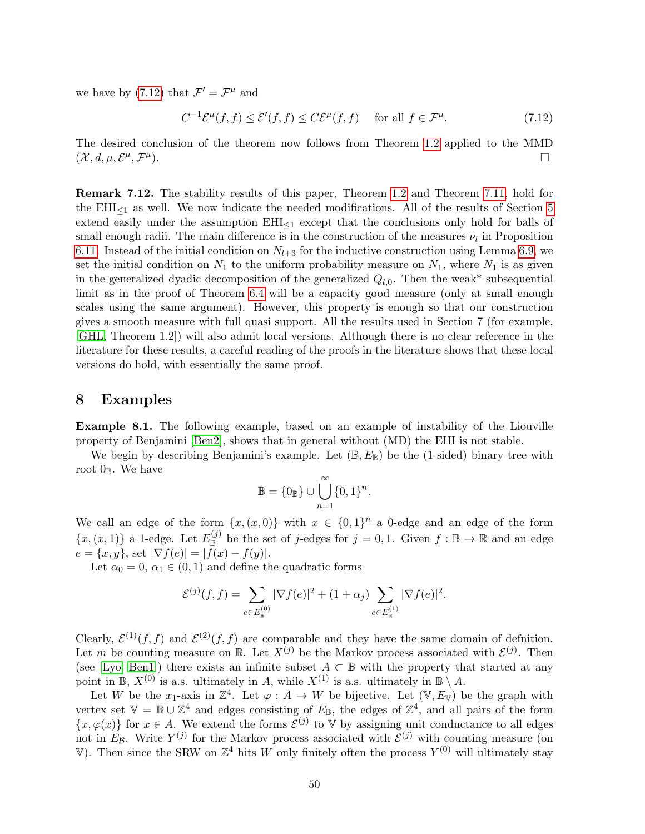we have by [\(7.12\)](#page-49-2) that  $\mathcal{F}' = \mathcal{F}^{\mu}$  and

<span id="page-49-2"></span>
$$
C^{-1}\mathcal{E}^{\mu}(f,f) \le \mathcal{E}'(f,f) \le C\mathcal{E}^{\mu}(f,f) \quad \text{ for all } f \in \mathcal{F}^{\mu}.
$$
 (7.12)

The desired conclusion of the theorem now follows from Theorem [1.2](#page-2-0) applied to the MMD  $(\mathcal{X}, d, \mu, \mathcal{E}^{\mu}, \mathcal{F}^{\mu})$  $\Box$ 

Remark 7.12. The stability results of this paper, Theorem [1.2](#page-2-0) and Theorem [7.11,](#page-48-0) hold for the  $EHI<sub>1</sub>$  as well. We now indicate the needed modifications. All of the results of Section [5](#page-20-0) extend easily under the assumption  $EHI_{\leq 1}$  except that the conclusions only hold for balls of small enough radii. The main difference is in the construction of the measures  $\nu_l$  in Proposition [6.11.](#page-38-2) Instead of the initial condition on  $N_{l+3}$  for the inductive construction using Lemma [6.9,](#page-35-2) we set the initial condition on  $N_1$  to the uniform probability measure on  $N_1$ , where  $N_1$  is as given in the generalized dyadic decomposition of the generalized  $Q_{l,0}$ . Then the weak\* subsequential limit as in the proof of Theorem [6.4](#page-32-2) will be a capacity good measure (only at small enough scales using the same argument). However, this property is enough so that our construction gives a smooth measure with full quasi support. All the results used in Section 7 (for example, [\[GHL,](#page-52-16) Theorem 1.2]) will also admit local versions. Although there is no clear reference in the literature for these results, a careful reading of the proofs in the literature shows that these local versions do hold, with essentially the same proof.

### <span id="page-49-1"></span>8 Examples

<span id="page-49-0"></span>Example 8.1. The following example, based on an example of instability of the Liouville property of Benjamini [\[Ben2\]](#page-52-17), shows that in general without (MD) the EHI is not stable.

We begin by describing Benjamini's example. Let  $(\mathbb{B}, E_{\mathbb{B}})$  be the (1-sided) binary tree with root  $0_{\mathbb{B}}$ . We have

$$
\mathbb{B} = \{0_{\mathbb{B}}\} \cup \bigcup_{n=1}^{\infty} \{0,1\}^n.
$$

We call an edge of the form  $\{x,(x,0)\}$  with  $x \in \{0,1\}^n$  a 0-edge and an edge of the form  $\{x,(x,1)\}\$ a 1-edge. Let  $E_{\mathbb{B}}^{(j)}$  be the set of j-edges for  $j=0,1$ . Given  $f:\mathbb{B}\to\mathbb{R}$  and an edge  $e = \{x, y\}$ , set  $|\nabla f(e)| = |f(x) - f(y)|$ .

Let  $\alpha_0 = 0$ ,  $\alpha_1 \in (0, 1)$  and define the quadratic forms

$$
\mathcal{E}^{(j)}(f,f) = \sum_{e \in E_{\mathbb{B}}^{(0)}} |\nabla f(e)|^2 + (1+\alpha_j) \sum_{e \in E_{\mathbb{B}}^{(1)}} |\nabla f(e)|^2.
$$

Clearly,  $\mathcal{E}^{(1)}(f, f)$  and  $\mathcal{E}^{(2)}(f, f)$  are comparable and they have the same domain of definition. Let m be counting measure on  $\mathbb{B}$ . Let  $X^{(j)}$  be the Markov process associated with  $\mathcal{E}^{(j)}$ . Then (see [\[Lyo,](#page-53-16) [Ben1\]](#page-52-18)) there exists an infinite subset  $A \subset \mathbb{B}$  with the property that started at any point in B,  $X^{(0)}$  is a.s. ultimately in A, while  $X^{(1)}$  is a.s. ultimately in B \ A.

Let W be the x<sub>1</sub>-axis in  $\mathbb{Z}^4$ . Let  $\varphi: A \to W$  be bijective. Let  $(\mathbb{V}, E_{\mathbb{V}})$  be the graph with vertex set  $\mathbb{V} = \mathbb{B} \cup \mathbb{Z}^4$  and edges consisting of  $E_{\mathbb{B}}$ , the edges of  $\mathbb{Z}^4$ , and all pairs of the form  $\{x, \varphi(x)\}\$ for  $x \in A$ . We extend the forms  $\mathcal{E}^{(j)}$  to V by assigning unit conductance to all edges not in  $E_{\mathcal{B}}$ . Write  $Y^{(j)}$  for the Markov process associated with  $\mathcal{E}^{(j)}$  with counting measure (on V). Then since the SRW on  $\mathbb{Z}^4$  hits W only finitely often the process  $Y^{(0)}$  will ultimately stay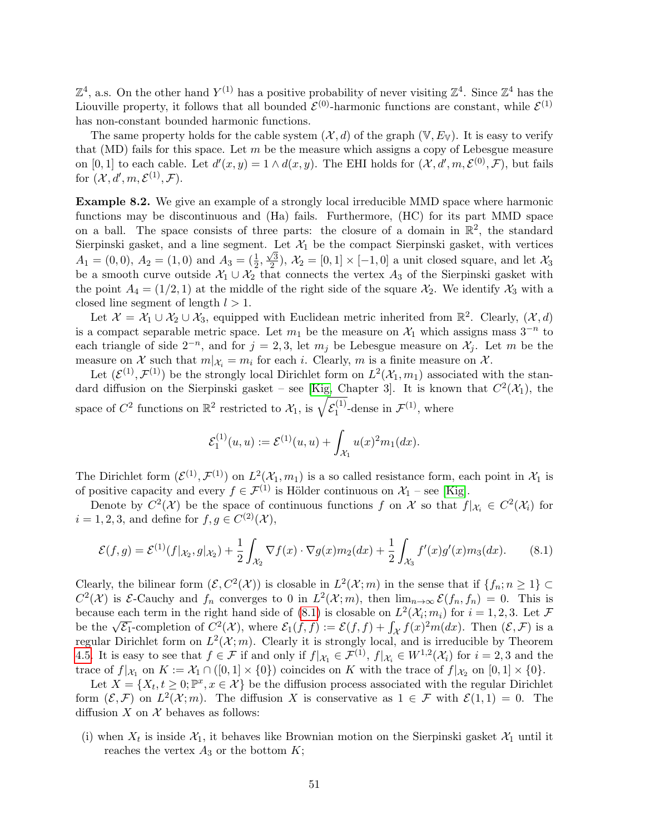$\mathbb{Z}^4$ , a.s. On the other hand  $Y^{(1)}$  has a positive probability of never visiting  $\mathbb{Z}^4$ . Since  $\mathbb{Z}^4$  has the Liouville property, it follows that all bounded  $\mathcal{E}^{(0)}$ -harmonic functions are constant, while  $\mathcal{E}^{(1)}$ has non-constant bounded harmonic functions.

The same property holds for the cable system  $(\mathcal{X}, d)$  of the graph  $(\mathbb{V}, E_{\mathbb{V}})$ . It is easy to verify that (MD) fails for this space. Let  $m$  be the measure which assigns a copy of Lebesgue measure on [0, 1] to each cable. Let  $d'(x, y) = 1 \wedge d(x, y)$ . The EHI holds for  $(\mathcal{X}, d', m, \mathcal{E}^{(0)}, \mathcal{F})$ , but fails for  $(\mathcal{X}, d', m, \mathcal{E}^{(1)}, \mathcal{F}).$ 

<span id="page-50-0"></span>Example 8.2. We give an example of a strongly local irreducible MMD space where harmonic functions may be discontinuous and (Ha) fails. Furthermore, (HC) for its part MMD space on a ball. The space consists of three parts: the closure of a domain in  $\mathbb{R}^2$ , the standard Sierpinski gasket, and a line segment. Let  $\mathcal{X}_1$  be the compact Sierpinski gasket, with vertices  $A_1 = (0,0), A_2 = (1,0) \text{ and } A_3 = (\frac{1}{2}, \frac{\sqrt{3}}{2})$  $\chi^2(2)$ ,  $\mathcal{X}_2 = [0, 1] \times [-1, 0]$  a unit closed square, and let  $\mathcal{X}_3$ be a smooth curve outside  $\mathcal{X}_1 \cup \mathcal{X}_2$  that connects the vertex  $A_3$  of the Sierpinski gasket with the point  $A_4 = (1/2, 1)$  at the middle of the right side of the square  $\mathcal{X}_2$ . We identify  $\mathcal{X}_3$  with a closed line segment of length  $l > 1$ .

Let  $\mathcal{X} = \mathcal{X}_1 \cup \mathcal{X}_2 \cup \mathcal{X}_3$ , equipped with Euclidean metric inherited from  $\mathbb{R}^2$ . Clearly,  $(\mathcal{X}, d)$ is a compact separable metric space. Let  $m_1$  be the measure on  $\mathcal{X}_1$  which assigns mass  $3^{-n}$  to each triangle of side  $2^{-n}$ , and for  $j = 2, 3$ , let  $m_j$  be Lebesgue measure on  $\mathcal{X}_j$ . Let m be the measure on X such that  $m|_{\mathcal{X}_i} = m_i$  for each i. Clearly, m is a finite measure on X.

Let  $(\mathcal{E}^{(1)}, \mathcal{F}^{(1)})$  be the strongly local Dirichlet form on  $L^2(\mathcal{X}_1, m_1)$  associated with the stan-dard diffusion on the Sierpinski gasket – see [\[Kig,](#page-53-17) Chapter 3]. It is known that  $C^2(\mathcal{X}_1)$ , the space of  $C^2$  functions on  $\mathbb{R}^2$  restricted to  $\mathcal{X}_1$ , is  $\sqrt{\mathcal{E}_1^{(1)}}$  $I_1^{(1)}$ -dense in  $\mathcal{F}^{(1)}$ , where

$$
\mathcal{E}_1^{(1)}(u,u) := \mathcal{E}^{(1)}(u,u) + \int_{\mathcal{X}_1} u(x)^2 m_1(dx).
$$

The Dirichlet form  $(\mathcal{E}^{(1)}, \mathcal{F}^{(1)})$  on  $L^2(\mathcal{X}_1, m_1)$  is a so called resistance form, each point in  $\mathcal{X}_1$  is of positive capacity and every  $f \in \mathcal{F}^{(1)}$  is Hölder continuous on  $\mathcal{X}_1$  – see [\[Kig\]](#page-53-17).

Denote by  $C^2(\mathcal{X})$  be the space of continuous functions f on X so that  $f|_{\mathcal{X}_i} \in C^2(\mathcal{X}_i)$  for  $i = 1, 2, 3$ , and define for  $f, g \in C^{(2)}(\mathcal{X}),$ 

<span id="page-50-1"></span>
$$
\mathcal{E}(f,g) = \mathcal{E}^{(1)}(f|x_2,g|x_2) + \frac{1}{2} \int_{\mathcal{X}_2} \nabla f(x) \cdot \nabla g(x) m_2(dx) + \frac{1}{2} \int_{\mathcal{X}_3} f'(x) g'(x) m_3(dx).
$$
 (8.1)

Clearly, the bilinear form  $(\mathcal{E}, C^2(\mathcal{X}))$  is closable in  $L^2(\mathcal{X};m)$  in the sense that if  $\{f_n; n \geq 1\} \subset$  $C^2(\mathcal{X})$  is  $\mathcal{E}\text{-Cauchy}$  and  $f_n$  converges to 0 in  $L^2(\mathcal{X};m)$ , then  $\lim_{n\to\infty}\mathcal{E}(f_n,f_n)=0$ . This is because each term in the right hand side of [\(8.1\)](#page-50-1) is closable on  $L^2(\mathcal{X}_i; m_i)$  for  $i = 1, 2, 3$ . Let  $\mathcal F$ because each term in the right hand side of (8.1) is closable on L ( $\alpha_i$ ;  $m_i$ ) for  $i = 1, 2, 3$ . Let  $\mathcal F$  be the  $\sqrt{\mathcal{E}_1}$ -completion of  $C^2(\mathcal X)$ , where  $\mathcal{E}_1(f, f) := \mathcal{E}(f, f) + \int_{\mathcal X} f(x)^2 m(dx)$ . Then  $(\mathcal E, \mathcal F)$ regular Dirichlet form on  $L^2(\mathcal{X};m)$ . Clearly it is strongly local, and is irreducible by Theorem [4.5.](#page-18-0) It is easy to see that  $f \in \mathcal{F}$  if and only if  $f|_{\mathcal{X}_1} \in \mathcal{F}^{(1)}$ ,  $f|_{\mathcal{X}_i} \in W^{1,2}(\mathcal{X}_i)$  for  $i = 2, 3$  and the trace of  $f|_{\mathcal{X}_1}$  on  $K := \mathcal{X}_1 \cap ([0,1] \times \{0\})$  coincides on K with the trace of  $f|_{\mathcal{X}_2}$  on  $[0,1] \times \{0\}$ .

Let  $X = \{X_t, t \geq 0; \mathbb{P}^x, x \in \mathcal{X}\}\)$  be the diffusion process associated with the regular Dirichlet form  $(\mathcal{E}, \mathcal{F})$  on  $L^2(\mathcal{X}; m)$ . The diffusion X is conservative as  $1 \in \mathcal{F}$  with  $\mathcal{E}(1, 1) = 0$ . The diffusion  $X$  on  $X$  behaves as follows:

(i) when  $X_t$  is inside  $X_1$ , it behaves like Brownian motion on the Sierpinski gasket  $X_1$  until it reaches the vertex  $A_3$  or the bottom  $K$ ;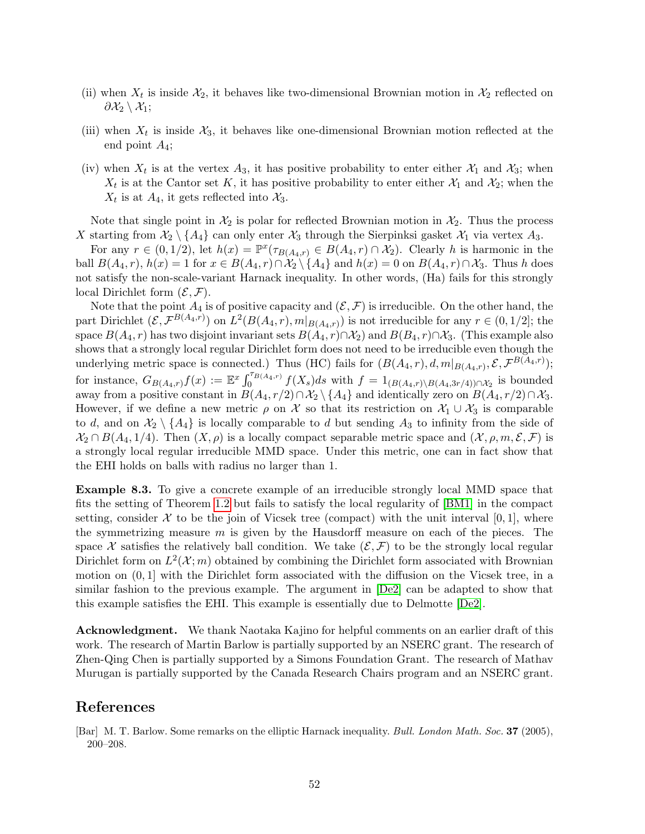- (ii) when  $X_t$  is inside  $X_2$ , it behaves like two-dimensional Brownian motion in  $X_2$  reflected on  $\partial \mathcal{X}_2 \setminus \mathcal{X}_1$ ;
- (iii) when  $X_t$  is inside  $X_3$ , it behaves like one-dimensional Brownian motion reflected at the end point  $A_4$ ;
- (iv) when  $X_t$  is at the vertex  $A_3$ , it has positive probability to enter either  $X_1$  and  $X_3$ ; when  $X_t$  is at the Cantor set K, it has positive probability to enter either  $X_1$  and  $X_2$ ; when the  $X_t$  is at  $A_4$ , it gets reflected into  $X_3$ .

Note that single point in  $\mathcal{X}_2$  is polar for reflected Brownian motion in  $\mathcal{X}_2$ . Thus the process X starting from  $\mathcal{X}_2 \setminus \{A_4\}$  can only enter  $\mathcal{X}_3$  through the Sierpinksi gasket  $\mathcal{X}_1$  via vertex  $A_3$ .

For any  $r \in (0, 1/2)$ , let  $h(x) = \mathbb{P}^x(\tau_{B(A_4, r)} \in B(A_4, r) \cap \mathcal{X}_2)$ . Clearly h is harmonic in the ball  $B(A_4, r)$ ,  $h(x) = 1$  for  $x \in B(A_4, r) \cap \mathcal{X}_2 \setminus \{A_4\}$  and  $h(x) = 0$  on  $B(A_4, r) \cap \mathcal{X}_3$ . Thus h does not satisfy the non-scale-variant Harnack inequality. In other words, (Ha) fails for this strongly local Dirichlet form  $(\mathcal{E}, \mathcal{F})$ .

Note that the point  $A_4$  is of positive capacity and  $(\mathcal{E}, \mathcal{F})$  is irreducible. On the other hand, the part Dirichlet  $(\mathcal{E}, \mathcal{F}^{B(A_4,r)})$  on  $L^2(B(A_4,r), m|_{B(A_4,r)})$  is not irreducible for any  $r \in (0,1/2]$ ; the space  $B(A_4, r)$  has two disjoint invariant sets  $B(A_4, r) \cap \mathcal{X}_2$  and  $B(B_4, r) \cap \mathcal{X}_3$ . (This example also shows that a strongly local regular Dirichlet form does not need to be irreducible even though the underlying metric space is connected.) Thus (HC) fails for  $(B(A_4, r), d, m|_{B(A_4,r)}, \mathcal{E}, \mathcal{F}^{B(A_4,r)})$ ; for instance,  $G_{B(A_4,r)}f(x) := \mathbb{E}^{x} \int_0^{\tau_{B(A_4,r)}} f(X_s)ds$  with  $f = 1_{(B(A_4,r) \setminus B(A_4,3r/4)) \cap \mathcal{X}_2}$  is bounded away from a positive constant in  $B(A_4, r/2) \cap \mathcal{X}_2 \setminus \{A_4\}$  and identically zero on  $B(A_4, r/2) \cap \mathcal{X}_3$ . However, if we define a new metric  $\rho$  on X so that its restriction on  $\mathcal{X}_1 \cup \mathcal{X}_3$  is comparable to d, and on  $\mathcal{X}_2 \setminus \{A_4\}$  is locally comparable to d but sending  $A_3$  to infinity from the side of  $\mathcal{X}_2 \cap B(A_4, 1/4)$ . Then  $(X, \rho)$  is a locally compact separable metric space and  $(\mathcal{X}, \rho, m, \mathcal{E}, \mathcal{F})$  is a strongly local regular irreducible MMD space. Under this metric, one can in fact show that the EHI holds on balls with radius no larger than 1.

Example 8.3. To give a concrete example of an irreducible strongly local MMD space that fits the setting of Theorem [1.2](#page-2-0) but fails to satisfy the local regularity of [\[BM1\]](#page-52-2) in the compact setting, consider  $\mathcal X$  to be the join of Vicsek tree (compact) with the unit interval [0, 1], where the symmetrizing measure  $m$  is given by the Hausdorff measure on each of the pieces. The space X satisfies the relatively ball condition. We take  $(\mathcal{E}, \mathcal{F})$  to be the strongly local regular Dirichlet form on  $L^2(\mathcal{X};m)$  obtained by combining the Dirichlet form associated with Brownian motion on  $(0, 1]$  with the Dirichlet form associated with the diffusion on the Vicsek tree, in a similar fashion to the previous example. The argument in [\[De2\]](#page-52-19) can be adapted to show that this example satisfies the EHI. This example is essentially due to Delmotte [\[De2\]](#page-52-19).

Acknowledgment. We thank Naotaka Kajino for helpful comments on an earlier draft of this work. The research of Martin Barlow is partially supported by an NSERC grant. The research of Zhen-Qing Chen is partially supported by a Simons Foundation Grant. The research of Mathav Murugan is partially supported by the Canada Research Chairs program and an NSERC grant.

# References

<sup>[</sup>Bar] M. T. Barlow. Some remarks on the elliptic Harnack inequality. Bull. London Math. Soc. 37 (2005), 200–208.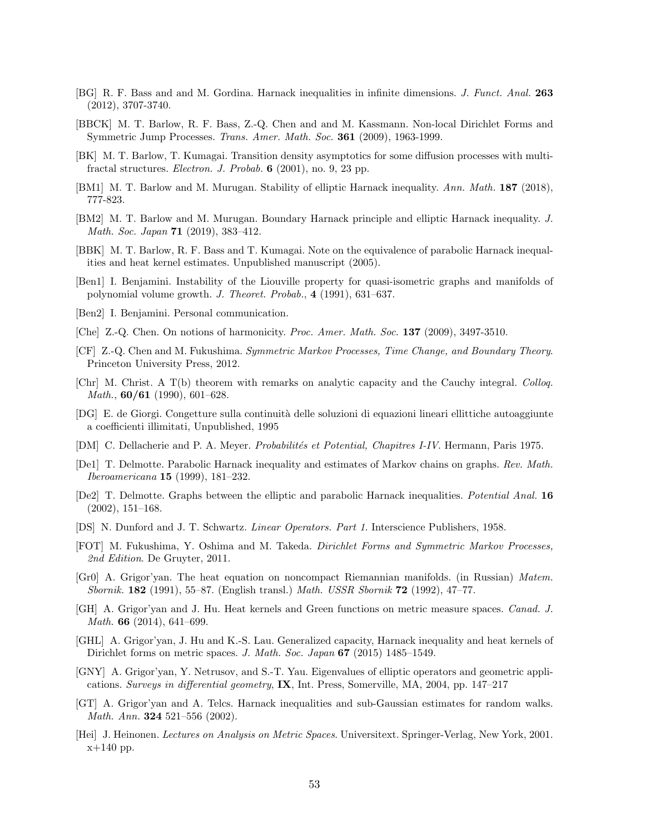- <span id="page-52-12"></span>[BG] R. F. Bass and and M. Gordina. Harnack inequalities in infinite dimensions. J. Funct. Anal. 263 (2012), 3707-3740.
- <span id="page-52-9"></span>[BBCK] M. T. Barlow, R. F. Bass, Z.-Q. Chen and and M. Kassmann. Non-local Dirichlet Forms and Symmetric Jump Processes. Trans. Amer. Math. Soc. 361 (2009), 1963-1999.
- <span id="page-52-15"></span>[BK] M. T. Barlow, T. Kumagai. Transition density asymptotics for some diffusion processes with multifractal structures. Electron. J. Probab. 6 (2001), no. 9, 23 pp.
- <span id="page-52-2"></span>[BM1] M. T. Barlow and M. Murugan. Stability of elliptic Harnack inequality. Ann. Math. 187 (2018), 777-823.
- <span id="page-52-3"></span>[BM2] M. T. Barlow and M. Murugan. Boundary Harnack principle and elliptic Harnack inequality. J. Math. Soc. Japan **71** (2019), 383-412.
- <span id="page-52-11"></span>[BBK] M. T. Barlow, R. F. Bass and T. Kumagai. Note on the equivalence of parabolic Harnack inequalities and heat kernel estimates. Unpublished manuscript (2005).
- <span id="page-52-18"></span>[Ben1] I. Benjamini. Instability of the Liouville property for quasi-isometric graphs and manifolds of polynomial volume growth. J. Theoret. Probab., 4 (1991), 631–637.
- <span id="page-52-17"></span>[Ben2] I. Benjamini. Personal communication.
- <span id="page-52-7"></span>[Che] Z.-Q. Chen. On notions of harmonicity. Proc. Amer. Math. Soc. 137 (2009), 3497-3510.
- <span id="page-52-5"></span>[CF] Z.-Q. Chen and M. Fukushima. Symmetric Markov Processes, Time Change, and Boundary Theory. Princeton University Press, 2012.
- <span id="page-52-13"></span>[Chr] M. Christ. A T(b) theorem with remarks on analytic capacity and the Cauchy integral. Colloq. *Math.*,  $60/61$  (1990), 601–628.
- [DG] E. de Giorgi. Congetture sulla continuit`a delle soluzioni di equazioni lineari ellittiche autoaggiunte a coefficienti illimitati, Unpublished, 1995
- <span id="page-52-8"></span>[DM] C. Dellacherie and P. A. Meyer. Probabilités et Potential, Chapitres I-IV. Hermann, Paris 1975.
- <span id="page-52-1"></span>[De1] T. Delmotte. Parabolic Harnack inequality and estimates of Markov chains on graphs. Rev. Math. Iberoamericana 15 (1999), 181–232.
- <span id="page-52-19"></span>[De2] T. Delmotte. Graphs between the elliptic and parabolic Harnack inequalities. Potential Anal. 16 (2002), 151–168.
- <span id="page-52-10"></span>[DS] N. Dunford and J. T. Schwartz. Linear Operators. Part 1. Interscience Publishers, 1958.
- <span id="page-52-6"></span>[FOT] M. Fukushima, Y. Oshima and M. Takeda. Dirichlet Forms and Symmetric Markov Processes, 2nd Edition. De Gruyter, 2011.
- <span id="page-52-0"></span>[Gr0] A. Grigor'yan. The heat equation on noncompact Riemannian manifolds. (in Russian) Matem. Sbornik. 182 (1991), 55–87. (English transl.) Math. USSR Sbornik 72 (1992), 47–77.
- <span id="page-52-4"></span>[GH] A. Grigor'yan and J. Hu. Heat kernels and Green functions on metric measure spaces. Canad. J. Math. **66** (2014), 641–699.
- <span id="page-52-16"></span>[GHL] A. Grigor'yan, J. Hu and K.-S. Lau. Generalized capacity, Harnack inequality and heat kernels of Dirichlet forms on metric spaces. J. Math. Soc. Japan 67 (2015) 1485–1549.
- <span id="page-52-14"></span>[GNY] A. Grigor'yan, Y. Netrusov, and S.-T. Yau. Eigenvalues of elliptic operators and geometric applications. Surveys in differential geometry, IX, Int. Press, Somerville, MA, 2004, pp. 147–217
- [GT] A. Grigor'yan and A. Telcs. Harnack inequalities and sub-Gaussian estimates for random walks. Math. Ann. **324** 521-556 (2002).
- [Hei] J. Heinonen. Lectures on Analysis on Metric Spaces. Universitext. Springer-Verlag, New York, 2001. x+140 pp.